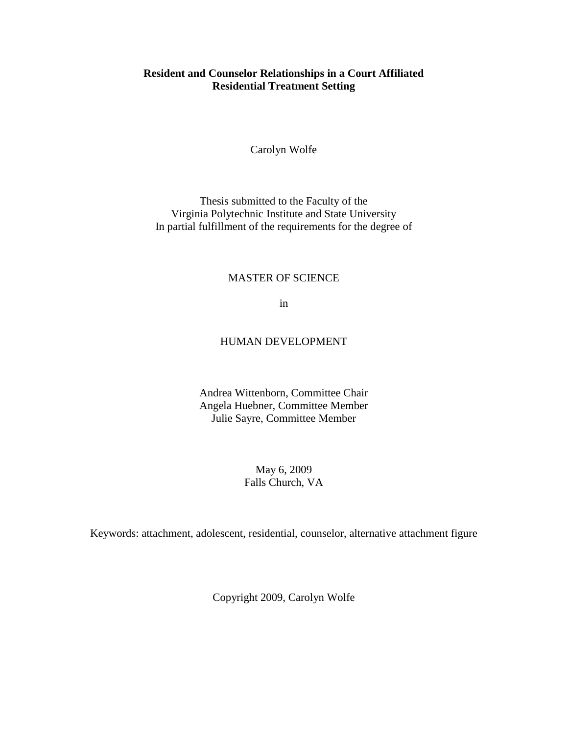## **Resident and Counselor Relationships in a Court Affiliated Residential Treatment Setting**

Carolyn Wolfe

Thesis submitted to the Faculty of the Virginia Polytechnic Institute and State University In partial fulfillment of the requirements for the degree of

## MASTER OF SCIENCE

in

## HUMAN DEVELOPMENT

Andrea Wittenborn, Committee Chair Angela Huebner, Committee Member Julie Sayre, Committee Member

> May 6, 2009 Falls Church, VA

Keywords: attachment, adolescent, residential, counselor, alternative attachment figure

Copyright 2009, Carolyn Wolfe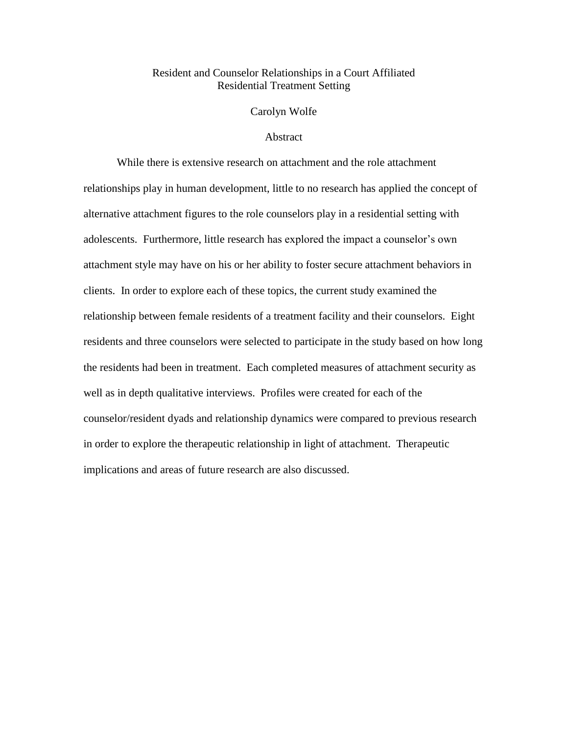## Resident and Counselor Relationships in a Court Affiliated Residential Treatment Setting

Carolyn Wolfe

#### Abstract

While there is extensive research on attachment and the role attachment relationships play in human development, little to no research has applied the concept of alternative attachment figures to the role counselors play in a residential setting with adolescents. Furthermore, little research has explored the impact a counselor's own attachment style may have on his or her ability to foster secure attachment behaviors in clients. In order to explore each of these topics, the current study examined the relationship between female residents of a treatment facility and their counselors. Eight residents and three counselors were selected to participate in the study based on how long the residents had been in treatment. Each completed measures of attachment security as well as in depth qualitative interviews. Profiles were created for each of the counselor/resident dyads and relationship dynamics were compared to previous research in order to explore the therapeutic relationship in light of attachment. Therapeutic implications and areas of future research are also discussed.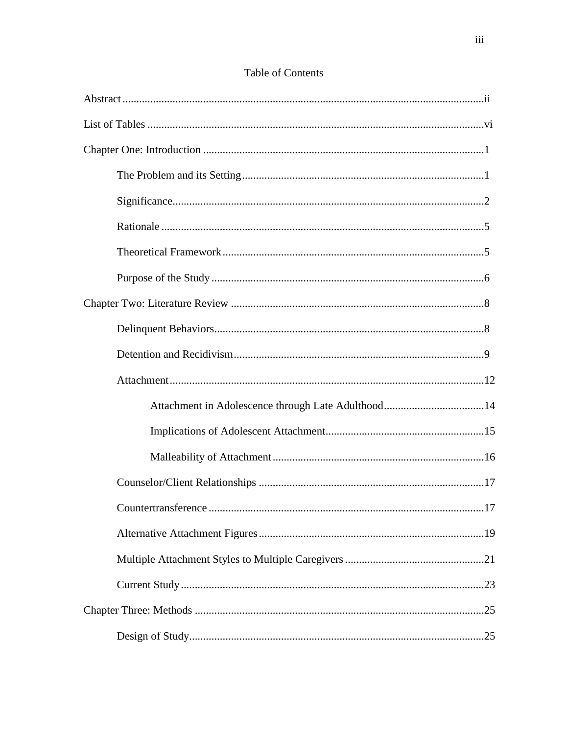| .17 |
|-----|
|     |
|     |
|     |
|     |
|     |

# Table of Contents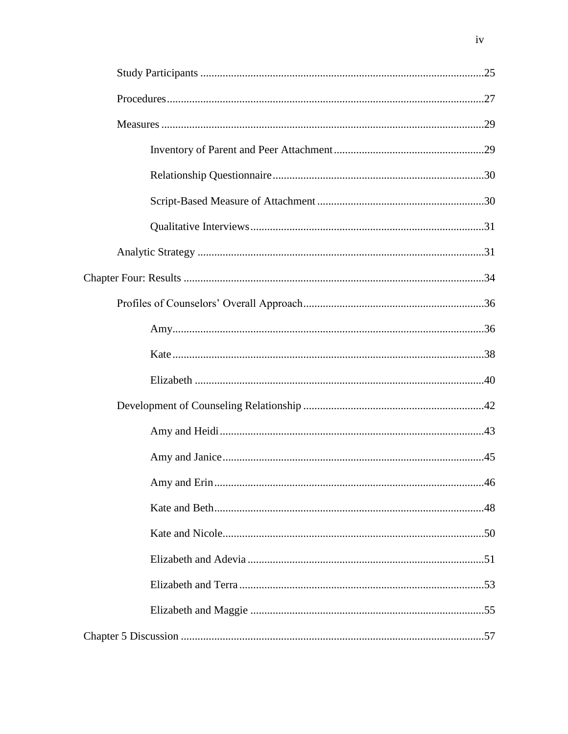$iv$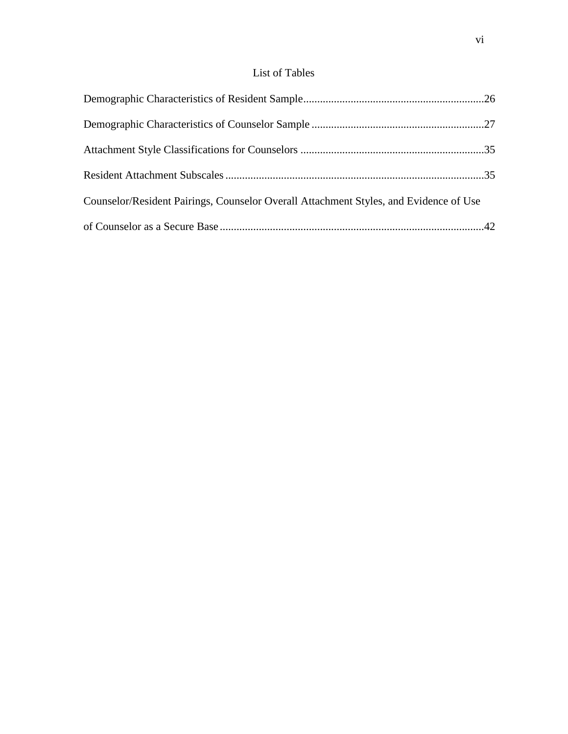# List of Tables

| Counselor/Resident Pairings, Counselor Overall Attachment Styles, and Evidence of Use |  |
|---------------------------------------------------------------------------------------|--|
|                                                                                       |  |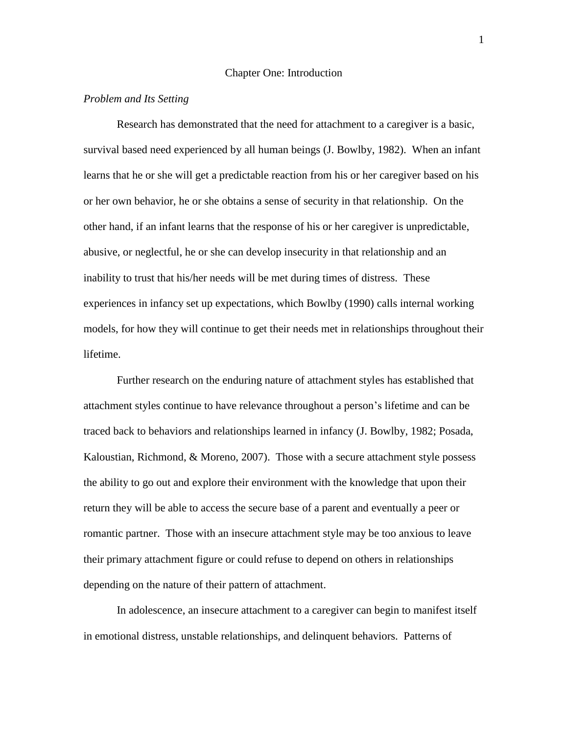#### Chapter One: Introduction

#### *Problem and Its Setting*

Research has demonstrated that the need for attachment to a caregiver is a basic, survival based need experienced by all human beings (J. Bowlby, 1982). When an infant learns that he or she will get a predictable reaction from his or her caregiver based on his or her own behavior, he or she obtains a sense of security in that relationship. On the other hand, if an infant learns that the response of his or her caregiver is unpredictable, abusive, or neglectful, he or she can develop insecurity in that relationship and an inability to trust that his/her needs will be met during times of distress. These experiences in infancy set up expectations, which Bowlby (1990) calls internal working models, for how they will continue to get their needs met in relationships throughout their lifetime.

Further research on the enduring nature of attachment styles has established that attachment styles continue to have relevance throughout a person's lifetime and can be traced back to behaviors and relationships learned in infancy (J. Bowlby, 1982; Posada, Kaloustian, Richmond, & Moreno, 2007). Those with a secure attachment style possess the ability to go out and explore their environment with the knowledge that upon their return they will be able to access the secure base of a parent and eventually a peer or romantic partner. Those with an insecure attachment style may be too anxious to leave their primary attachment figure or could refuse to depend on others in relationships depending on the nature of their pattern of attachment.

In adolescence, an insecure attachment to a caregiver can begin to manifest itself in emotional distress, unstable relationships, and delinquent behaviors. Patterns of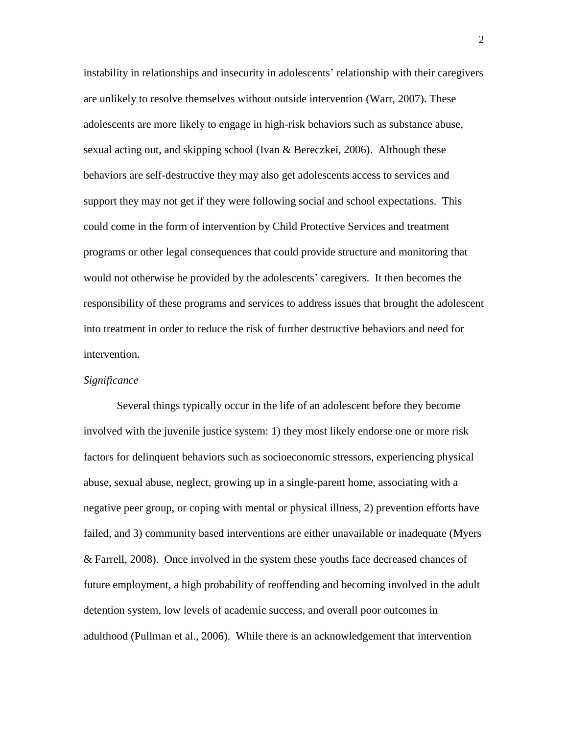instability in relationships and insecurity in adolescents' relationship with their caregivers are unlikely to resolve themselves without outside intervention (Warr, 2007). These adolescents are more likely to engage in high-risk behaviors such as substance abuse, sexual acting out, and skipping school (Ivan & Bereczkei, 2006). Although these behaviors are self-destructive they may also get adolescents access to services and support they may not get if they were following social and school expectations. This could come in the form of intervention by Child Protective Services and treatment programs or other legal consequences that could provide structure and monitoring that would not otherwise be provided by the adolescents' caregivers. It then becomes the responsibility of these programs and services to address issues that brought the adolescent into treatment in order to reduce the risk of further destructive behaviors and need for intervention.

#### *Significance*

Several things typically occur in the life of an adolescent before they become involved with the juvenile justice system: 1) they most likely endorse one or more risk factors for delinquent behaviors such as socioeconomic stressors, experiencing physical abuse, sexual abuse, neglect, growing up in a single-parent home, associating with a negative peer group, or coping with mental or physical illness, 2) prevention efforts have failed, and 3) community based interventions are either unavailable or inadequate (Myers & Farrell, 2008). Once involved in the system these youths face decreased chances of future employment, a high probability of reoffending and becoming involved in the adult detention system, low levels of academic success, and overall poor outcomes in adulthood (Pullman et al., 2006). While there is an acknowledgement that intervention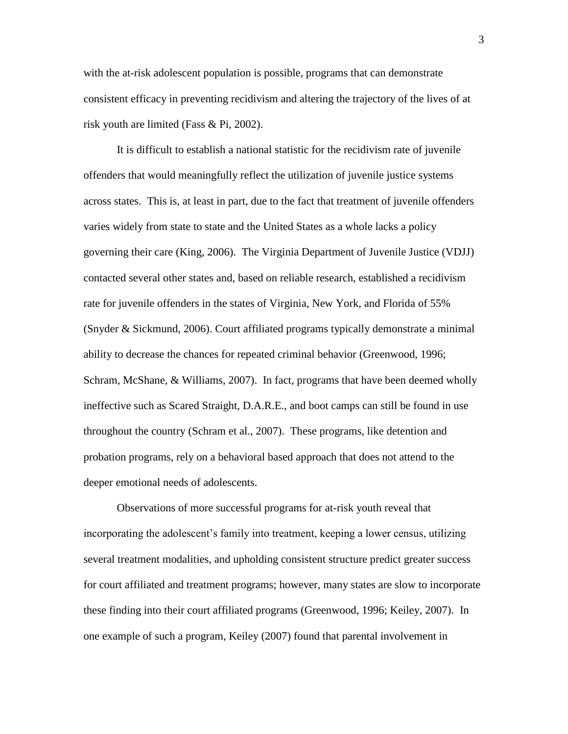with the at-risk adolescent population is possible, programs that can demonstrate consistent efficacy in preventing recidivism and altering the trajectory of the lives of at risk youth are limited (Fass & Pi, 2002).

It is difficult to establish a national statistic for the recidivism rate of juvenile offenders that would meaningfully reflect the utilization of juvenile justice systems across states. This is, at least in part, due to the fact that treatment of juvenile offenders varies widely from state to state and the United States as a whole lacks a policy governing their care (King, 2006). The Virginia Department of Juvenile Justice (VDJJ) contacted several other states and, based on reliable research, established a recidivism rate for juvenile offenders in the states of Virginia, New York, and Florida of 55% (Snyder & Sickmund, 2006). Court affiliated programs typically demonstrate a minimal ability to decrease the chances for repeated criminal behavior (Greenwood, 1996; Schram, McShane, & Williams, 2007). In fact, programs that have been deemed wholly ineffective such as Scared Straight, D.A.R.E., and boot camps can still be found in use throughout the country (Schram et al., 2007). These programs, like detention and probation programs, rely on a behavioral based approach that does not attend to the deeper emotional needs of adolescents.

Observations of more successful programs for at-risk youth reveal that incorporating the adolescent's family into treatment, keeping a lower census, utilizing several treatment modalities, and upholding consistent structure predict greater success for court affiliated and treatment programs; however, many states are slow to incorporate these finding into their court affiliated programs (Greenwood, 1996; Keiley, 2007). In one example of such a program, Keiley (2007) found that parental involvement in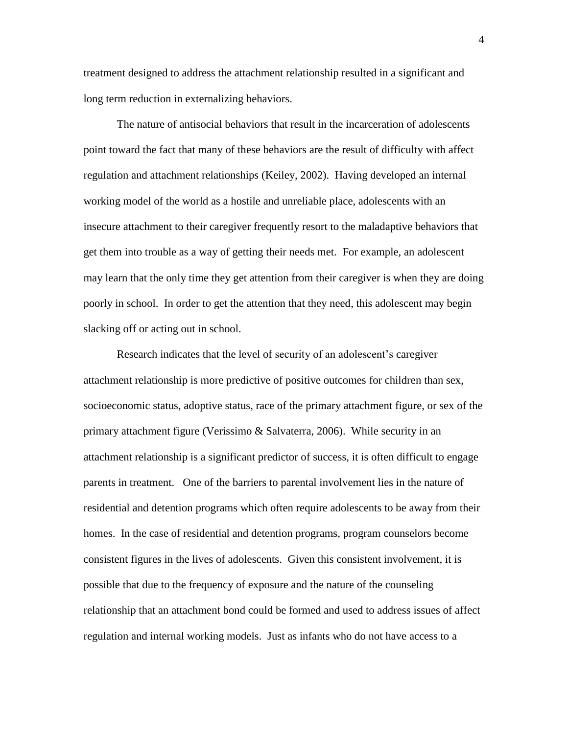treatment designed to address the attachment relationship resulted in a significant and long term reduction in externalizing behaviors.

The nature of antisocial behaviors that result in the incarceration of adolescents point toward the fact that many of these behaviors are the result of difficulty with affect regulation and attachment relationships (Keiley, 2002). Having developed an internal working model of the world as a hostile and unreliable place, adolescents with an insecure attachment to their caregiver frequently resort to the maladaptive behaviors that get them into trouble as a way of getting their needs met. For example, an adolescent may learn that the only time they get attention from their caregiver is when they are doing poorly in school. In order to get the attention that they need, this adolescent may begin slacking off or acting out in school.

Research indicates that the level of security of an adolescent's caregiver attachment relationship is more predictive of positive outcomes for children than sex, socioeconomic status, adoptive status, race of the primary attachment figure, or sex of the primary attachment figure (Verissimo & Salvaterra, 2006). While security in an attachment relationship is a significant predictor of success, it is often difficult to engage parents in treatment. One of the barriers to parental involvement lies in the nature of residential and detention programs which often require adolescents to be away from their homes. In the case of residential and detention programs, program counselors become consistent figures in the lives of adolescents. Given this consistent involvement, it is possible that due to the frequency of exposure and the nature of the counseling relationship that an attachment bond could be formed and used to address issues of affect regulation and internal working models. Just as infants who do not have access to a

4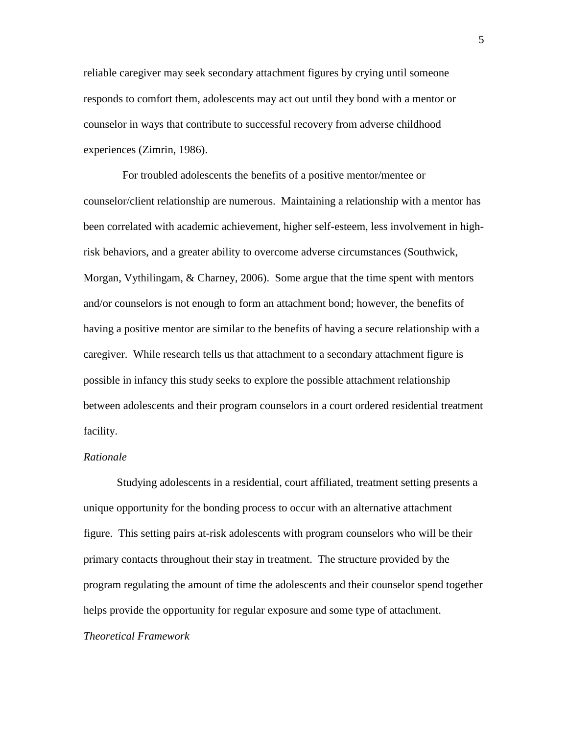reliable caregiver may seek secondary attachment figures by crying until someone responds to comfort them, adolescents may act out until they bond with a mentor or counselor in ways that contribute to successful recovery from adverse childhood experiences (Zimrin, 1986).

 For troubled adolescents the benefits of a positive mentor/mentee or counselor/client relationship are numerous. Maintaining a relationship with a mentor has been correlated with academic achievement, higher self-esteem, less involvement in highrisk behaviors, and a greater ability to overcome adverse circumstances (Southwick, Morgan, Vythilingam, & Charney, 2006). Some argue that the time spent with mentors and/or counselors is not enough to form an attachment bond; however, the benefits of having a positive mentor are similar to the benefits of having a secure relationship with a caregiver. While research tells us that attachment to a secondary attachment figure is possible in infancy this study seeks to explore the possible attachment relationship between adolescents and their program counselors in a court ordered residential treatment facility.

#### *Rationale*

Studying adolescents in a residential, court affiliated, treatment setting presents a unique opportunity for the bonding process to occur with an alternative attachment figure. This setting pairs at-risk adolescents with program counselors who will be their primary contacts throughout their stay in treatment. The structure provided by the program regulating the amount of time the adolescents and their counselor spend together helps provide the opportunity for regular exposure and some type of attachment. *Theoretical Framework*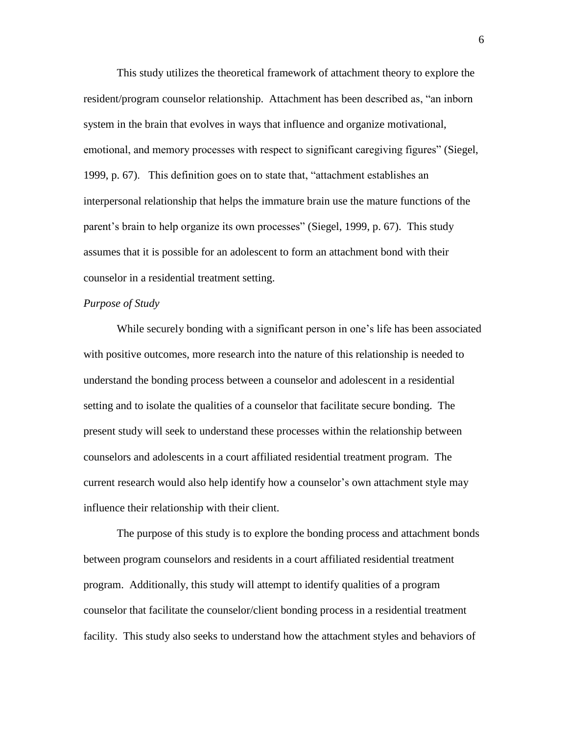This study utilizes the theoretical framework of attachment theory to explore the resident/program counselor relationship. Attachment has been described as, "an inborn system in the brain that evolves in ways that influence and organize motivational, emotional, and memory processes with respect to significant caregiving figures" (Siegel, 1999, p. 67). This definition goes on to state that, "attachment establishes an interpersonal relationship that helps the immature brain use the mature functions of the parent's brain to help organize its own processes" (Siegel, 1999, p. 67). This study assumes that it is possible for an adolescent to form an attachment bond with their counselor in a residential treatment setting.

#### *Purpose of Study*

While securely bonding with a significant person in one's life has been associated with positive outcomes, more research into the nature of this relationship is needed to understand the bonding process between a counselor and adolescent in a residential setting and to isolate the qualities of a counselor that facilitate secure bonding. The present study will seek to understand these processes within the relationship between counselors and adolescents in a court affiliated residential treatment program. The current research would also help identify how a counselor's own attachment style may influence their relationship with their client.

The purpose of this study is to explore the bonding process and attachment bonds between program counselors and residents in a court affiliated residential treatment program. Additionally, this study will attempt to identify qualities of a program counselor that facilitate the counselor/client bonding process in a residential treatment facility. This study also seeks to understand how the attachment styles and behaviors of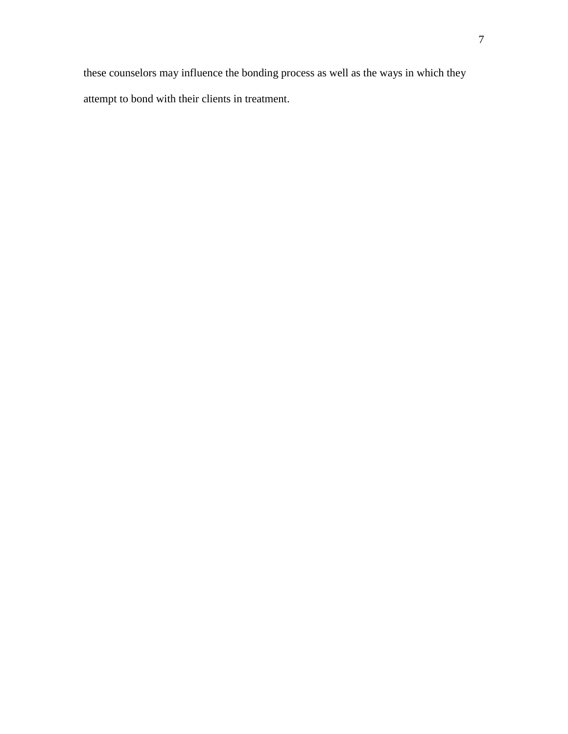these counselors may influence the bonding process as well as the ways in which they attempt to bond with their clients in treatment.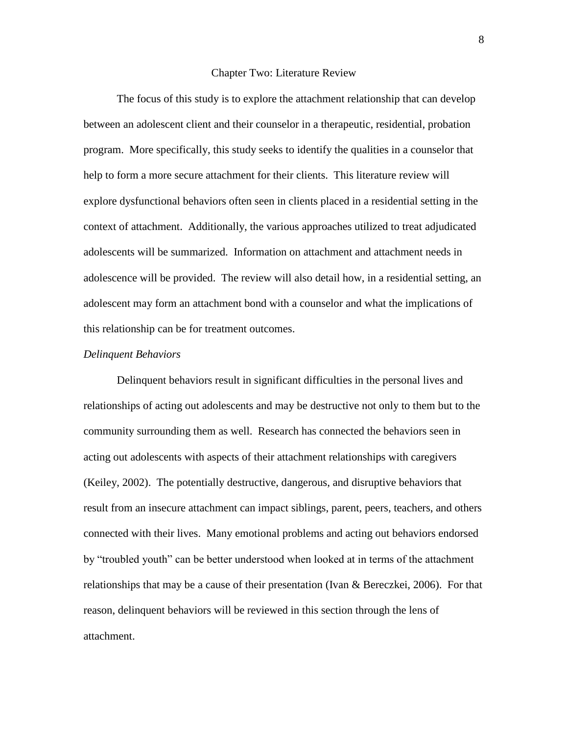#### Chapter Two: Literature Review

The focus of this study is to explore the attachment relationship that can develop between an adolescent client and their counselor in a therapeutic, residential, probation program. More specifically, this study seeks to identify the qualities in a counselor that help to form a more secure attachment for their clients. This literature review will explore dysfunctional behaviors often seen in clients placed in a residential setting in the context of attachment. Additionally, the various approaches utilized to treat adjudicated adolescents will be summarized. Information on attachment and attachment needs in adolescence will be provided. The review will also detail how, in a residential setting, an adolescent may form an attachment bond with a counselor and what the implications of this relationship can be for treatment outcomes.

#### *Delinquent Behaviors*

Delinquent behaviors result in significant difficulties in the personal lives and relationships of acting out adolescents and may be destructive not only to them but to the community surrounding them as well. Research has connected the behaviors seen in acting out adolescents with aspects of their attachment relationships with caregivers (Keiley, 2002). The potentially destructive, dangerous, and disruptive behaviors that result from an insecure attachment can impact siblings, parent, peers, teachers, and others connected with their lives. Many emotional problems and acting out behaviors endorsed by "troubled youth" can be better understood when looked at in terms of the attachment relationships that may be a cause of their presentation (Ivan & Bereczkei, 2006). For that reason, delinquent behaviors will be reviewed in this section through the lens of attachment.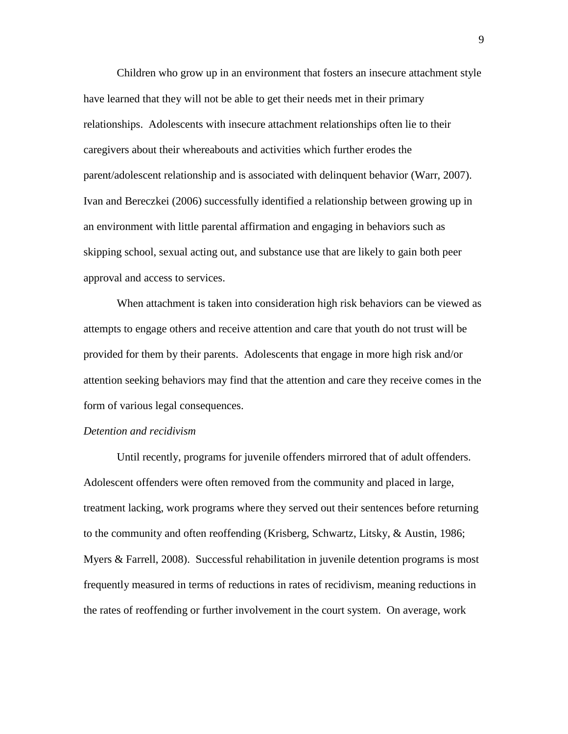Children who grow up in an environment that fosters an insecure attachment style have learned that they will not be able to get their needs met in their primary relationships. Adolescents with insecure attachment relationships often lie to their caregivers about their whereabouts and activities which further erodes the parent/adolescent relationship and is associated with delinquent behavior (Warr, 2007). Ivan and Bereczkei (2006) successfully identified a relationship between growing up in an environment with little parental affirmation and engaging in behaviors such as skipping school, sexual acting out, and substance use that are likely to gain both peer approval and access to services.

When attachment is taken into consideration high risk behaviors can be viewed as attempts to engage others and receive attention and care that youth do not trust will be provided for them by their parents. Adolescents that engage in more high risk and/or attention seeking behaviors may find that the attention and care they receive comes in the form of various legal consequences.

#### *Detention and recidivism*

Until recently, programs for juvenile offenders mirrored that of adult offenders. Adolescent offenders were often removed from the community and placed in large, treatment lacking, work programs where they served out their sentences before returning to the community and often reoffending (Krisberg, Schwartz, Litsky, & Austin, 1986; Myers & Farrell, 2008). Successful rehabilitation in juvenile detention programs is most frequently measured in terms of reductions in rates of recidivism, meaning reductions in the rates of reoffending or further involvement in the court system. On average, work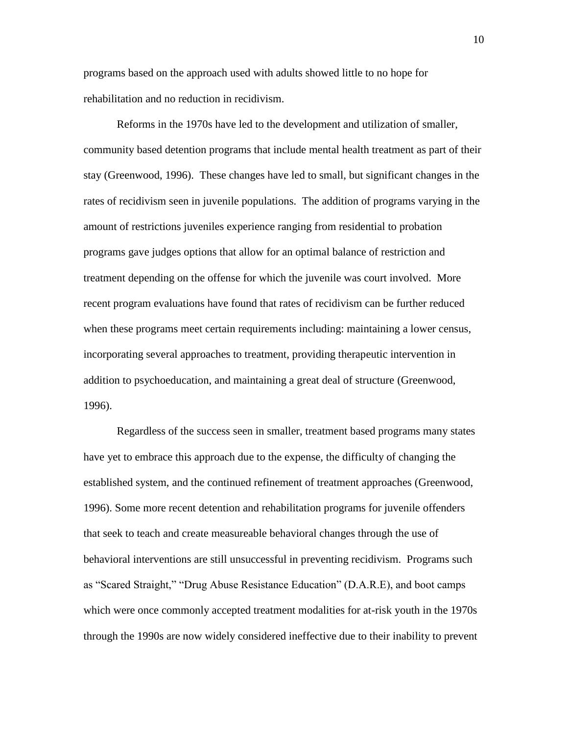programs based on the approach used with adults showed little to no hope for rehabilitation and no reduction in recidivism.

Reforms in the 1970s have led to the development and utilization of smaller, community based detention programs that include mental health treatment as part of their stay (Greenwood, 1996). These changes have led to small, but significant changes in the rates of recidivism seen in juvenile populations. The addition of programs varying in the amount of restrictions juveniles experience ranging from residential to probation programs gave judges options that allow for an optimal balance of restriction and treatment depending on the offense for which the juvenile was court involved. More recent program evaluations have found that rates of recidivism can be further reduced when these programs meet certain requirements including: maintaining a lower census, incorporating several approaches to treatment, providing therapeutic intervention in addition to psychoeducation, and maintaining a great deal of structure (Greenwood, 1996).

Regardless of the success seen in smaller, treatment based programs many states have yet to embrace this approach due to the expense, the difficulty of changing the established system, and the continued refinement of treatment approaches (Greenwood, 1996). Some more recent detention and rehabilitation programs for juvenile offenders that seek to teach and create measureable behavioral changes through the use of behavioral interventions are still unsuccessful in preventing recidivism. Programs such as "Scared Straight," "Drug Abuse Resistance Education" (D.A.R.E), and boot camps which were once commonly accepted treatment modalities for at-risk youth in the 1970s through the 1990s are now widely considered ineffective due to their inability to prevent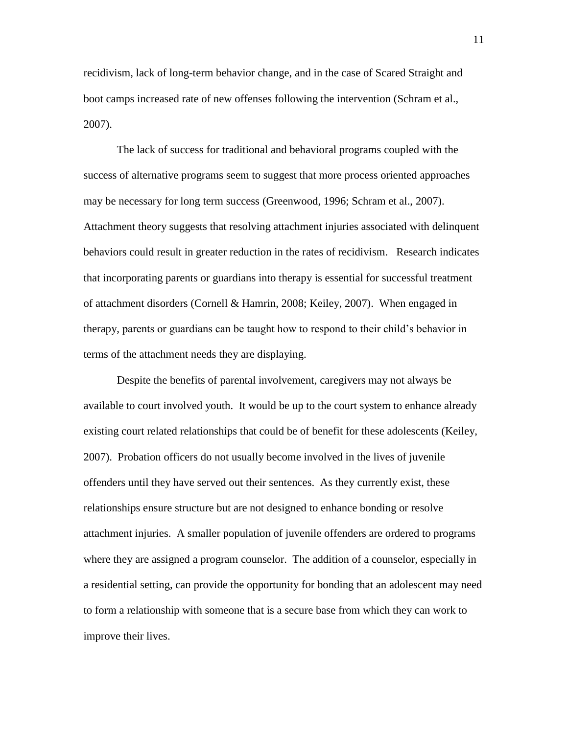recidivism, lack of long-term behavior change, and in the case of Scared Straight and boot camps increased rate of new offenses following the intervention (Schram et al., 2007).

The lack of success for traditional and behavioral programs coupled with the success of alternative programs seem to suggest that more process oriented approaches may be necessary for long term success (Greenwood, 1996; Schram et al., 2007). Attachment theory suggests that resolving attachment injuries associated with delinquent behaviors could result in greater reduction in the rates of recidivism. Research indicates that incorporating parents or guardians into therapy is essential for successful treatment of attachment disorders (Cornell & Hamrin, 2008; Keiley, 2007). When engaged in therapy, parents or guardians can be taught how to respond to their child's behavior in terms of the attachment needs they are displaying.

Despite the benefits of parental involvement, caregivers may not always be available to court involved youth. It would be up to the court system to enhance already existing court related relationships that could be of benefit for these adolescents (Keiley, 2007). Probation officers do not usually become involved in the lives of juvenile offenders until they have served out their sentences. As they currently exist, these relationships ensure structure but are not designed to enhance bonding or resolve attachment injuries. A smaller population of juvenile offenders are ordered to programs where they are assigned a program counselor. The addition of a counselor, especially in a residential setting, can provide the opportunity for bonding that an adolescent may need to form a relationship with someone that is a secure base from which they can work to improve their lives.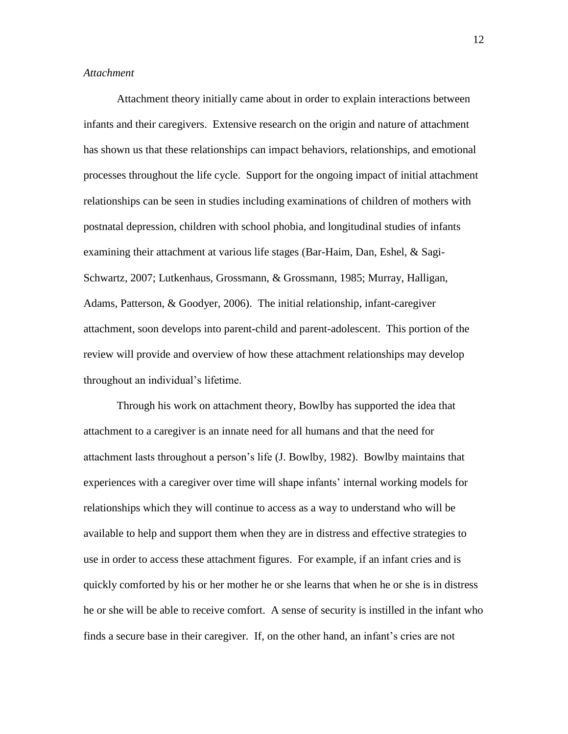#### *Attachment*

Attachment theory initially came about in order to explain interactions between infants and their caregivers. Extensive research on the origin and nature of attachment has shown us that these relationships can impact behaviors, relationships, and emotional processes throughout the life cycle. Support for the ongoing impact of initial attachment relationships can be seen in studies including examinations of children of mothers with postnatal depression, children with school phobia, and longitudinal studies of infants examining their attachment at various life stages (Bar-Haim, Dan, Eshel, & Sagi-Schwartz, 2007; Lutkenhaus, Grossmann, & Grossmann, 1985; Murray, Halligan, Adams, Patterson, & Goodyer, 2006). The initial relationship, infant-caregiver attachment, soon develops into parent-child and parent-adolescent. This portion of the review will provide and overview of how these attachment relationships may develop throughout an individual's lifetime.

Through his work on attachment theory, Bowlby has supported the idea that attachment to a caregiver is an innate need for all humans and that the need for attachment lasts throughout a person's life (J. Bowlby, 1982). Bowlby maintains that experiences with a caregiver over time will shape infants' internal working models for relationships which they will continue to access as a way to understand who will be available to help and support them when they are in distress and effective strategies to use in order to access these attachment figures. For example, if an infant cries and is quickly comforted by his or her mother he or she learns that when he or she is in distress he or she will be able to receive comfort. A sense of security is instilled in the infant who finds a secure base in their caregiver. If, on the other hand, an infant's cries are not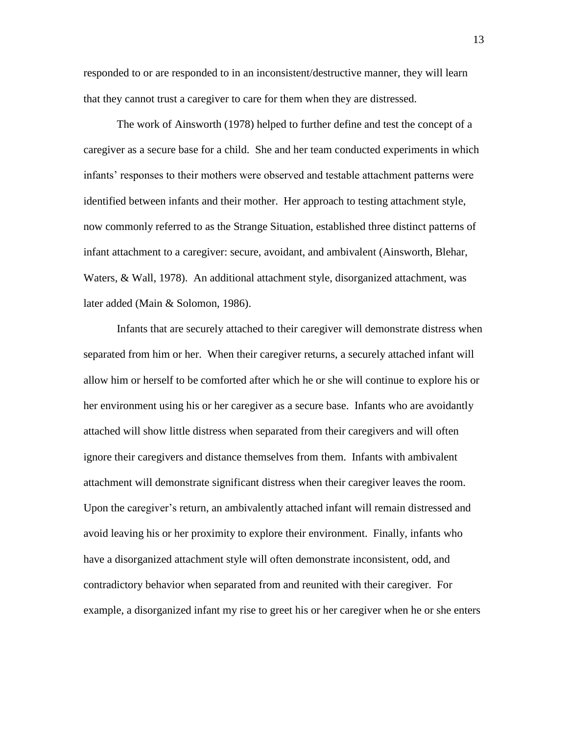responded to or are responded to in an inconsistent/destructive manner, they will learn that they cannot trust a caregiver to care for them when they are distressed.

The work of Ainsworth (1978) helped to further define and test the concept of a caregiver as a secure base for a child. She and her team conducted experiments in which infants' responses to their mothers were observed and testable attachment patterns were identified between infants and their mother. Her approach to testing attachment style, now commonly referred to as the Strange Situation, established three distinct patterns of infant attachment to a caregiver: secure, avoidant, and ambivalent (Ainsworth, Blehar, Waters, & Wall, 1978). An additional attachment style, disorganized attachment, was later added (Main & Solomon, 1986).

Infants that are securely attached to their caregiver will demonstrate distress when separated from him or her. When their caregiver returns, a securely attached infant will allow him or herself to be comforted after which he or she will continue to explore his or her environment using his or her caregiver as a secure base. Infants who are avoidantly attached will show little distress when separated from their caregivers and will often ignore their caregivers and distance themselves from them. Infants with ambivalent attachment will demonstrate significant distress when their caregiver leaves the room. Upon the caregiver's return, an ambivalently attached infant will remain distressed and avoid leaving his or her proximity to explore their environment. Finally, infants who have a disorganized attachment style will often demonstrate inconsistent, odd, and contradictory behavior when separated from and reunited with their caregiver. For example, a disorganized infant my rise to greet his or her caregiver when he or she enters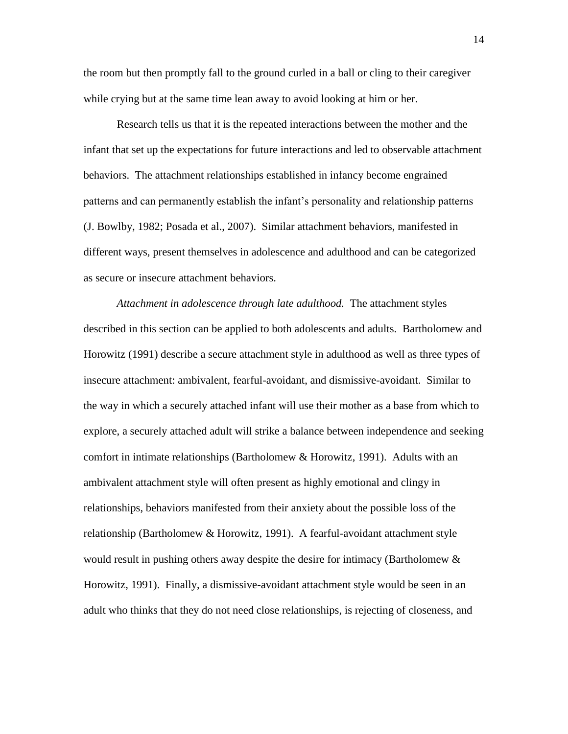the room but then promptly fall to the ground curled in a ball or cling to their caregiver while crying but at the same time lean away to avoid looking at him or her.

Research tells us that it is the repeated interactions between the mother and the infant that set up the expectations for future interactions and led to observable attachment behaviors. The attachment relationships established in infancy become engrained patterns and can permanently establish the infant's personality and relationship patterns (J. Bowlby, 1982; Posada et al., 2007). Similar attachment behaviors, manifested in different ways, present themselves in adolescence and adulthood and can be categorized as secure or insecure attachment behaviors.

*Attachment in adolescence through late adulthood.* The attachment styles described in this section can be applied to both adolescents and adults. Bartholomew and Horowitz (1991) describe a secure attachment style in adulthood as well as three types of insecure attachment: ambivalent, fearful-avoidant, and dismissive-avoidant. Similar to the way in which a securely attached infant will use their mother as a base from which to explore, a securely attached adult will strike a balance between independence and seeking comfort in intimate relationships (Bartholomew  $&$  Horowitz, 1991). Adults with an ambivalent attachment style will often present as highly emotional and clingy in relationships, behaviors manifested from their anxiety about the possible loss of the relationship (Bartholomew & Horowitz, 1991). A fearful-avoidant attachment style would result in pushing others away despite the desire for intimacy (Bartholomew & Horowitz, 1991). Finally, a dismissive-avoidant attachment style would be seen in an adult who thinks that they do not need close relationships, is rejecting of closeness, and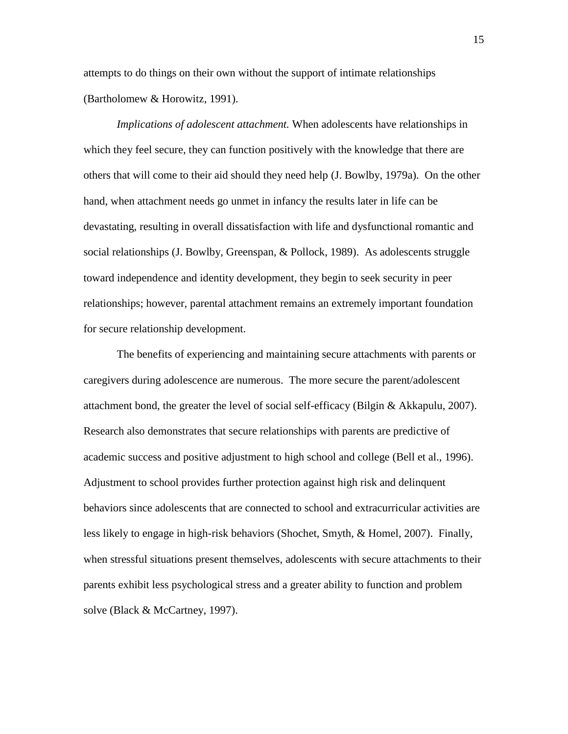attempts to do things on their own without the support of intimate relationships (Bartholomew & Horowitz, 1991).

*Implications of adolescent attachment.* When adolescents have relationships in which they feel secure, they can function positively with the knowledge that there are others that will come to their aid should they need help (J. Bowlby, 1979a). On the other hand, when attachment needs go unmet in infancy the results later in life can be devastating, resulting in overall dissatisfaction with life and dysfunctional romantic and social relationships (J. Bowlby, Greenspan, & Pollock, 1989). As adolescents struggle toward independence and identity development, they begin to seek security in peer relationships; however, parental attachment remains an extremely important foundation for secure relationship development.

The benefits of experiencing and maintaining secure attachments with parents or caregivers during adolescence are numerous. The more secure the parent/adolescent attachment bond, the greater the level of social self-efficacy (Bilgin & Akkapulu, 2007). Research also demonstrates that secure relationships with parents are predictive of academic success and positive adjustment to high school and college (Bell et al., 1996). Adjustment to school provides further protection against high risk and delinquent behaviors since adolescents that are connected to school and extracurricular activities are less likely to engage in high-risk behaviors (Shochet, Smyth, & Homel, 2007). Finally, when stressful situations present themselves, adolescents with secure attachments to their parents exhibit less psychological stress and a greater ability to function and problem solve (Black & McCartney, 1997).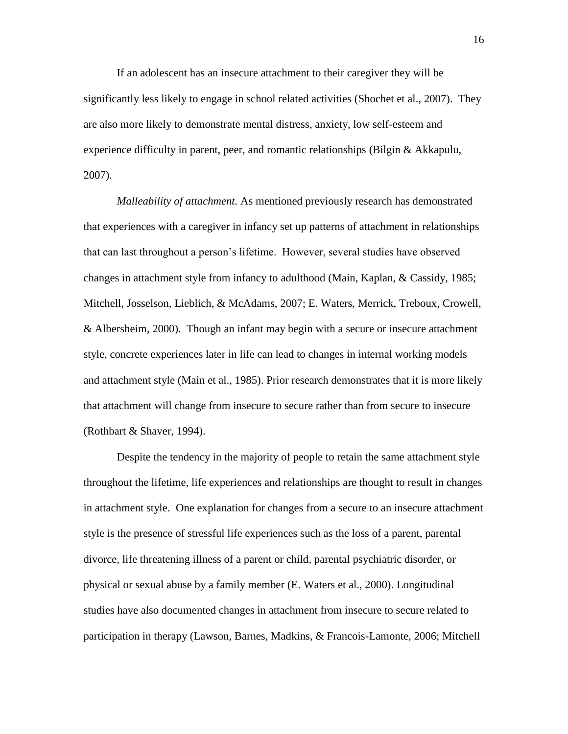If an adolescent has an insecure attachment to their caregiver they will be significantly less likely to engage in school related activities (Shochet et al., 2007). They are also more likely to demonstrate mental distress, anxiety, low self-esteem and experience difficulty in parent, peer, and romantic relationships (Bilgin & Akkapulu, 2007).

*Malleability of attachment.* As mentioned previously research has demonstrated that experiences with a caregiver in infancy set up patterns of attachment in relationships that can last throughout a person's lifetime. However, several studies have observed changes in attachment style from infancy to adulthood (Main, Kaplan, & Cassidy, 1985; Mitchell, Josselson, Lieblich, & McAdams, 2007; E. Waters, Merrick, Treboux, Crowell, & Albersheim, 2000). Though an infant may begin with a secure or insecure attachment style, concrete experiences later in life can lead to changes in internal working models and attachment style (Main et al., 1985). Prior research demonstrates that it is more likely that attachment will change from insecure to secure rather than from secure to insecure (Rothbart & Shaver, 1994).

Despite the tendency in the majority of people to retain the same attachment style throughout the lifetime, life experiences and relationships are thought to result in changes in attachment style. One explanation for changes from a secure to an insecure attachment style is the presence of stressful life experiences such as the loss of a parent, parental divorce, life threatening illness of a parent or child, parental psychiatric disorder, or physical or sexual abuse by a family member (E. Waters et al., 2000). Longitudinal studies have also documented changes in attachment from insecure to secure related to participation in therapy (Lawson, Barnes, Madkins, & Francois-Lamonte, 2006; Mitchell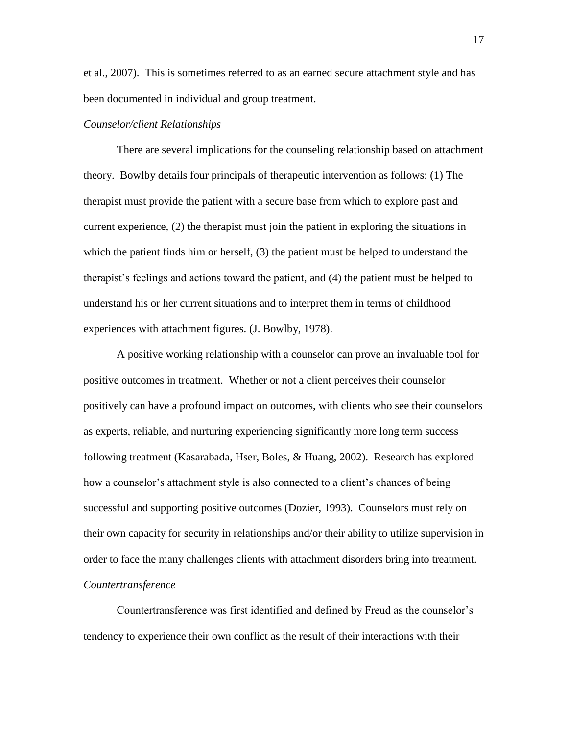et al., 2007). This is sometimes referred to as an earned secure attachment style and has been documented in individual and group treatment.

### *Counselor/client Relationships*

There are several implications for the counseling relationship based on attachment theory. Bowlby details four principals of therapeutic intervention as follows: (1) The therapist must provide the patient with a secure base from which to explore past and current experience, (2) the therapist must join the patient in exploring the situations in which the patient finds him or herself, (3) the patient must be helped to understand the therapist's feelings and actions toward the patient, and (4) the patient must be helped to understand his or her current situations and to interpret them in terms of childhood experiences with attachment figures. (J. Bowlby, 1978).

A positive working relationship with a counselor can prove an invaluable tool for positive outcomes in treatment. Whether or not a client perceives their counselor positively can have a profound impact on outcomes, with clients who see their counselors as experts, reliable, and nurturing experiencing significantly more long term success following treatment (Kasarabada, Hser, Boles, & Huang, 2002). Research has explored how a counselor's attachment style is also connected to a client's chances of being successful and supporting positive outcomes (Dozier, 1993). Counselors must rely on their own capacity for security in relationships and/or their ability to utilize supervision in order to face the many challenges clients with attachment disorders bring into treatment. *Countertransference*

Countertransference was first identified and defined by Freud as the counselor's tendency to experience their own conflict as the result of their interactions with their

17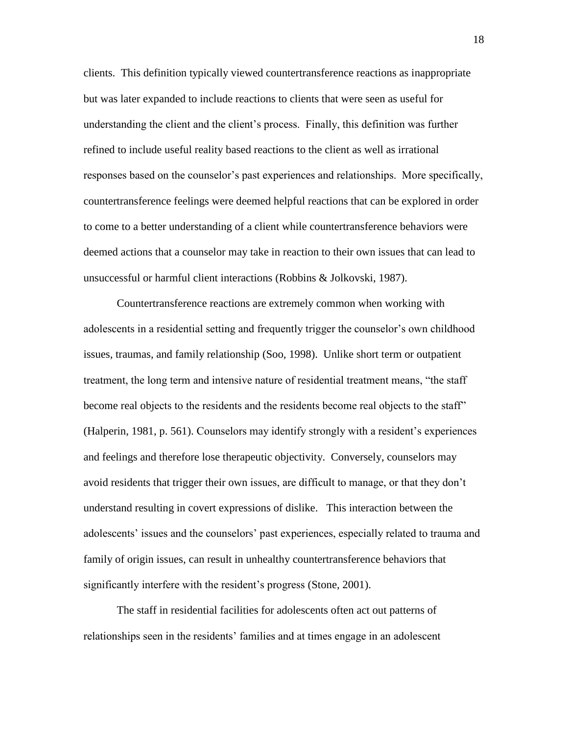clients. This definition typically viewed countertransference reactions as inappropriate but was later expanded to include reactions to clients that were seen as useful for understanding the client and the client's process. Finally, this definition was further refined to include useful reality based reactions to the client as well as irrational responses based on the counselor's past experiences and relationships. More specifically, countertransference feelings were deemed helpful reactions that can be explored in order to come to a better understanding of a client while countertransference behaviors were deemed actions that a counselor may take in reaction to their own issues that can lead to unsuccessful or harmful client interactions (Robbins & Jolkovski, 1987).

Countertransference reactions are extremely common when working with adolescents in a residential setting and frequently trigger the counselor's own childhood issues, traumas, and family relationship (Soo, 1998). Unlike short term or outpatient treatment, the long term and intensive nature of residential treatment means, "the staff become real objects to the residents and the residents become real objects to the staff" (Halperin, 1981, p. 561). Counselors may identify strongly with a resident's experiences and feelings and therefore lose therapeutic objectivity. Conversely, counselors may avoid residents that trigger their own issues, are difficult to manage, or that they don't understand resulting in covert expressions of dislike. This interaction between the adolescents' issues and the counselors' past experiences, especially related to trauma and family of origin issues, can result in unhealthy countertransference behaviors that significantly interfere with the resident's progress (Stone, 2001).

The staff in residential facilities for adolescents often act out patterns of relationships seen in the residents' families and at times engage in an adolescent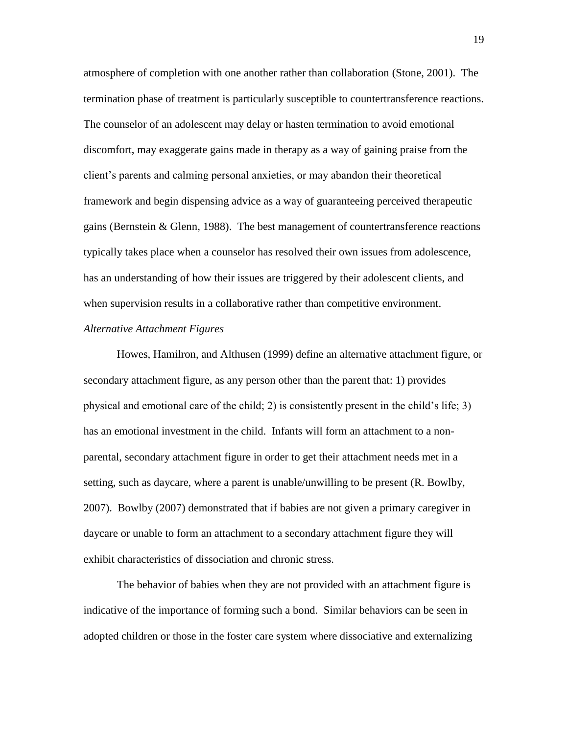atmosphere of completion with one another rather than collaboration (Stone, 2001). The termination phase of treatment is particularly susceptible to countertransference reactions. The counselor of an adolescent may delay or hasten termination to avoid emotional discomfort, may exaggerate gains made in therapy as a way of gaining praise from the client's parents and calming personal anxieties, or may abandon their theoretical framework and begin dispensing advice as a way of guaranteeing perceived therapeutic gains (Bernstein & Glenn, 1988). The best management of countertransference reactions typically takes place when a counselor has resolved their own issues from adolescence, has an understanding of how their issues are triggered by their adolescent clients, and when supervision results in a collaborative rather than competitive environment. *Alternative Attachment Figures*

Howes, Hamilron, and Althusen (1999) define an alternative attachment figure, or secondary attachment figure, as any person other than the parent that: 1) provides physical and emotional care of the child; 2) is consistently present in the child's life; 3) has an emotional investment in the child. Infants will form an attachment to a nonparental, secondary attachment figure in order to get their attachment needs met in a setting, such as daycare, where a parent is unable/unwilling to be present (R. Bowlby, 2007). Bowlby (2007) demonstrated that if babies are not given a primary caregiver in daycare or unable to form an attachment to a secondary attachment figure they will exhibit characteristics of dissociation and chronic stress.

The behavior of babies when they are not provided with an attachment figure is indicative of the importance of forming such a bond. Similar behaviors can be seen in adopted children or those in the foster care system where dissociative and externalizing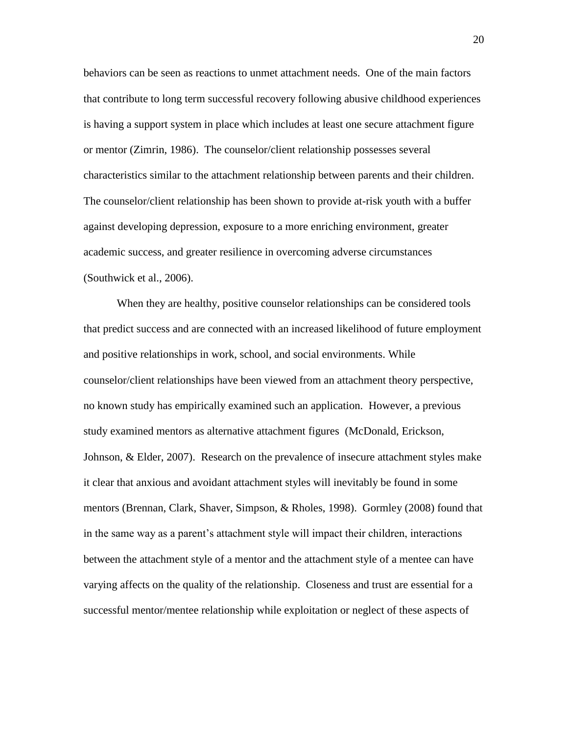behaviors can be seen as reactions to unmet attachment needs. One of the main factors that contribute to long term successful recovery following abusive childhood experiences is having a support system in place which includes at least one secure attachment figure or mentor (Zimrin, 1986). The counselor/client relationship possesses several characteristics similar to the attachment relationship between parents and their children. The counselor/client relationship has been shown to provide at-risk youth with a buffer against developing depression, exposure to a more enriching environment, greater academic success, and greater resilience in overcoming adverse circumstances (Southwick et al., 2006).

When they are healthy, positive counselor relationships can be considered tools that predict success and are connected with an increased likelihood of future employment and positive relationships in work, school, and social environments. While counselor/client relationships have been viewed from an attachment theory perspective, no known study has empirically examined such an application. However, a previous study examined mentors as alternative attachment figures (McDonald, Erickson, Johnson, & Elder, 2007). Research on the prevalence of insecure attachment styles make it clear that anxious and avoidant attachment styles will inevitably be found in some mentors (Brennan, Clark, Shaver, Simpson, & Rholes, 1998). Gormley (2008) found that in the same way as a parent's attachment style will impact their children, interactions between the attachment style of a mentor and the attachment style of a mentee can have varying affects on the quality of the relationship. Closeness and trust are essential for a successful mentor/mentee relationship while exploitation or neglect of these aspects of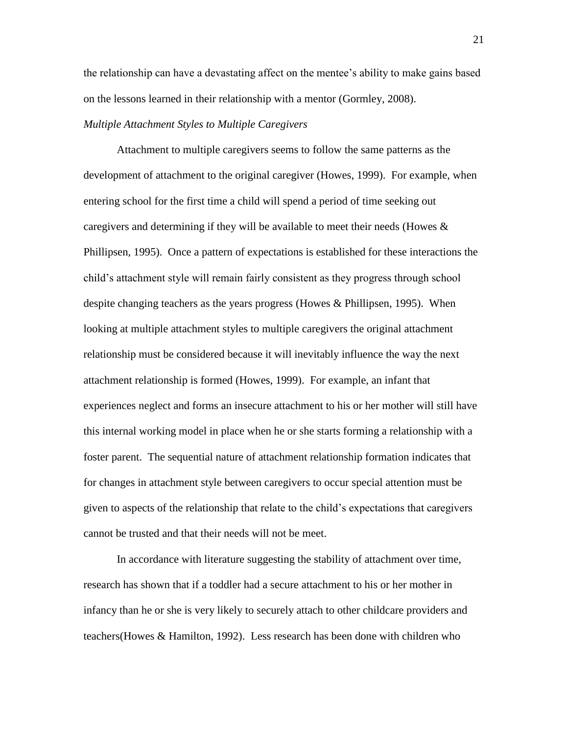the relationship can have a devastating affect on the mentee's ability to make gains based on the lessons learned in their relationship with a mentor (Gormley, 2008).

## *Multiple Attachment Styles to Multiple Caregivers*

Attachment to multiple caregivers seems to follow the same patterns as the development of attachment to the original caregiver (Howes, 1999). For example, when entering school for the first time a child will spend a period of time seeking out caregivers and determining if they will be available to meet their needs (Howes  $\&$ Phillipsen, 1995). Once a pattern of expectations is established for these interactions the child's attachment style will remain fairly consistent as they progress through school despite changing teachers as the years progress (Howes & Phillipsen, 1995). When looking at multiple attachment styles to multiple caregivers the original attachment relationship must be considered because it will inevitably influence the way the next attachment relationship is formed (Howes, 1999). For example, an infant that experiences neglect and forms an insecure attachment to his or her mother will still have this internal working model in place when he or she starts forming a relationship with a foster parent. The sequential nature of attachment relationship formation indicates that for changes in attachment style between caregivers to occur special attention must be given to aspects of the relationship that relate to the child's expectations that caregivers cannot be trusted and that their needs will not be meet.

In accordance with literature suggesting the stability of attachment over time, research has shown that if a toddler had a secure attachment to his or her mother in infancy than he or she is very likely to securely attach to other childcare providers and teachers(Howes & Hamilton, 1992). Less research has been done with children who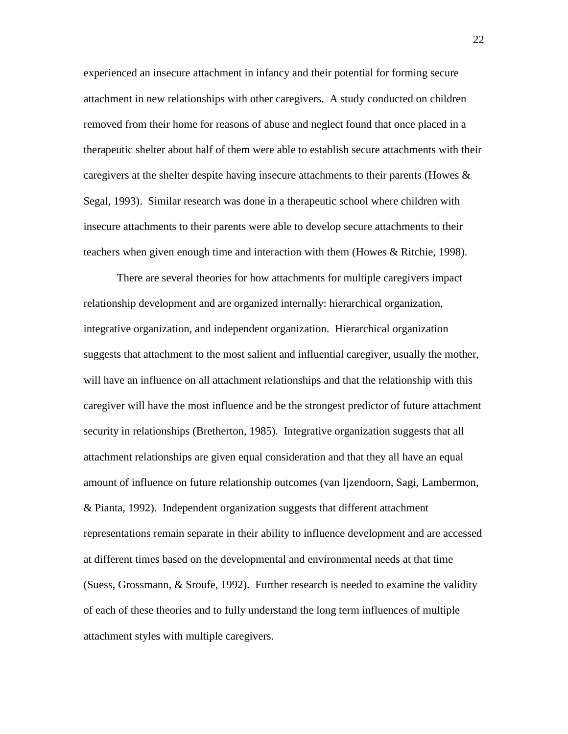experienced an insecure attachment in infancy and their potential for forming secure attachment in new relationships with other caregivers. A study conducted on children removed from their home for reasons of abuse and neglect found that once placed in a therapeutic shelter about half of them were able to establish secure attachments with their caregivers at the shelter despite having insecure attachments to their parents (Howes  $\&$ Segal, 1993). Similar research was done in a therapeutic school where children with insecure attachments to their parents were able to develop secure attachments to their teachers when given enough time and interaction with them (Howes & Ritchie, 1998).

There are several theories for how attachments for multiple caregivers impact relationship development and are organized internally: hierarchical organization, integrative organization, and independent organization. Hierarchical organization suggests that attachment to the most salient and influential caregiver, usually the mother, will have an influence on all attachment relationships and that the relationship with this caregiver will have the most influence and be the strongest predictor of future attachment security in relationships (Bretherton, 1985). Integrative organization suggests that all attachment relationships are given equal consideration and that they all have an equal amount of influence on future relationship outcomes (van Ijzendoorn, Sagi, Lambermon, & Pianta, 1992). Independent organization suggests that different attachment representations remain separate in their ability to influence development and are accessed at different times based on the developmental and environmental needs at that time (Suess, Grossmann, & Sroufe, 1992). Further research is needed to examine the validity of each of these theories and to fully understand the long term influences of multiple attachment styles with multiple caregivers.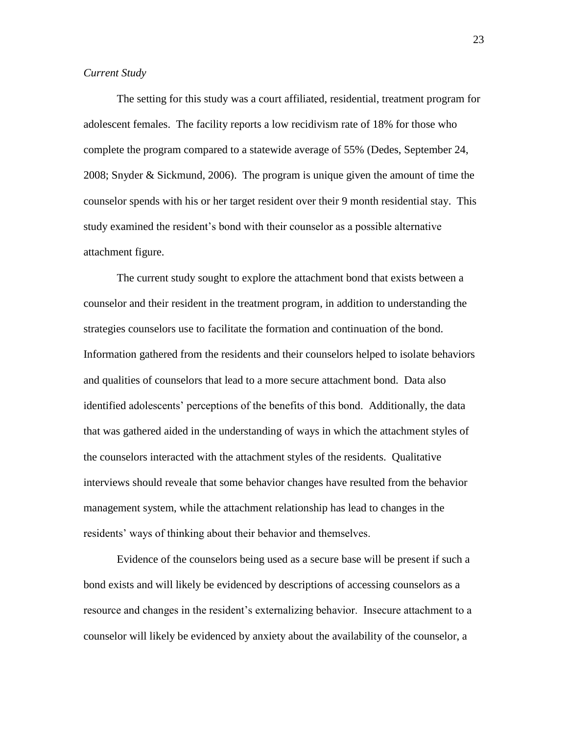#### *Current Study*

The setting for this study was a court affiliated, residential, treatment program for adolescent females. The facility reports a low recidivism rate of 18% for those who complete the program compared to a statewide average of 55% (Dedes, September 24, 2008; Snyder & Sickmund, 2006). The program is unique given the amount of time the counselor spends with his or her target resident over their 9 month residential stay. This study examined the resident's bond with their counselor as a possible alternative attachment figure.

The current study sought to explore the attachment bond that exists between a counselor and their resident in the treatment program, in addition to understanding the strategies counselors use to facilitate the formation and continuation of the bond. Information gathered from the residents and their counselors helped to isolate behaviors and qualities of counselors that lead to a more secure attachment bond. Data also identified adolescents' perceptions of the benefits of this bond. Additionally, the data that was gathered aided in the understanding of ways in which the attachment styles of the counselors interacted with the attachment styles of the residents. Qualitative interviews should reveale that some behavior changes have resulted from the behavior management system, while the attachment relationship has lead to changes in the residents' ways of thinking about their behavior and themselves.

Evidence of the counselors being used as a secure base will be present if such a bond exists and will likely be evidenced by descriptions of accessing counselors as a resource and changes in the resident's externalizing behavior. Insecure attachment to a counselor will likely be evidenced by anxiety about the availability of the counselor, a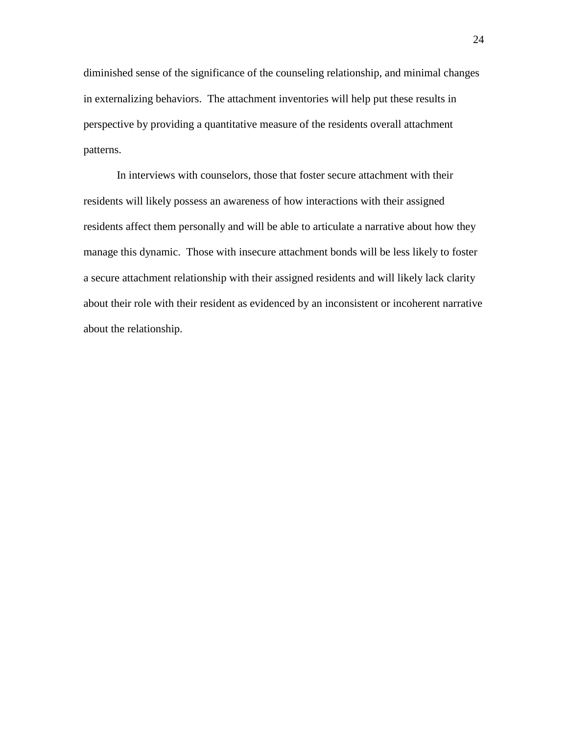diminished sense of the significance of the counseling relationship, and minimal changes in externalizing behaviors. The attachment inventories will help put these results in perspective by providing a quantitative measure of the residents overall attachment patterns.

In interviews with counselors, those that foster secure attachment with their residents will likely possess an awareness of how interactions with their assigned residents affect them personally and will be able to articulate a narrative about how they manage this dynamic. Those with insecure attachment bonds will be less likely to foster a secure attachment relationship with their assigned residents and will likely lack clarity about their role with their resident as evidenced by an inconsistent or incoherent narrative about the relationship.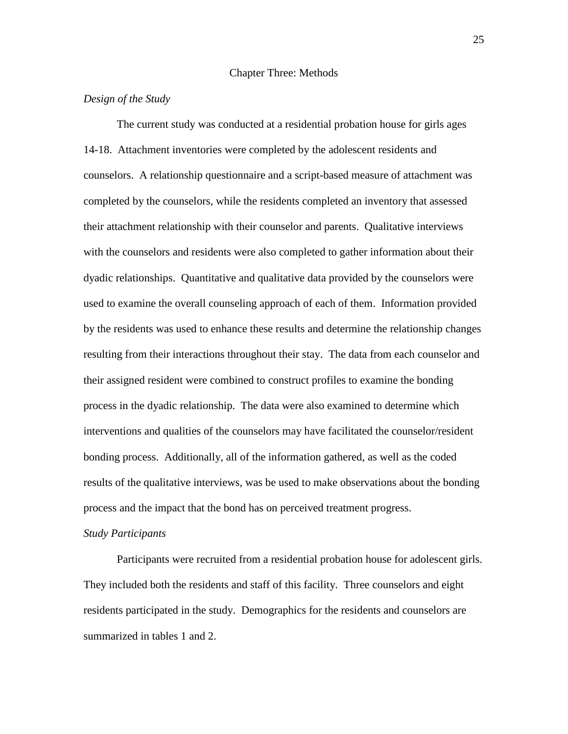#### Chapter Three: Methods

#### *Design of the Study*

The current study was conducted at a residential probation house for girls ages 14-18. Attachment inventories were completed by the adolescent residents and counselors. A relationship questionnaire and a script-based measure of attachment was completed by the counselors, while the residents completed an inventory that assessed their attachment relationship with their counselor and parents. Qualitative interviews with the counselors and residents were also completed to gather information about their dyadic relationships. Quantitative and qualitative data provided by the counselors were used to examine the overall counseling approach of each of them. Information provided by the residents was used to enhance these results and determine the relationship changes resulting from their interactions throughout their stay. The data from each counselor and their assigned resident were combined to construct profiles to examine the bonding process in the dyadic relationship. The data were also examined to determine which interventions and qualities of the counselors may have facilitated the counselor/resident bonding process. Additionally, all of the information gathered, as well as the coded results of the qualitative interviews, was be used to make observations about the bonding process and the impact that the bond has on perceived treatment progress.

#### *Study Participants*

Participants were recruited from a residential probation house for adolescent girls. They included both the residents and staff of this facility. Three counselors and eight residents participated in the study. Demographics for the residents and counselors are summarized in tables 1 and 2.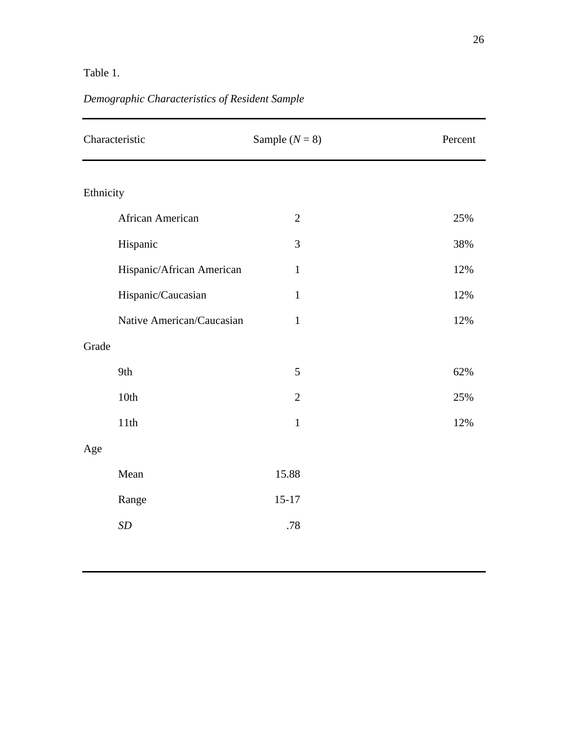# Table 1.

# *Demographic Characteristics of Resident Sample*

| Characteristic            | Sample $(N = 8)$ | Percent |
|---------------------------|------------------|---------|
| Ethnicity                 |                  |         |
| African American          | $\overline{2}$   | 25%     |
| Hispanic                  | 3                | 38%     |
| Hispanic/African American | $\mathbf{1}$     | 12%     |
| Hispanic/Caucasian        | $\mathbf{1}$     | 12%     |
| Native American/Caucasian | $\mathbf{1}$     | 12%     |
| Grade                     |                  |         |
| 9th                       | 5                | 62%     |
| 10th                      | $\mathfrak{2}$   | 25%     |
| 11th                      | $\mathbf{1}$     | 12%     |
| Age                       |                  |         |
| Mean                      | 15.88            |         |
| Range                     | $15 - 17$        |         |
| SD                        | .78              |         |
|                           |                  |         |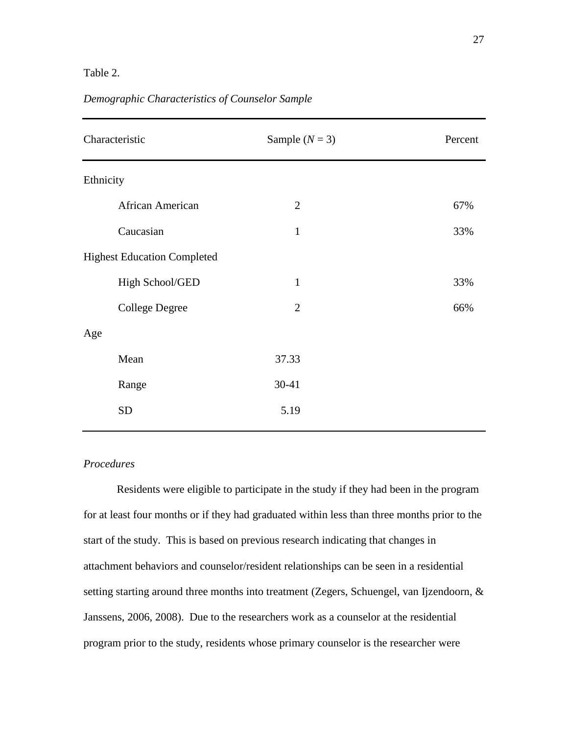## Table 2.

| Characteristic                     | Sample $(N = 3)$ | Percent |
|------------------------------------|------------------|---------|
| Ethnicity                          |                  |         |
| African American                   | $\overline{2}$   | 67%     |
| Caucasian                          | $\mathbf{1}$     | 33%     |
| <b>Highest Education Completed</b> |                  |         |
| High School/GED                    | $\mathbf{1}$     | 33%     |
| <b>College Degree</b>              | $\overline{2}$   | 66%     |
| Age                                |                  |         |
| Mean                               | 37.33            |         |
| Range                              | 30-41            |         |
| <b>SD</b>                          | 5.19             |         |

## *Demographic Characteristics of Counselor Sample*

## *Procedures*

Residents were eligible to participate in the study if they had been in the program for at least four months or if they had graduated within less than three months prior to the start of the study. This is based on previous research indicating that changes in attachment behaviors and counselor/resident relationships can be seen in a residential setting starting around three months into treatment (Zegers, Schuengel, van Ijzendoorn, & Janssens, 2006, 2008). Due to the researchers work as a counselor at the residential program prior to the study, residents whose primary counselor is the researcher were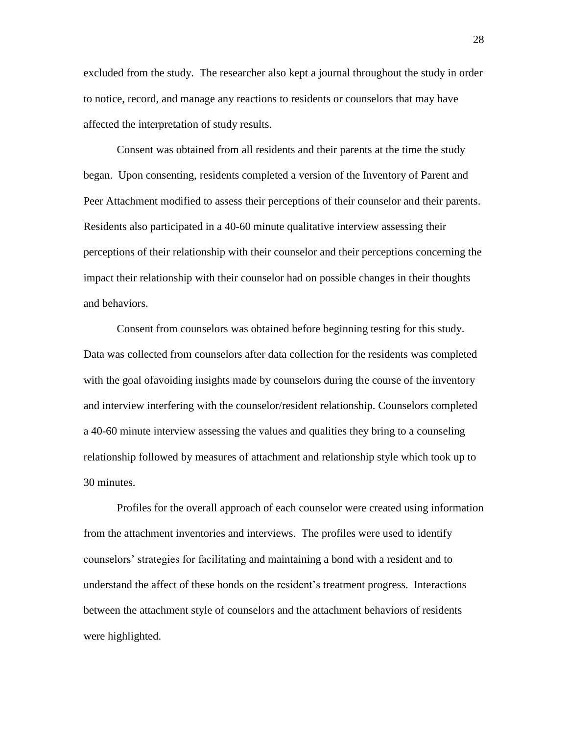excluded from the study. The researcher also kept a journal throughout the study in order to notice, record, and manage any reactions to residents or counselors that may have affected the interpretation of study results.

Consent was obtained from all residents and their parents at the time the study began. Upon consenting, residents completed a version of the Inventory of Parent and Peer Attachment modified to assess their perceptions of their counselor and their parents. Residents also participated in a 40-60 minute qualitative interview assessing their perceptions of their relationship with their counselor and their perceptions concerning the impact their relationship with their counselor had on possible changes in their thoughts and behaviors.

Consent from counselors was obtained before beginning testing for this study. Data was collected from counselors after data collection for the residents was completed with the goal of avoiding insights made by counselors during the course of the inventory and interview interfering with the counselor/resident relationship. Counselors completed a 40-60 minute interview assessing the values and qualities they bring to a counseling relationship followed by measures of attachment and relationship style which took up to 30 minutes.

Profiles for the overall approach of each counselor were created using information from the attachment inventories and interviews. The profiles were used to identify counselors' strategies for facilitating and maintaining a bond with a resident and to understand the affect of these bonds on the resident's treatment progress. Interactions between the attachment style of counselors and the attachment behaviors of residents were highlighted.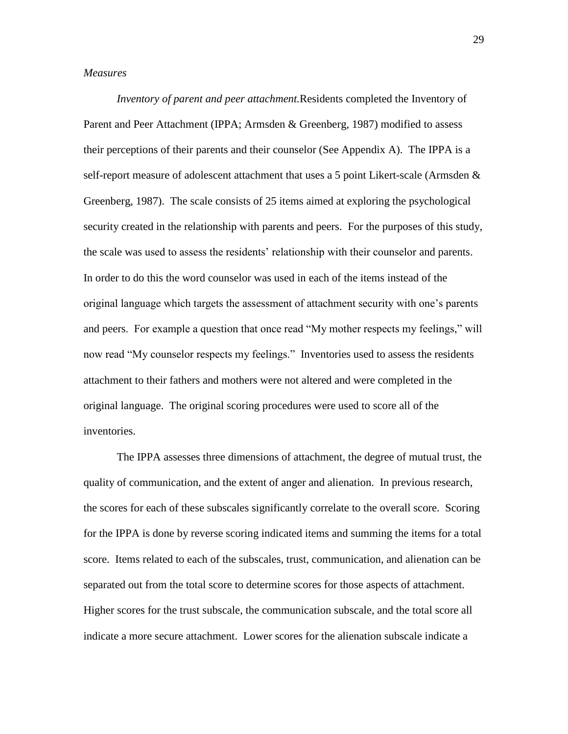#### *Measures*

*Inventory of parent and peer attachment.*Residents completed the Inventory of Parent and Peer Attachment (IPPA; Armsden & Greenberg, 1987) modified to assess their perceptions of their parents and their counselor (See Appendix A). The IPPA is a self-report measure of adolescent attachment that uses a 5 point Likert-scale (Armsden & Greenberg, 1987). The scale consists of 25 items aimed at exploring the psychological security created in the relationship with parents and peers. For the purposes of this study, the scale was used to assess the residents' relationship with their counselor and parents. In order to do this the word counselor was used in each of the items instead of the original language which targets the assessment of attachment security with one's parents and peers. For example a question that once read "My mother respects my feelings," will now read "My counselor respects my feelings." Inventories used to assess the residents attachment to their fathers and mothers were not altered and were completed in the original language. The original scoring procedures were used to score all of the inventories.

The IPPA assesses three dimensions of attachment, the degree of mutual trust, the quality of communication, and the extent of anger and alienation. In previous research, the scores for each of these subscales significantly correlate to the overall score. Scoring for the IPPA is done by reverse scoring indicated items and summing the items for a total score. Items related to each of the subscales, trust, communication, and alienation can be separated out from the total score to determine scores for those aspects of attachment. Higher scores for the trust subscale, the communication subscale, and the total score all indicate a more secure attachment. Lower scores for the alienation subscale indicate a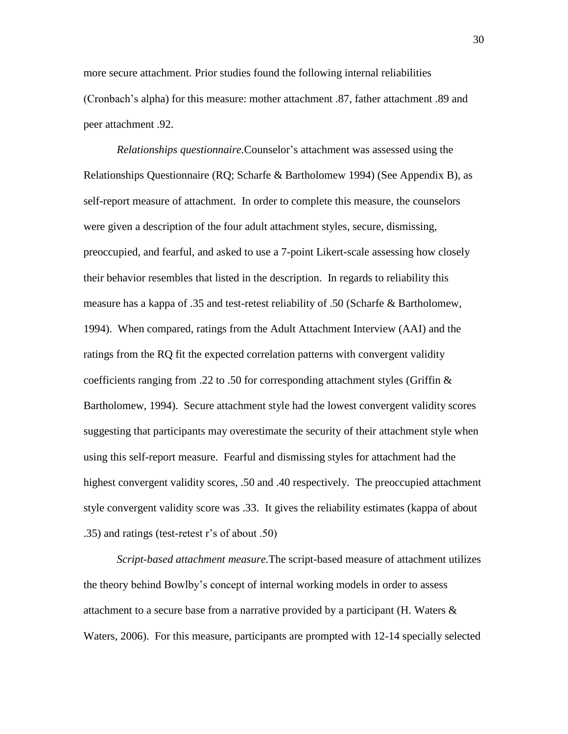more secure attachment. Prior studies found the following internal reliabilities (Cronbach's alpha) for this measure: mother attachment .87, father attachment .89 and peer attachment .92.

*Relationships questionnaire.*Counselor's attachment was assessed using the Relationships Questionnaire (RQ; Scharfe & Bartholomew 1994) (See Appendix B), as self-report measure of attachment. In order to complete this measure, the counselors were given a description of the four adult attachment styles, secure, dismissing, preoccupied, and fearful, and asked to use a 7-point Likert-scale assessing how closely their behavior resembles that listed in the description. In regards to reliability this measure has a kappa of .35 and test-retest reliability of .50 (Scharfe & Bartholomew, 1994). When compared, ratings from the Adult Attachment Interview (AAI) and the ratings from the RQ fit the expected correlation patterns with convergent validity coefficients ranging from .22 to .50 for corresponding attachment styles (Griffin & Bartholomew, 1994). Secure attachment style had the lowest convergent validity scores suggesting that participants may overestimate the security of their attachment style when using this self-report measure. Fearful and dismissing styles for attachment had the highest convergent validity scores, .50 and .40 respectively. The preoccupied attachment style convergent validity score was .33. It gives the reliability estimates (kappa of about .35) and ratings (test-retest r's of about .50)

*Script-based attachment measure.*The script-based measure of attachment utilizes the theory behind Bowlby's concept of internal working models in order to assess attachment to a secure base from a narrative provided by a participant (H. Waters & Waters, 2006). For this measure, participants are prompted with 12-14 specially selected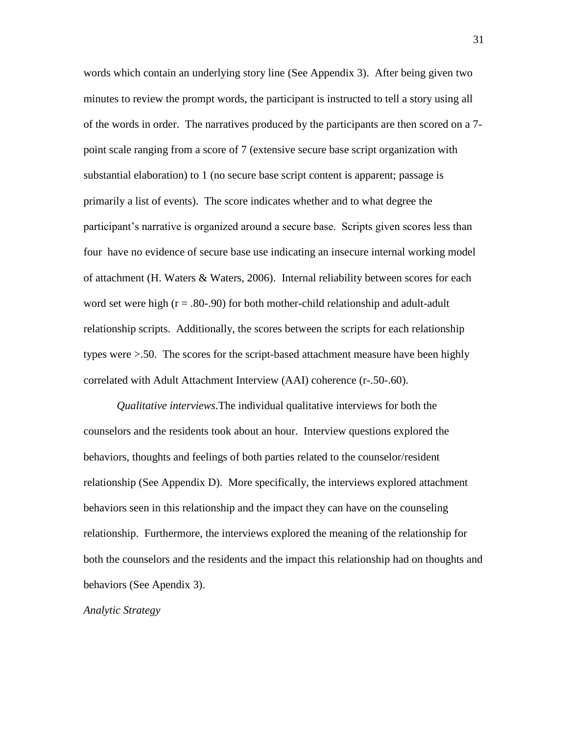words which contain an underlying story line (See Appendix 3). After being given two minutes to review the prompt words, the participant is instructed to tell a story using all of the words in order. The narratives produced by the participants are then scored on a 7 point scale ranging from a score of 7 (extensive secure base script organization with substantial elaboration) to 1 (no secure base script content is apparent; passage is primarily a list of events). The score indicates whether and to what degree the participant's narrative is organized around a secure base. Scripts given scores less than four have no evidence of secure base use indicating an insecure internal working model of attachment (H. Waters & Waters, 2006). Internal reliability between scores for each word set were high  $(r = .80-0.90)$  for both mother-child relationship and adult-adult relationship scripts. Additionally, the scores between the scripts for each relationship types were >.50. The scores for the script-based attachment measure have been highly correlated with Adult Attachment Interview (AAI) coherence (r-.50-.60).

*Qualitative interviews.*The individual qualitative interviews for both the counselors and the residents took about an hour. Interview questions explored the behaviors, thoughts and feelings of both parties related to the counselor/resident relationship (See Appendix D). More specifically, the interviews explored attachment behaviors seen in this relationship and the impact they can have on the counseling relationship. Furthermore, the interviews explored the meaning of the relationship for both the counselors and the residents and the impact this relationship had on thoughts and behaviors (See Apendix 3).

*Analytic Strategy*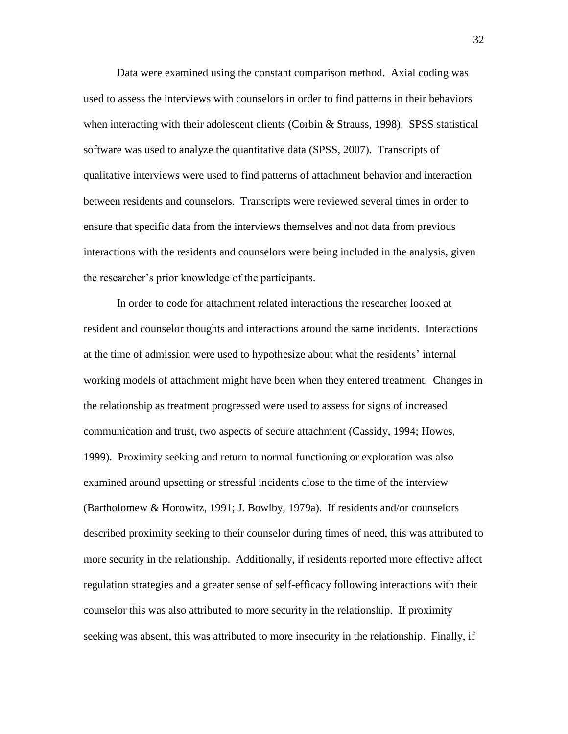Data were examined using the constant comparison method. Axial coding was used to assess the interviews with counselors in order to find patterns in their behaviors when interacting with their adolescent clients (Corbin & Strauss, 1998). SPSS statistical software was used to analyze the quantitative data (SPSS, 2007). Transcripts of qualitative interviews were used to find patterns of attachment behavior and interaction between residents and counselors. Transcripts were reviewed several times in order to ensure that specific data from the interviews themselves and not data from previous interactions with the residents and counselors were being included in the analysis, given the researcher's prior knowledge of the participants.

In order to code for attachment related interactions the researcher looked at resident and counselor thoughts and interactions around the same incidents. Interactions at the time of admission were used to hypothesize about what the residents' internal working models of attachment might have been when they entered treatment. Changes in the relationship as treatment progressed were used to assess for signs of increased communication and trust, two aspects of secure attachment (Cassidy, 1994; Howes, 1999). Proximity seeking and return to normal functioning or exploration was also examined around upsetting or stressful incidents close to the time of the interview (Bartholomew & Horowitz, 1991; J. Bowlby, 1979a). If residents and/or counselors described proximity seeking to their counselor during times of need, this was attributed to more security in the relationship. Additionally, if residents reported more effective affect regulation strategies and a greater sense of self-efficacy following interactions with their counselor this was also attributed to more security in the relationship. If proximity seeking was absent, this was attributed to more insecurity in the relationship. Finally, if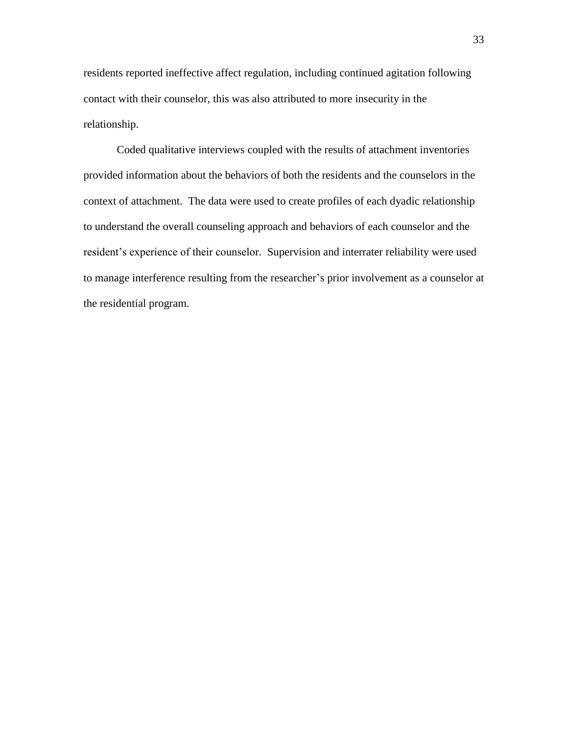residents reported ineffective affect regulation, including continued agitation following contact with their counselor, this was also attributed to more insecurity in the relationship.

Coded qualitative interviews coupled with the results of attachment inventories provided information about the behaviors of both the residents and the counselors in the context of attachment. The data were used to create profiles of each dyadic relationship to understand the overall counseling approach and behaviors of each counselor and the resident's experience of their counselor. Supervision and interrater reliability were used to manage interference resulting from the researcher's prior involvement as a counselor at the residential program.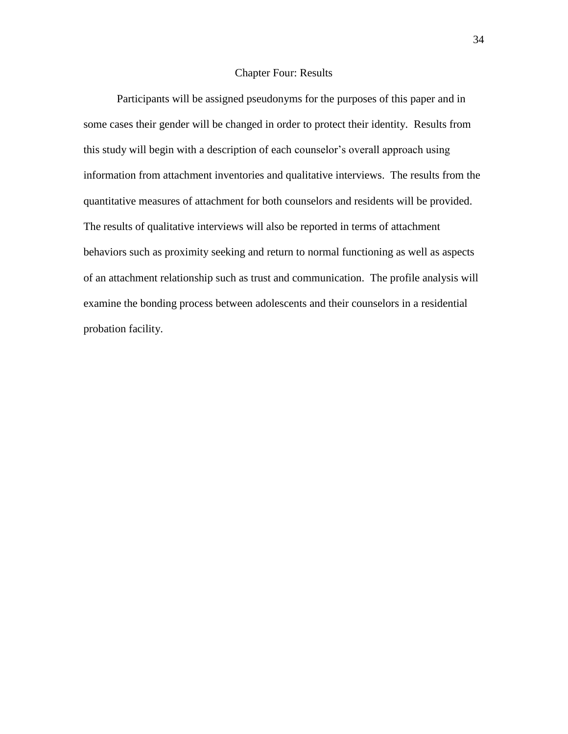### Chapter Four: Results

Participants will be assigned pseudonyms for the purposes of this paper and in some cases their gender will be changed in order to protect their identity. Results from this study will begin with a description of each counselor's overall approach using information from attachment inventories and qualitative interviews. The results from the quantitative measures of attachment for both counselors and residents will be provided. The results of qualitative interviews will also be reported in terms of attachment behaviors such as proximity seeking and return to normal functioning as well as aspects of an attachment relationship such as trust and communication. The profile analysis will examine the bonding process between adolescents and their counselors in a residential probation facility.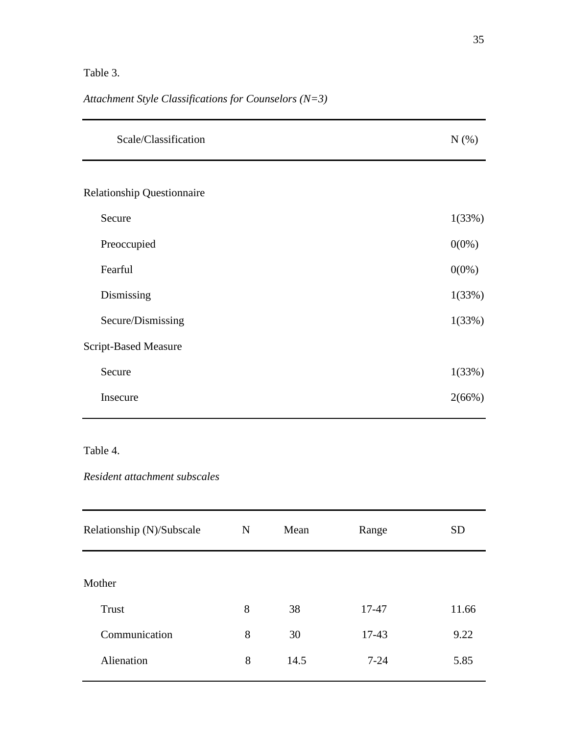# Table 3.

*Attachment Style Classifications for Counselors (N=3)* 

| Scale/Classification              | N(% )    |
|-----------------------------------|----------|
|                                   |          |
| <b>Relationship Questionnaire</b> |          |
| Secure                            | 1(33%)   |
| Preoccupied                       | $0(0\%)$ |
| Fearful                           | $0(0\%)$ |
| Dismissing                        | 1(33%)   |
| Secure/Dismissing                 | 1(33%)   |
| <b>Script-Based Measure</b>       |          |
| Secure                            | 1(33%)   |
| Insecure                          | 2(66%)   |

# Table 4.

# *Resident attachment subscales*

| Relationship (N)/Subscale | $\mathbf N$ | Mean | Range    | <b>SD</b> |
|---------------------------|-------------|------|----------|-----------|
| Mother                    |             |      |          |           |
| Trust                     | 8           | 38   | 17-47    | 11.66     |
| Communication             | 8           | 30   | 17-43    | 9.22      |
| Alienation                | 8           | 14.5 | $7 - 24$ | 5.85      |
|                           |             |      |          |           |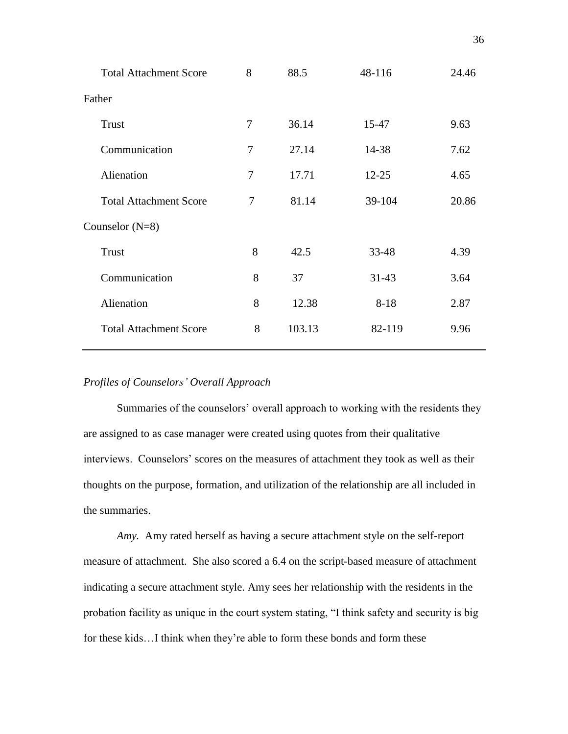| <b>Total Attachment Score</b> | 8 | 88.5   | 48-116    | 24.46 |
|-------------------------------|---|--------|-----------|-------|
| Father                        |   |        |           |       |
| Trust                         | 7 | 36.14  | 15-47     | 9.63  |
| Communication                 | 7 | 27.14  | 14-38     | 7.62  |
| Alienation                    | 7 | 17.71  | $12 - 25$ | 4.65  |
| <b>Total Attachment Score</b> | 7 | 81.14  | 39-104    | 20.86 |
| Counselor $(N=8)$             |   |        |           |       |
| <b>Trust</b>                  | 8 | 42.5   | 33-48     | 4.39  |
| Communication                 | 8 | 37     | $31 - 43$ | 3.64  |
| Alienation                    | 8 | 12.38  | $8 - 18$  | 2.87  |
| <b>Total Attachment Score</b> | 8 | 103.13 | 82-119    | 9.96  |
|                               |   |        |           |       |

## *Profiles of Counselors' Overall Approach*

Summaries of the counselors' overall approach to working with the residents they are assigned to as case manager were created using quotes from their qualitative interviews. Counselors' scores on the measures of attachment they took as well as their thoughts on the purpose, formation, and utilization of the relationship are all included in the summaries.

*Amy.* Amy rated herself as having a secure attachment style on the self-report measure of attachment. She also scored a 6.4 on the script-based measure of attachment indicating a secure attachment style. Amy sees her relationship with the residents in the probation facility as unique in the court system stating, "I think safety and security is big for these kids…I think when they're able to form these bonds and form these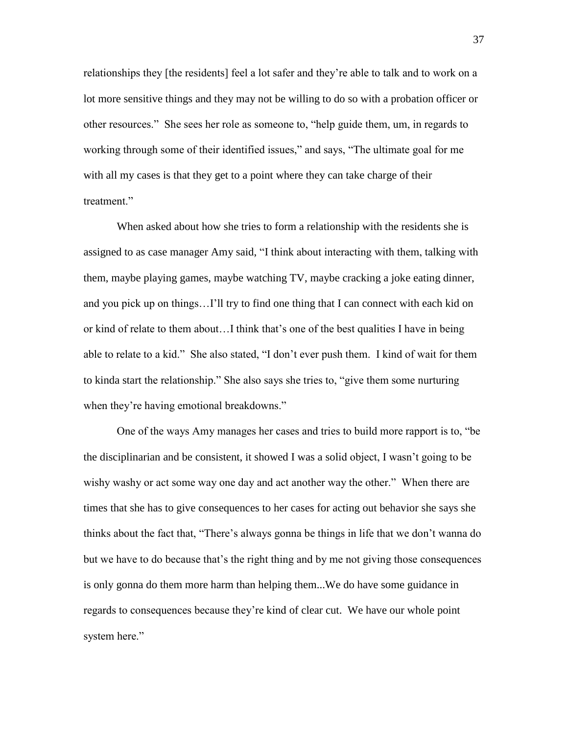relationships they [the residents] feel a lot safer and they're able to talk and to work on a lot more sensitive things and they may not be willing to do so with a probation officer or other resources." She sees her role as someone to, "help guide them, um, in regards to working through some of their identified issues," and says, "The ultimate goal for me with all my cases is that they get to a point where they can take charge of their treatment."

When asked about how she tries to form a relationship with the residents she is assigned to as case manager Amy said, "I think about interacting with them, talking with them, maybe playing games, maybe watching TV, maybe cracking a joke eating dinner, and you pick up on things…I'll try to find one thing that I can connect with each kid on or kind of relate to them about…I think that's one of the best qualities I have in being able to relate to a kid." She also stated, "I don't ever push them. I kind of wait for them to kinda start the relationship." She also says she tries to, "give them some nurturing when they're having emotional breakdowns."

One of the ways Amy manages her cases and tries to build more rapport is to, "be the disciplinarian and be consistent, it showed I was a solid object, I wasn't going to be wishy washy or act some way one day and act another way the other." When there are times that she has to give consequences to her cases for acting out behavior she says she thinks about the fact that, "There's always gonna be things in life that we don't wanna do but we have to do because that's the right thing and by me not giving those consequences is only gonna do them more harm than helping them...We do have some guidance in regards to consequences because they're kind of clear cut. We have our whole point system here."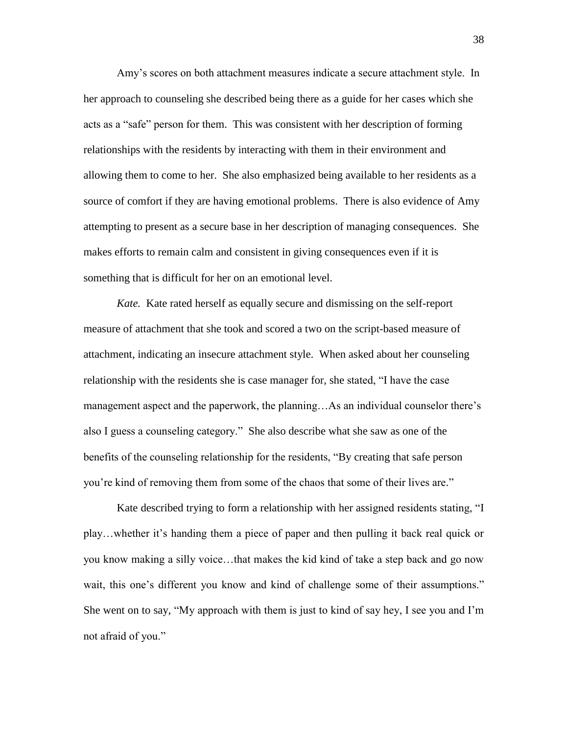Amy's scores on both attachment measures indicate a secure attachment style. In her approach to counseling she described being there as a guide for her cases which she acts as a "safe" person for them. This was consistent with her description of forming relationships with the residents by interacting with them in their environment and allowing them to come to her. She also emphasized being available to her residents as a source of comfort if they are having emotional problems. There is also evidence of Amy attempting to present as a secure base in her description of managing consequences. She makes efforts to remain calm and consistent in giving consequences even if it is something that is difficult for her on an emotional level.

*Kate.* Kate rated herself as equally secure and dismissing on the self-report measure of attachment that she took and scored a two on the script-based measure of attachment, indicating an insecure attachment style. When asked about her counseling relationship with the residents she is case manager for, she stated, "I have the case management aspect and the paperwork, the planning…As an individual counselor there's also I guess a counseling category." She also describe what she saw as one of the benefits of the counseling relationship for the residents, "By creating that safe person you're kind of removing them from some of the chaos that some of their lives are."

Kate described trying to form a relationship with her assigned residents stating, "I play…whether it's handing them a piece of paper and then pulling it back real quick or you know making a silly voice…that makes the kid kind of take a step back and go now wait, this one's different you know and kind of challenge some of their assumptions." She went on to say, "My approach with them is just to kind of say hey, I see you and I'm not afraid of you."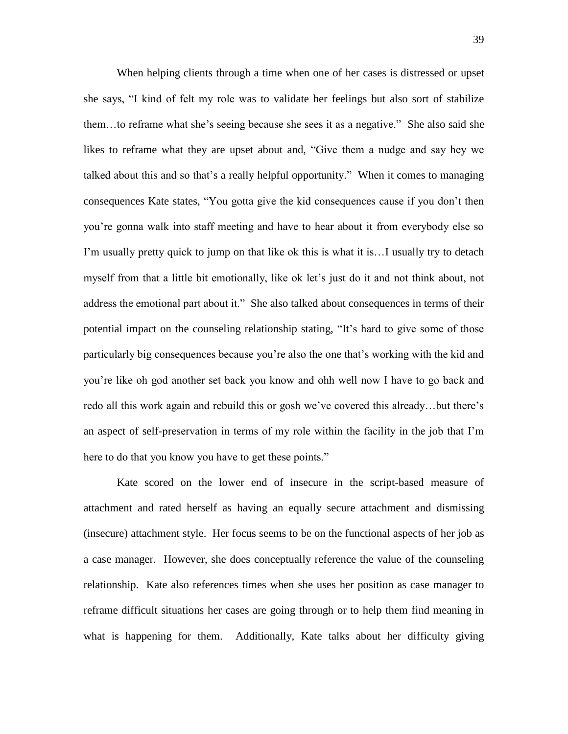When helping clients through a time when one of her cases is distressed or upset she says, "I kind of felt my role was to validate her feelings but also sort of stabilize them…to reframe what she's seeing because she sees it as a negative." She also said she likes to reframe what they are upset about and, "Give them a nudge and say hey we talked about this and so that's a really helpful opportunity." When it comes to managing consequences Kate states, "You gotta give the kid consequences cause if you don't then you're gonna walk into staff meeting and have to hear about it from everybody else so I'm usually pretty quick to jump on that like ok this is what it is…I usually try to detach myself from that a little bit emotionally, like ok let's just do it and not think about, not address the emotional part about it." She also talked about consequences in terms of their potential impact on the counseling relationship stating, "It's hard to give some of those particularly big consequences because you're also the one that's working with the kid and you're like oh god another set back you know and ohh well now I have to go back and redo all this work again and rebuild this or gosh we've covered this already…but there's an aspect of self-preservation in terms of my role within the facility in the job that I'm here to do that you know you have to get these points."

Kate scored on the lower end of insecure in the script-based measure of attachment and rated herself as having an equally secure attachment and dismissing (insecure) attachment style. Her focus seems to be on the functional aspects of her job as a case manager. However, she does conceptually reference the value of the counseling relationship. Kate also references times when she uses her position as case manager to reframe difficult situations her cases are going through or to help them find meaning in what is happening for them. Additionally, Kate talks about her difficulty giving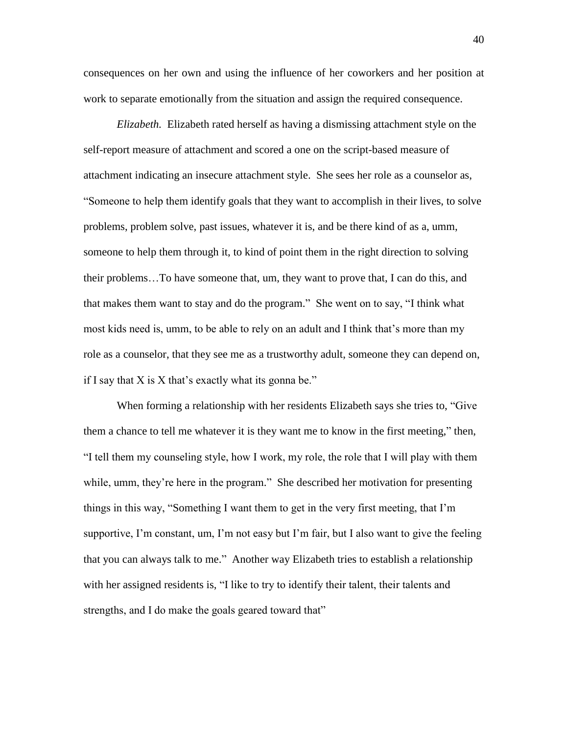consequences on her own and using the influence of her coworkers and her position at work to separate emotionally from the situation and assign the required consequence.

*Elizabeth.* Elizabeth rated herself as having a dismissing attachment style on the self-report measure of attachment and scored a one on the script-based measure of attachment indicating an insecure attachment style. She sees her role as a counselor as, "Someone to help them identify goals that they want to accomplish in their lives, to solve problems, problem solve, past issues, whatever it is, and be there kind of as a, umm, someone to help them through it, to kind of point them in the right direction to solving their problems…To have someone that, um, they want to prove that, I can do this, and that makes them want to stay and do the program." She went on to say, "I think what most kids need is, umm, to be able to rely on an adult and I think that's more than my role as a counselor, that they see me as a trustworthy adult, someone they can depend on, if I say that  $X$  is  $X$  that's exactly what its gonna be."

When forming a relationship with her residents Elizabeth says she tries to, "Give them a chance to tell me whatever it is they want me to know in the first meeting," then, "I tell them my counseling style, how I work, my role, the role that I will play with them while, umm, they're here in the program." She described her motivation for presenting things in this way, "Something I want them to get in the very first meeting, that I'm supportive, I'm constant, um, I'm not easy but I'm fair, but I also want to give the feeling that you can always talk to me." Another way Elizabeth tries to establish a relationship with her assigned residents is, "I like to try to identify their talent, their talents and strengths, and I do make the goals geared toward that"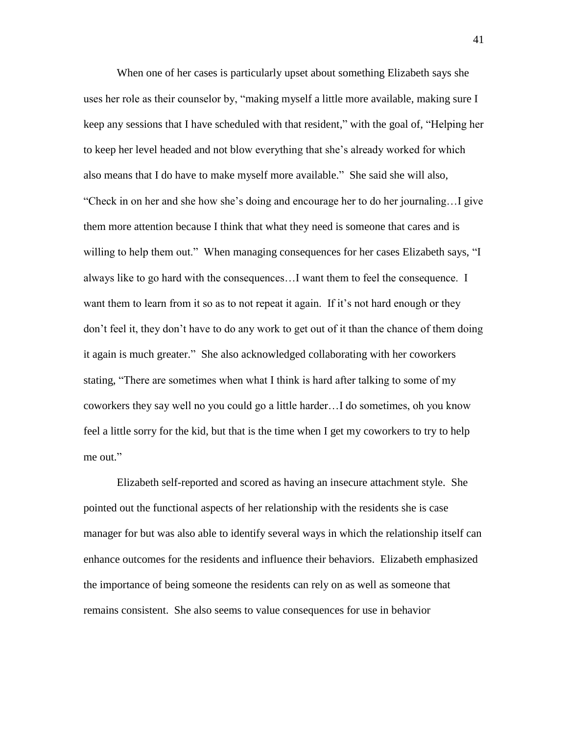When one of her cases is particularly upset about something Elizabeth says she uses her role as their counselor by, "making myself a little more available, making sure I keep any sessions that I have scheduled with that resident," with the goal of, "Helping her to keep her level headed and not blow everything that she's already worked for which also means that I do have to make myself more available." She said she will also, "Check in on her and she how she's doing and encourage her to do her journaling…I give them more attention because I think that what they need is someone that cares and is willing to help them out." When managing consequences for her cases Elizabeth says, "I always like to go hard with the consequences…I want them to feel the consequence. I want them to learn from it so as to not repeat it again. If it's not hard enough or they don't feel it, they don't have to do any work to get out of it than the chance of them doing it again is much greater." She also acknowledged collaborating with her coworkers stating, "There are sometimes when what I think is hard after talking to some of my coworkers they say well no you could go a little harder…I do sometimes, oh you know feel a little sorry for the kid, but that is the time when I get my coworkers to try to help me out."

Elizabeth self-reported and scored as having an insecure attachment style. She pointed out the functional aspects of her relationship with the residents she is case manager for but was also able to identify several ways in which the relationship itself can enhance outcomes for the residents and influence their behaviors. Elizabeth emphasized the importance of being someone the residents can rely on as well as someone that remains consistent. She also seems to value consequences for use in behavior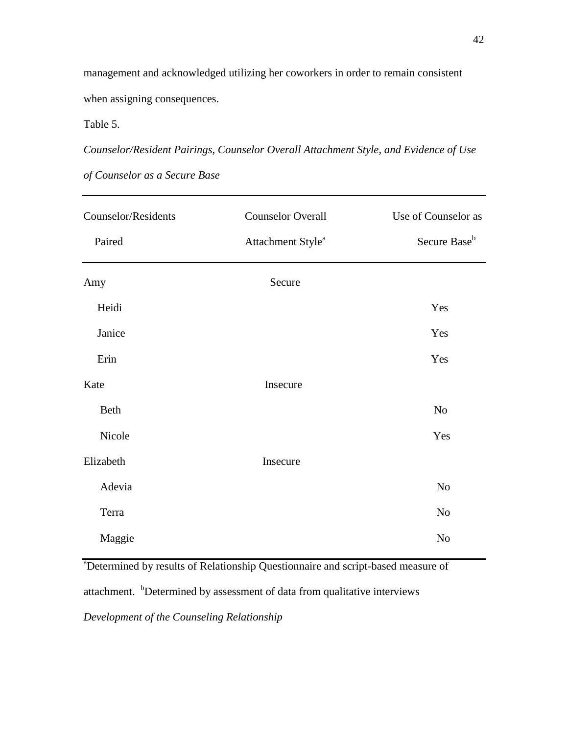management and acknowledged utilizing her coworkers in order to remain consistent when assigning consequences.

Table 5.

*Counselor/Resident Pairings, Counselor Overall Attachment Style, and Evidence of Use* 

| Counselor/Residents | <b>Counselor Overall</b>      | Use of Counselor as      |
|---------------------|-------------------------------|--------------------------|
| Paired              | Attachment Style <sup>a</sup> | Secure Base <sup>b</sup> |
| Amy                 | Secure                        |                          |
| Heidi               |                               | Yes                      |
| Janice              |                               | Yes                      |
| Erin                |                               | Yes                      |
| Kate                | Insecure                      |                          |
| Beth                |                               | No                       |
| Nicole              |                               | Yes                      |
| Elizabeth           | Insecure                      |                          |
| Adevia              |                               | $\rm No$                 |
| Terra               |                               | No                       |
| Maggie              |                               | No                       |

*of Counselor as a Secure Base*

<sup>a</sup>Determined by results of Relationship Questionnaire and script-based measure of attachment. <sup>b</sup>Determined by assessment of data from qualitative interviews *Development of the Counseling Relationship*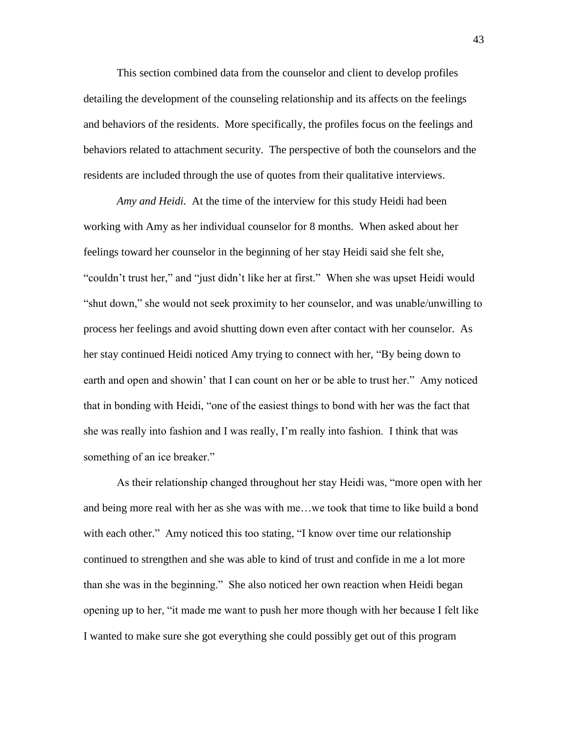This section combined data from the counselor and client to develop profiles detailing the development of the counseling relationship and its affects on the feelings and behaviors of the residents. More specifically, the profiles focus on the feelings and behaviors related to attachment security. The perspective of both the counselors and the residents are included through the use of quotes from their qualitative interviews.

*Amy and Heidi.* At the time of the interview for this study Heidi had been working with Amy as her individual counselor for 8 months. When asked about her feelings toward her counselor in the beginning of her stay Heidi said she felt she, "couldn't trust her," and "just didn't like her at first." When she was upset Heidi would "shut down," she would not seek proximity to her counselor, and was unable/unwilling to process her feelings and avoid shutting down even after contact with her counselor. As her stay continued Heidi noticed Amy trying to connect with her, "By being down to earth and open and showin' that I can count on her or be able to trust her." Amy noticed that in bonding with Heidi, "one of the easiest things to bond with her was the fact that she was really into fashion and I was really, I'm really into fashion. I think that was something of an ice breaker."

As their relationship changed throughout her stay Heidi was, "more open with her and being more real with her as she was with me…we took that time to like build a bond with each other." Amy noticed this too stating, "I know over time our relationship continued to strengthen and she was able to kind of trust and confide in me a lot more than she was in the beginning." She also noticed her own reaction when Heidi began opening up to her, "it made me want to push her more though with her because I felt like I wanted to make sure she got everything she could possibly get out of this program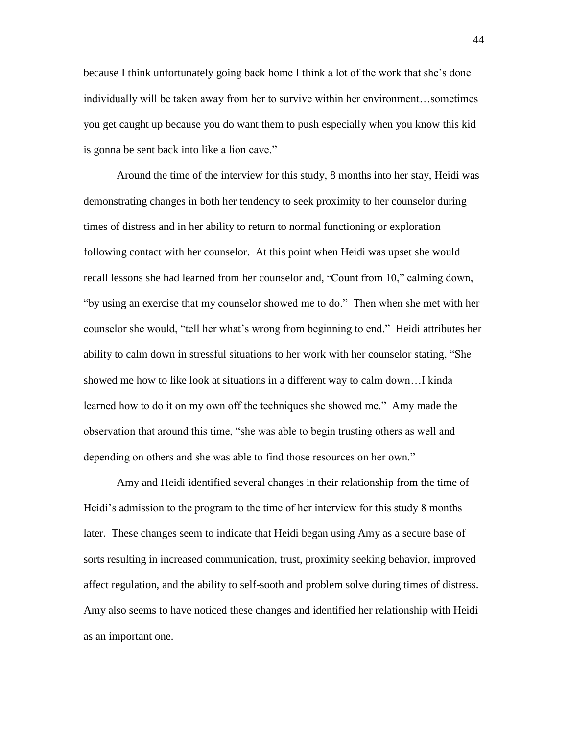because I think unfortunately going back home I think a lot of the work that she's done individually will be taken away from her to survive within her environment…sometimes you get caught up because you do want them to push especially when you know this kid is gonna be sent back into like a lion cave."

Around the time of the interview for this study, 8 months into her stay, Heidi was demonstrating changes in both her tendency to seek proximity to her counselor during times of distress and in her ability to return to normal functioning or exploration following contact with her counselor. At this point when Heidi was upset she would recall lessons she had learned from her counselor and, "Count from 10," calming down, "by using an exercise that my counselor showed me to do." Then when she met with her counselor she would, "tell her what's wrong from beginning to end." Heidi attributes her ability to calm down in stressful situations to her work with her counselor stating, "She showed me how to like look at situations in a different way to calm down…I kinda learned how to do it on my own off the techniques she showed me." Amy made the observation that around this time, "she was able to begin trusting others as well and depending on others and she was able to find those resources on her own."

Amy and Heidi identified several changes in their relationship from the time of Heidi's admission to the program to the time of her interview for this study 8 months later. These changes seem to indicate that Heidi began using Amy as a secure base of sorts resulting in increased communication, trust, proximity seeking behavior, improved affect regulation, and the ability to self-sooth and problem solve during times of distress. Amy also seems to have noticed these changes and identified her relationship with Heidi as an important one.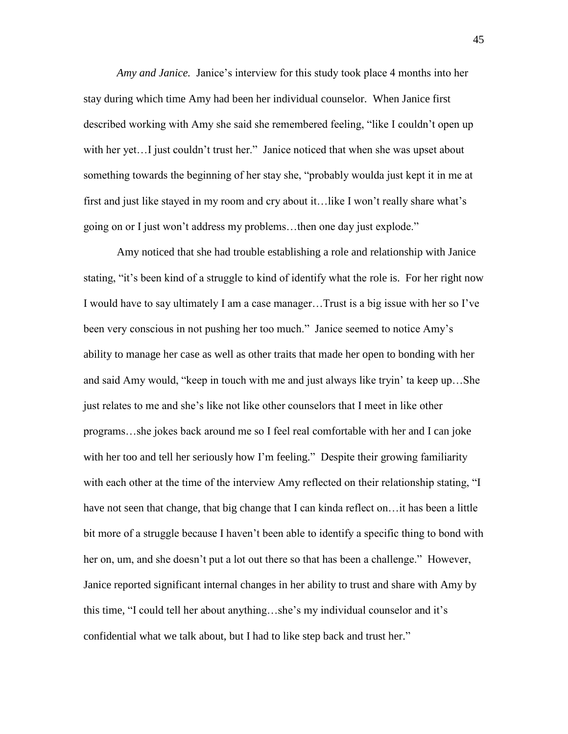*Amy and Janice.* Janice's interview for this study took place 4 months into her stay during which time Amy had been her individual counselor. When Janice first described working with Amy she said she remembered feeling, "like I couldn't open up with her yet…I just couldn't trust her." Janice noticed that when she was upset about something towards the beginning of her stay she, "probably woulda just kept it in me at first and just like stayed in my room and cry about it…like I won't really share what's going on or I just won't address my problems…then one day just explode."

Amy noticed that she had trouble establishing a role and relationship with Janice stating, "it's been kind of a struggle to kind of identify what the role is. For her right now I would have to say ultimately I am a case manager…Trust is a big issue with her so I've been very conscious in not pushing her too much." Janice seemed to notice Amy's ability to manage her case as well as other traits that made her open to bonding with her and said Amy would, "keep in touch with me and just always like tryin' ta keep up…She just relates to me and she's like not like other counselors that I meet in like other programs…she jokes back around me so I feel real comfortable with her and I can joke with her too and tell her seriously how I'm feeling." Despite their growing familiarity with each other at the time of the interview Amy reflected on their relationship stating, "I have not seen that change, that big change that I can kinda reflect on... it has been a little bit more of a struggle because I haven't been able to identify a specific thing to bond with her on, um, and she doesn't put a lot out there so that has been a challenge." However, Janice reported significant internal changes in her ability to trust and share with Amy by this time, "I could tell her about anything…she's my individual counselor and it's confidential what we talk about, but I had to like step back and trust her."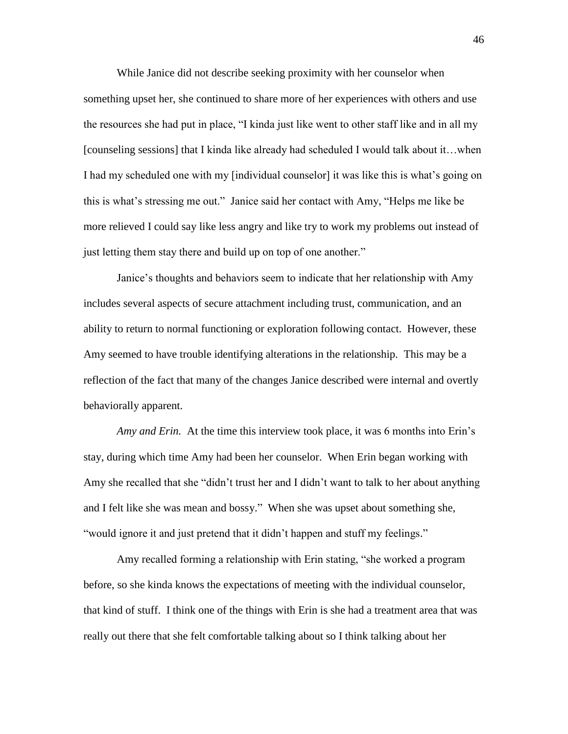While Janice did not describe seeking proximity with her counselor when something upset her, she continued to share more of her experiences with others and use the resources she had put in place, "I kinda just like went to other staff like and in all my [counseling sessions] that I kinda like already had scheduled I would talk about it…when I had my scheduled one with my [individual counselor] it was like this is what's going on this is what's stressing me out." Janice said her contact with Amy, "Helps me like be more relieved I could say like less angry and like try to work my problems out instead of just letting them stay there and build up on top of one another."

Janice's thoughts and behaviors seem to indicate that her relationship with Amy includes several aspects of secure attachment including trust, communication, and an ability to return to normal functioning or exploration following contact. However, these Amy seemed to have trouble identifying alterations in the relationship. This may be a reflection of the fact that many of the changes Janice described were internal and overtly behaviorally apparent.

*Amy and Erin.* At the time this interview took place, it was 6 months into Erin's stay, during which time Amy had been her counselor. When Erin began working with Amy she recalled that she "didn't trust her and I didn't want to talk to her about anything and I felt like she was mean and bossy." When she was upset about something she, "would ignore it and just pretend that it didn't happen and stuff my feelings."

Amy recalled forming a relationship with Erin stating, "she worked a program before, so she kinda knows the expectations of meeting with the individual counselor, that kind of stuff. I think one of the things with Erin is she had a treatment area that was really out there that she felt comfortable talking about so I think talking about her

46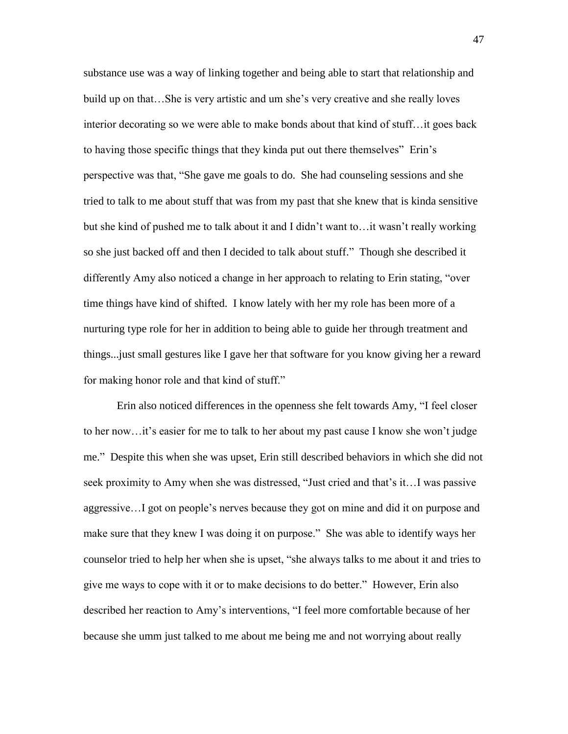substance use was a way of linking together and being able to start that relationship and build up on that…She is very artistic and um she's very creative and she really loves interior decorating so we were able to make bonds about that kind of stuff…it goes back to having those specific things that they kinda put out there themselves" Erin's perspective was that, "She gave me goals to do. She had counseling sessions and she tried to talk to me about stuff that was from my past that she knew that is kinda sensitive but she kind of pushed me to talk about it and I didn't want to…it wasn't really working so she just backed off and then I decided to talk about stuff." Though she described it differently Amy also noticed a change in her approach to relating to Erin stating, "over time things have kind of shifted. I know lately with her my role has been more of a nurturing type role for her in addition to being able to guide her through treatment and things...just small gestures like I gave her that software for you know giving her a reward for making honor role and that kind of stuff."

Erin also noticed differences in the openness she felt towards Amy, "I feel closer to her now…it's easier for me to talk to her about my past cause I know she won't judge me." Despite this when she was upset, Erin still described behaviors in which she did not seek proximity to Amy when she was distressed, "Just cried and that's it…I was passive aggressive…I got on people's nerves because they got on mine and did it on purpose and make sure that they knew I was doing it on purpose." She was able to identify ways her counselor tried to help her when she is upset, "she always talks to me about it and tries to give me ways to cope with it or to make decisions to do better." However, Erin also described her reaction to Amy's interventions, "I feel more comfortable because of her because she umm just talked to me about me being me and not worrying about really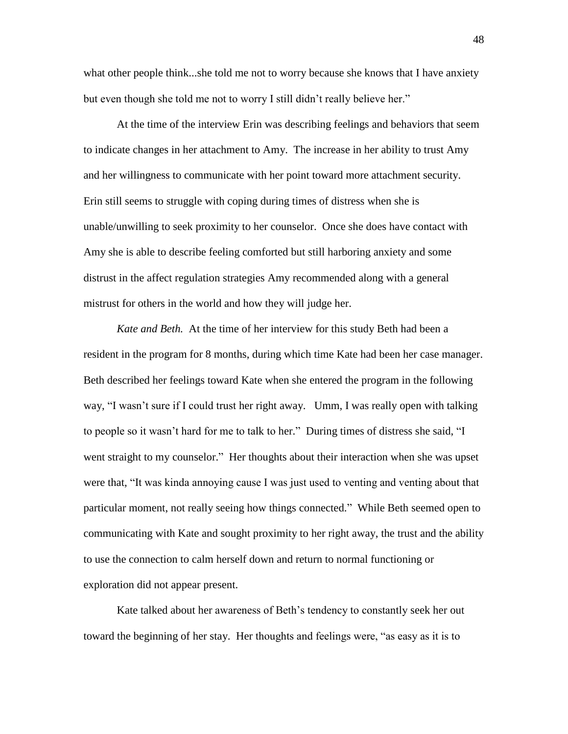what other people think...she told me not to worry because she knows that I have anxiety but even though she told me not to worry I still didn't really believe her."

At the time of the interview Erin was describing feelings and behaviors that seem to indicate changes in her attachment to Amy. The increase in her ability to trust Amy and her willingness to communicate with her point toward more attachment security. Erin still seems to struggle with coping during times of distress when she is unable/unwilling to seek proximity to her counselor. Once she does have contact with Amy she is able to describe feeling comforted but still harboring anxiety and some distrust in the affect regulation strategies Amy recommended along with a general mistrust for others in the world and how they will judge her.

*Kate and Beth.* At the time of her interview for this study Beth had been a resident in the program for 8 months, during which time Kate had been her case manager. Beth described her feelings toward Kate when she entered the program in the following way, "I wasn't sure if I could trust her right away. Umm, I was really open with talking to people so it wasn't hard for me to talk to her." During times of distress she said, "I went straight to my counselor." Her thoughts about their interaction when she was upset were that, "It was kinda annoying cause I was just used to venting and venting about that particular moment, not really seeing how things connected." While Beth seemed open to communicating with Kate and sought proximity to her right away, the trust and the ability to use the connection to calm herself down and return to normal functioning or exploration did not appear present.

Kate talked about her awareness of Beth's tendency to constantly seek her out toward the beginning of her stay. Her thoughts and feelings were, "as easy as it is to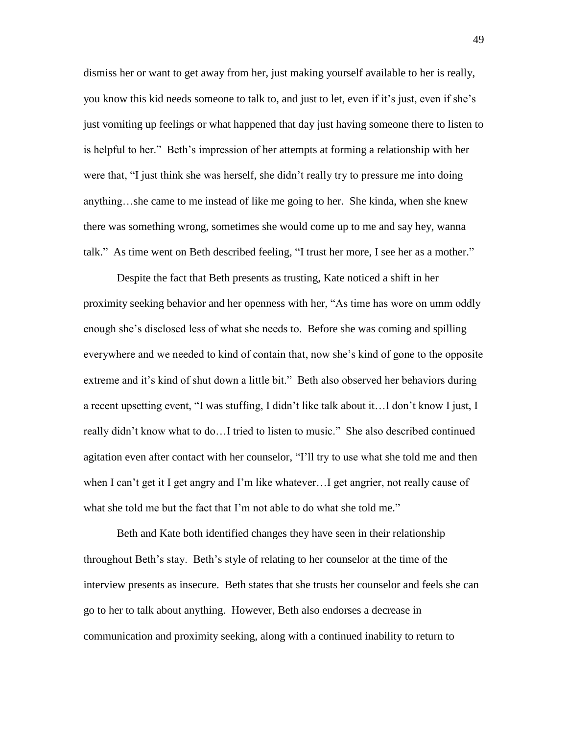dismiss her or want to get away from her, just making yourself available to her is really, you know this kid needs someone to talk to, and just to let, even if it's just, even if she's just vomiting up feelings or what happened that day just having someone there to listen to is helpful to her." Beth's impression of her attempts at forming a relationship with her were that, "I just think she was herself, she didn't really try to pressure me into doing anything…she came to me instead of like me going to her. She kinda, when she knew there was something wrong, sometimes she would come up to me and say hey, wanna talk." As time went on Beth described feeling, "I trust her more, I see her as a mother."

Despite the fact that Beth presents as trusting, Kate noticed a shift in her proximity seeking behavior and her openness with her, "As time has wore on umm oddly enough she's disclosed less of what she needs to. Before she was coming and spilling everywhere and we needed to kind of contain that, now she's kind of gone to the opposite extreme and it's kind of shut down a little bit." Beth also observed her behaviors during a recent upsetting event, "I was stuffing, I didn't like talk about it…I don't know I just, I really didn't know what to do…I tried to listen to music." She also described continued agitation even after contact with her counselor, "I'll try to use what she told me and then when I can't get it I get angry and I'm like whatever…I get angrier, not really cause of what she told me but the fact that I'm not able to do what she told me."

Beth and Kate both identified changes they have seen in their relationship throughout Beth's stay. Beth's style of relating to her counselor at the time of the interview presents as insecure. Beth states that she trusts her counselor and feels she can go to her to talk about anything. However, Beth also endorses a decrease in communication and proximity seeking, along with a continued inability to return to

49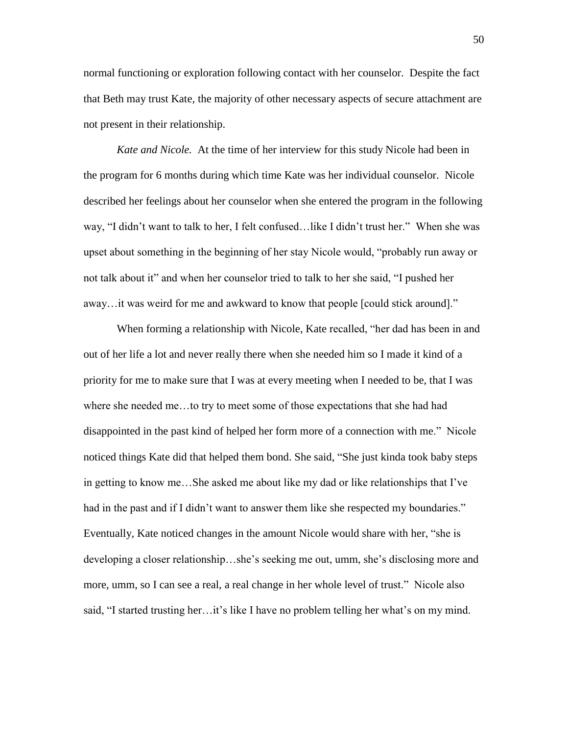normal functioning or exploration following contact with her counselor. Despite the fact that Beth may trust Kate, the majority of other necessary aspects of secure attachment are not present in their relationship.

*Kate and Nicole.* At the time of her interview for this study Nicole had been in the program for 6 months during which time Kate was her individual counselor. Nicole described her feelings about her counselor when she entered the program in the following way, "I didn't want to talk to her, I felt confused…like I didn't trust her." When she was upset about something in the beginning of her stay Nicole would, "probably run away or not talk about it" and when her counselor tried to talk to her she said, "I pushed her away…it was weird for me and awkward to know that people [could stick around]."

When forming a relationship with Nicole, Kate recalled, "her dad has been in and out of her life a lot and never really there when she needed him so I made it kind of a priority for me to make sure that I was at every meeting when I needed to be, that I was where she needed me…to try to meet some of those expectations that she had had disappointed in the past kind of helped her form more of a connection with me." Nicole noticed things Kate did that helped them bond. She said, "She just kinda took baby steps in getting to know me…She asked me about like my dad or like relationships that I've had in the past and if I didn't want to answer them like she respected my boundaries." Eventually, Kate noticed changes in the amount Nicole would share with her, "she is developing a closer relationship…she's seeking me out, umm, she's disclosing more and more, umm, so I can see a real, a real change in her whole level of trust." Nicole also said, "I started trusting her…it's like I have no problem telling her what's on my mind.

50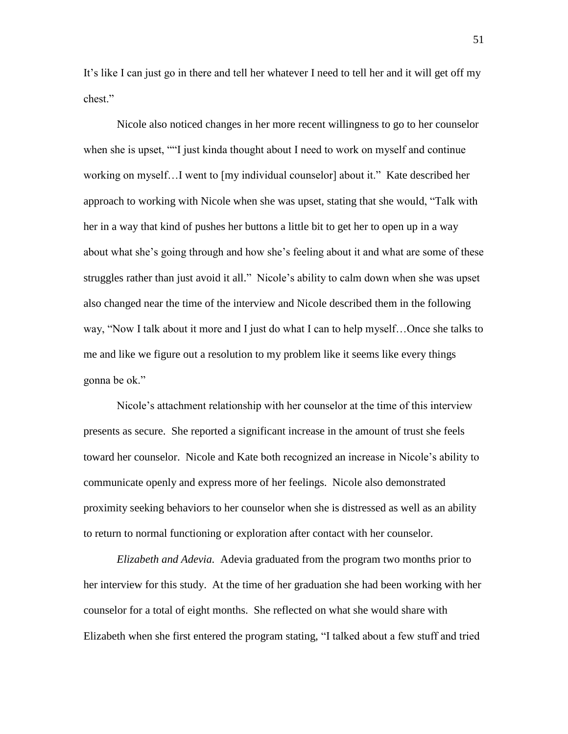It's like I can just go in there and tell her whatever I need to tell her and it will get off my chest."

Nicole also noticed changes in her more recent willingness to go to her counselor when she is upset, ""I just kinda thought about I need to work on myself and continue working on myself…I went to [my individual counselor] about it." Kate described her approach to working with Nicole when she was upset, stating that she would, "Talk with her in a way that kind of pushes her buttons a little bit to get her to open up in a way about what she's going through and how she's feeling about it and what are some of these struggles rather than just avoid it all." Nicole's ability to calm down when she was upset also changed near the time of the interview and Nicole described them in the following way, "Now I talk about it more and I just do what I can to help myself…Once she talks to me and like we figure out a resolution to my problem like it seems like every things gonna be ok."

Nicole's attachment relationship with her counselor at the time of this interview presents as secure. She reported a significant increase in the amount of trust she feels toward her counselor. Nicole and Kate both recognized an increase in Nicole's ability to communicate openly and express more of her feelings. Nicole also demonstrated proximity seeking behaviors to her counselor when she is distressed as well as an ability to return to normal functioning or exploration after contact with her counselor.

*Elizabeth and Adevia.* Adevia graduated from the program two months prior to her interview for this study. At the time of her graduation she had been working with her counselor for a total of eight months. She reflected on what she would share with Elizabeth when she first entered the program stating, "I talked about a few stuff and tried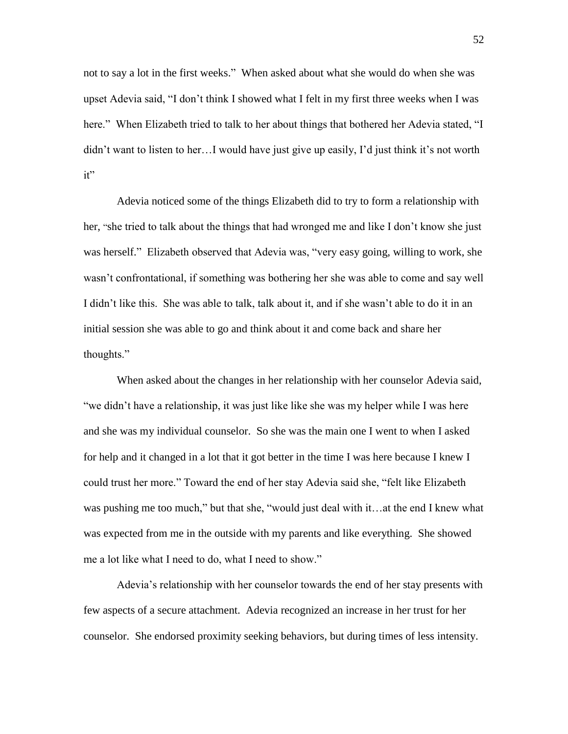not to say a lot in the first weeks." When asked about what she would do when she was upset Adevia said, "I don't think I showed what I felt in my first three weeks when I was here." When Elizabeth tried to talk to her about things that bothered her Adevia stated, "I didn't want to listen to her…I would have just give up easily, I'd just think it's not worth it"

Adevia noticed some of the things Elizabeth did to try to form a relationship with her, "she tried to talk about the things that had wronged me and like I don't know she just was herself." Elizabeth observed that Adevia was, "very easy going, willing to work, she wasn't confrontational, if something was bothering her she was able to come and say well I didn't like this. She was able to talk, talk about it, and if she wasn't able to do it in an initial session she was able to go and think about it and come back and share her thoughts."

When asked about the changes in her relationship with her counselor Adevia said, "we didn't have a relationship, it was just like like she was my helper while I was here and she was my individual counselor. So she was the main one I went to when I asked for help and it changed in a lot that it got better in the time I was here because I knew I could trust her more." Toward the end of her stay Adevia said she, "felt like Elizabeth was pushing me too much," but that she, "would just deal with it…at the end I knew what was expected from me in the outside with my parents and like everything. She showed me a lot like what I need to do, what I need to show."

Adevia's relationship with her counselor towards the end of her stay presents with few aspects of a secure attachment. Adevia recognized an increase in her trust for her counselor. She endorsed proximity seeking behaviors, but during times of less intensity.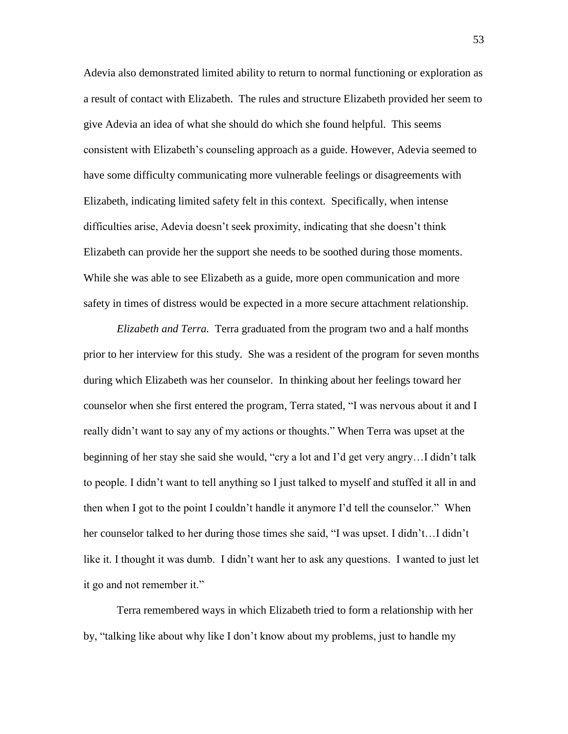Adevia also demonstrated limited ability to return to normal functioning or exploration as a result of contact with Elizabeth. The rules and structure Elizabeth provided her seem to give Adevia an idea of what she should do which she found helpful. This seems consistent with Elizabeth's counseling approach as a guide. However, Adevia seemed to have some difficulty communicating more vulnerable feelings or disagreements with Elizabeth, indicating limited safety felt in this context. Specifically, when intense difficulties arise, Adevia doesn't seek proximity, indicating that she doesn't think Elizabeth can provide her the support she needs to be soothed during those moments. While she was able to see Elizabeth as a guide, more open communication and more safety in times of distress would be expected in a more secure attachment relationship.

*Elizabeth and Terra.* Terra graduated from the program two and a half months prior to her interview for this study. She was a resident of the program for seven months during which Elizabeth was her counselor. In thinking about her feelings toward her counselor when she first entered the program, Terra stated, "I was nervous about it and I really didn't want to say any of my actions or thoughts." When Terra was upset at the beginning of her stay she said she would, "cry a lot and I'd get very angry…I didn't talk to people. I didn't want to tell anything so I just talked to myself and stuffed it all in and then when I got to the point I couldn't handle it anymore I'd tell the counselor." When her counselor talked to her during those times she said, "I was upset. I didn't...I didn't like it. I thought it was dumb. I didn't want her to ask any questions. I wanted to just let it go and not remember it."

Terra remembered ways in which Elizabeth tried to form a relationship with her by, "talking like about why like I don't know about my problems, just to handle my

53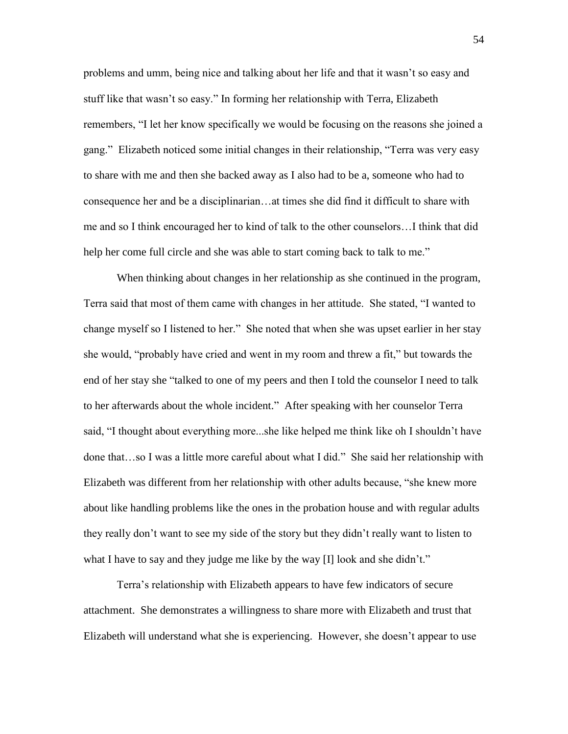problems and umm, being nice and talking about her life and that it wasn't so easy and stuff like that wasn't so easy." In forming her relationship with Terra, Elizabeth remembers, "I let her know specifically we would be focusing on the reasons she joined a gang." Elizabeth noticed some initial changes in their relationship, "Terra was very easy to share with me and then she backed away as I also had to be a, someone who had to consequence her and be a disciplinarian…at times she did find it difficult to share with me and so I think encouraged her to kind of talk to the other counselors…I think that did help her come full circle and she was able to start coming back to talk to me."

When thinking about changes in her relationship as she continued in the program, Terra said that most of them came with changes in her attitude. She stated, "I wanted to change myself so I listened to her." She noted that when she was upset earlier in her stay she would, "probably have cried and went in my room and threw a fit," but towards the end of her stay she "talked to one of my peers and then I told the counselor I need to talk to her afterwards about the whole incident." After speaking with her counselor Terra said, "I thought about everything more...she like helped me think like oh I shouldn't have done that…so I was a little more careful about what I did." She said her relationship with Elizabeth was different from her relationship with other adults because, "she knew more about like handling problems like the ones in the probation house and with regular adults they really don't want to see my side of the story but they didn't really want to listen to what I have to say and they judge me like by the way [I] look and she didn't."

Terra's relationship with Elizabeth appears to have few indicators of secure attachment. She demonstrates a willingness to share more with Elizabeth and trust that Elizabeth will understand what she is experiencing. However, she doesn't appear to use

54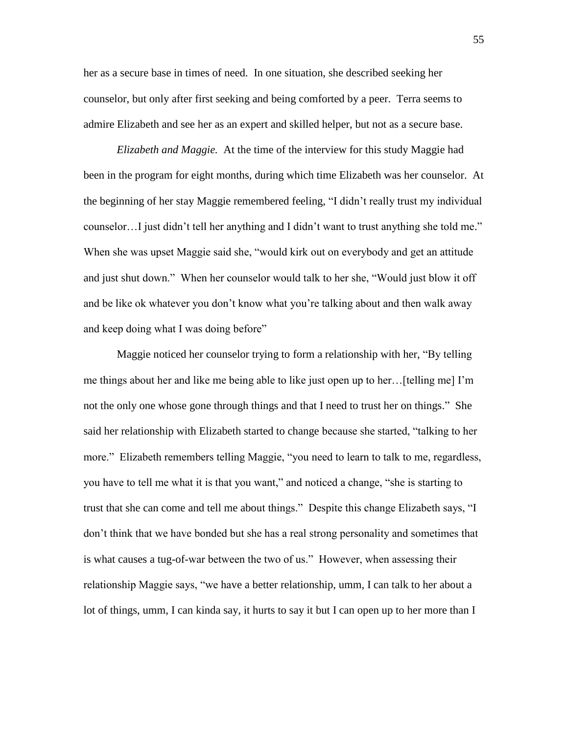her as a secure base in times of need. In one situation, she described seeking her counselor, but only after first seeking and being comforted by a peer. Terra seems to admire Elizabeth and see her as an expert and skilled helper, but not as a secure base.

*Elizabeth and Maggie.* At the time of the interview for this study Maggie had been in the program for eight months, during which time Elizabeth was her counselor. At the beginning of her stay Maggie remembered feeling, "I didn't really trust my individual counselor…I just didn't tell her anything and I didn't want to trust anything she told me." When she was upset Maggie said she, "would kirk out on everybody and get an attitude and just shut down." When her counselor would talk to her she, "Would just blow it off and be like ok whatever you don't know what you're talking about and then walk away and keep doing what I was doing before"

Maggie noticed her counselor trying to form a relationship with her, "By telling me things about her and like me being able to like just open up to her…[telling me] I'm not the only one whose gone through things and that I need to trust her on things." She said her relationship with Elizabeth started to change because she started, "talking to her more." Elizabeth remembers telling Maggie, "you need to learn to talk to me, regardless, you have to tell me what it is that you want," and noticed a change, "she is starting to trust that she can come and tell me about things." Despite this change Elizabeth says, "I don't think that we have bonded but she has a real strong personality and sometimes that is what causes a tug-of-war between the two of us." However, when assessing their relationship Maggie says, "we have a better relationship, umm, I can talk to her about a lot of things, umm, I can kinda say, it hurts to say it but I can open up to her more than I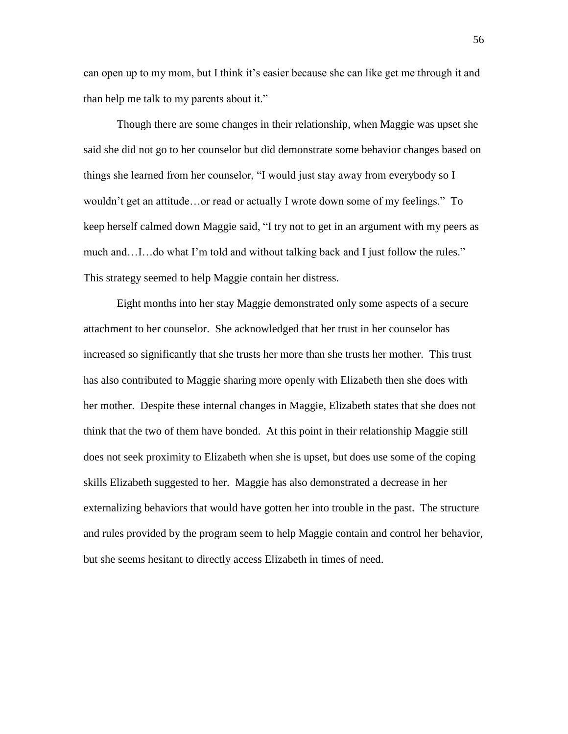can open up to my mom, but I think it's easier because she can like get me through it and than help me talk to my parents about it."

Though there are some changes in their relationship, when Maggie was upset she said she did not go to her counselor but did demonstrate some behavior changes based on things she learned from her counselor, "I would just stay away from everybody so I wouldn't get an attitude…or read or actually I wrote down some of my feelings." To keep herself calmed down Maggie said, "I try not to get in an argument with my peers as much and…I…do what I'm told and without talking back and I just follow the rules." This strategy seemed to help Maggie contain her distress.

Eight months into her stay Maggie demonstrated only some aspects of a secure attachment to her counselor. She acknowledged that her trust in her counselor has increased so significantly that she trusts her more than she trusts her mother. This trust has also contributed to Maggie sharing more openly with Elizabeth then she does with her mother. Despite these internal changes in Maggie, Elizabeth states that she does not think that the two of them have bonded. At this point in their relationship Maggie still does not seek proximity to Elizabeth when she is upset, but does use some of the coping skills Elizabeth suggested to her. Maggie has also demonstrated a decrease in her externalizing behaviors that would have gotten her into trouble in the past. The structure and rules provided by the program seem to help Maggie contain and control her behavior, but she seems hesitant to directly access Elizabeth in times of need.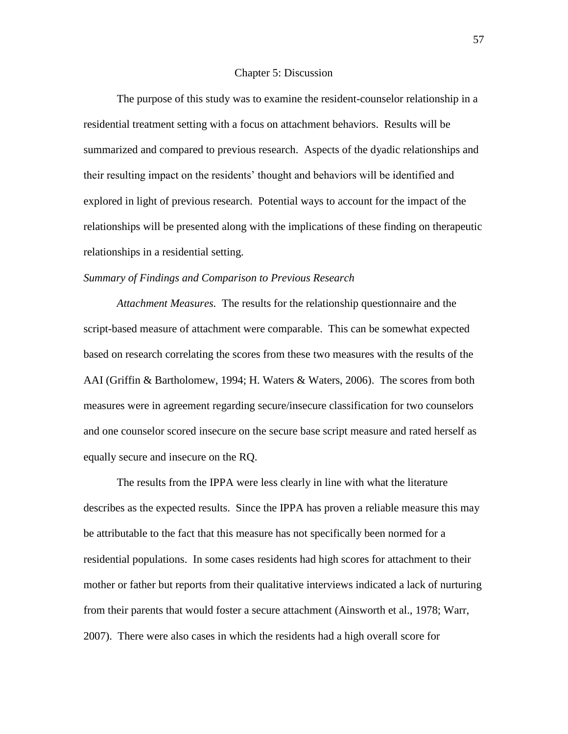#### Chapter 5: Discussion

The purpose of this study was to examine the resident-counselor relationship in a residential treatment setting with a focus on attachment behaviors. Results will be summarized and compared to previous research. Aspects of the dyadic relationships and their resulting impact on the residents' thought and behaviors will be identified and explored in light of previous research. Potential ways to account for the impact of the relationships will be presented along with the implications of these finding on therapeutic relationships in a residential setting.

### *Summary of Findings and Comparison to Previous Research*

*Attachment Measures.* The results for the relationship questionnaire and the script-based measure of attachment were comparable. This can be somewhat expected based on research correlating the scores from these two measures with the results of the AAI (Griffin & Bartholomew, 1994; H. Waters & Waters, 2006). The scores from both measures were in agreement regarding secure/insecure classification for two counselors and one counselor scored insecure on the secure base script measure and rated herself as equally secure and insecure on the RQ.

The results from the IPPA were less clearly in line with what the literature describes as the expected results. Since the IPPA has proven a reliable measure this may be attributable to the fact that this measure has not specifically been normed for a residential populations. In some cases residents had high scores for attachment to their mother or father but reports from their qualitative interviews indicated a lack of nurturing from their parents that would foster a secure attachment (Ainsworth et al., 1978; Warr, 2007). There were also cases in which the residents had a high overall score for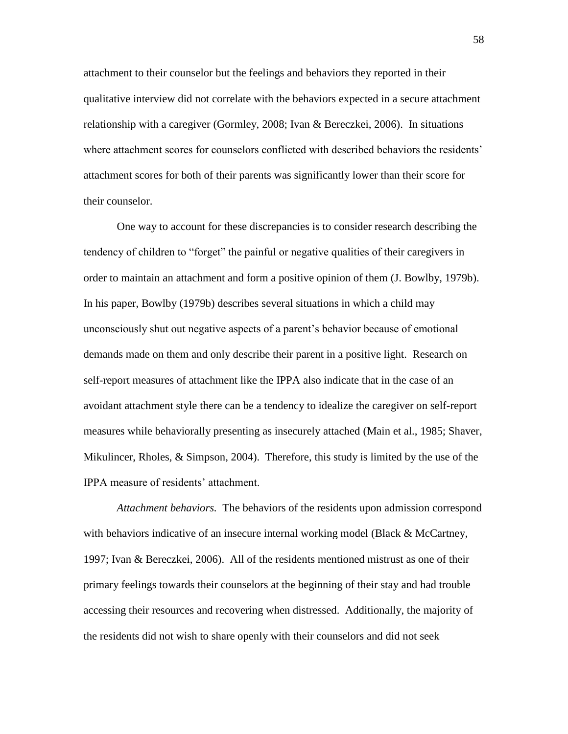attachment to their counselor but the feelings and behaviors they reported in their qualitative interview did not correlate with the behaviors expected in a secure attachment relationship with a caregiver (Gormley, 2008; Ivan & Bereczkei, 2006). In situations where attachment scores for counselors conflicted with described behaviors the residents' attachment scores for both of their parents was significantly lower than their score for their counselor.

One way to account for these discrepancies is to consider research describing the tendency of children to "forget" the painful or negative qualities of their caregivers in order to maintain an attachment and form a positive opinion of them (J. Bowlby, 1979b). In his paper, Bowlby (1979b) describes several situations in which a child may unconsciously shut out negative aspects of a parent's behavior because of emotional demands made on them and only describe their parent in a positive light. Research on self-report measures of attachment like the IPPA also indicate that in the case of an avoidant attachment style there can be a tendency to idealize the caregiver on self-report measures while behaviorally presenting as insecurely attached (Main et al., 1985; Shaver, Mikulincer, Rholes, & Simpson, 2004). Therefore, this study is limited by the use of the IPPA measure of residents' attachment.

*Attachment behaviors.* The behaviors of the residents upon admission correspond with behaviors indicative of an insecure internal working model (Black & McCartney, 1997; Ivan & Bereczkei, 2006). All of the residents mentioned mistrust as one of their primary feelings towards their counselors at the beginning of their stay and had trouble accessing their resources and recovering when distressed. Additionally, the majority of the residents did not wish to share openly with their counselors and did not seek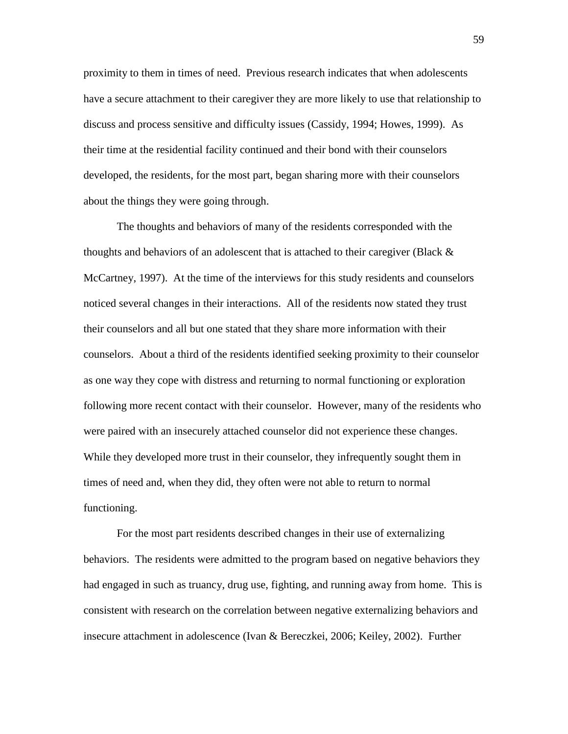proximity to them in times of need. Previous research indicates that when adolescents have a secure attachment to their caregiver they are more likely to use that relationship to discuss and process sensitive and difficulty issues (Cassidy, 1994; Howes, 1999). As their time at the residential facility continued and their bond with their counselors developed, the residents, for the most part, began sharing more with their counselors about the things they were going through.

The thoughts and behaviors of many of the residents corresponded with the thoughts and behaviors of an adolescent that is attached to their caregiver (Black  $\&$ McCartney, 1997). At the time of the interviews for this study residents and counselors noticed several changes in their interactions. All of the residents now stated they trust their counselors and all but one stated that they share more information with their counselors. About a third of the residents identified seeking proximity to their counselor as one way they cope with distress and returning to normal functioning or exploration following more recent contact with their counselor. However, many of the residents who were paired with an insecurely attached counselor did not experience these changes. While they developed more trust in their counselor, they infrequently sought them in times of need and, when they did, they often were not able to return to normal functioning.

For the most part residents described changes in their use of externalizing behaviors. The residents were admitted to the program based on negative behaviors they had engaged in such as truancy, drug use, fighting, and running away from home. This is consistent with research on the correlation between negative externalizing behaviors and insecure attachment in adolescence (Ivan & Bereczkei, 2006; Keiley, 2002). Further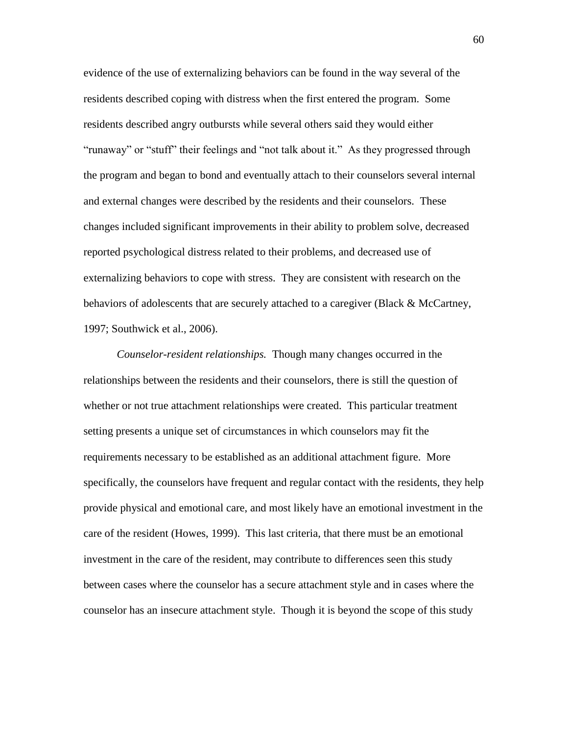evidence of the use of externalizing behaviors can be found in the way several of the residents described coping with distress when the first entered the program. Some residents described angry outbursts while several others said they would either "runaway" or "stuff" their feelings and "not talk about it." As they progressed through the program and began to bond and eventually attach to their counselors several internal and external changes were described by the residents and their counselors. These changes included significant improvements in their ability to problem solve, decreased reported psychological distress related to their problems, and decreased use of externalizing behaviors to cope with stress. They are consistent with research on the behaviors of adolescents that are securely attached to a caregiver (Black & McCartney, 1997; Southwick et al., 2006).

*Counselor-resident relationships.* Though many changes occurred in the relationships between the residents and their counselors, there is still the question of whether or not true attachment relationships were created. This particular treatment setting presents a unique set of circumstances in which counselors may fit the requirements necessary to be established as an additional attachment figure. More specifically, the counselors have frequent and regular contact with the residents, they help provide physical and emotional care, and most likely have an emotional investment in the care of the resident (Howes, 1999). This last criteria, that there must be an emotional investment in the care of the resident, may contribute to differences seen this study between cases where the counselor has a secure attachment style and in cases where the counselor has an insecure attachment style. Though it is beyond the scope of this study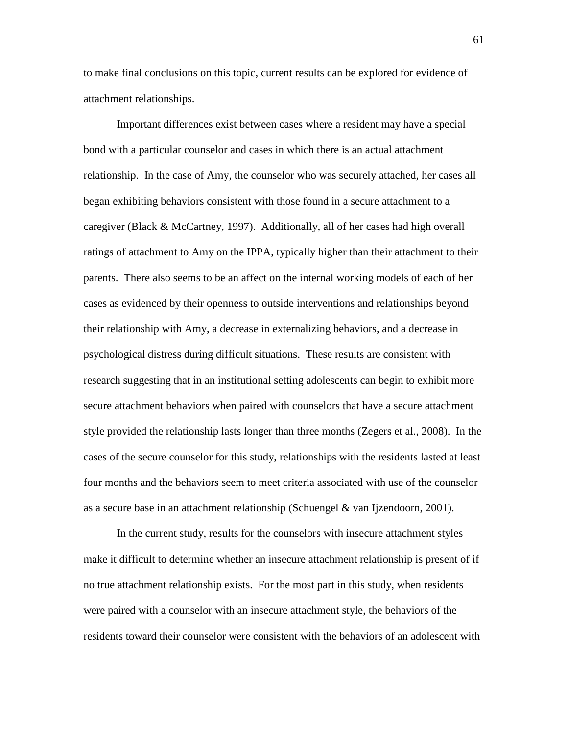to make final conclusions on this topic, current results can be explored for evidence of attachment relationships.

Important differences exist between cases where a resident may have a special bond with a particular counselor and cases in which there is an actual attachment relationship. In the case of Amy, the counselor who was securely attached, her cases all began exhibiting behaviors consistent with those found in a secure attachment to a caregiver (Black & McCartney, 1997). Additionally, all of her cases had high overall ratings of attachment to Amy on the IPPA, typically higher than their attachment to their parents. There also seems to be an affect on the internal working models of each of her cases as evidenced by their openness to outside interventions and relationships beyond their relationship with Amy, a decrease in externalizing behaviors, and a decrease in psychological distress during difficult situations. These results are consistent with research suggesting that in an institutional setting adolescents can begin to exhibit more secure attachment behaviors when paired with counselors that have a secure attachment style provided the relationship lasts longer than three months (Zegers et al., 2008). In the cases of the secure counselor for this study, relationships with the residents lasted at least four months and the behaviors seem to meet criteria associated with use of the counselor as a secure base in an attachment relationship (Schuengel & van Ijzendoorn, 2001).

In the current study, results for the counselors with insecure attachment styles make it difficult to determine whether an insecure attachment relationship is present of if no true attachment relationship exists. For the most part in this study, when residents were paired with a counselor with an insecure attachment style, the behaviors of the residents toward their counselor were consistent with the behaviors of an adolescent with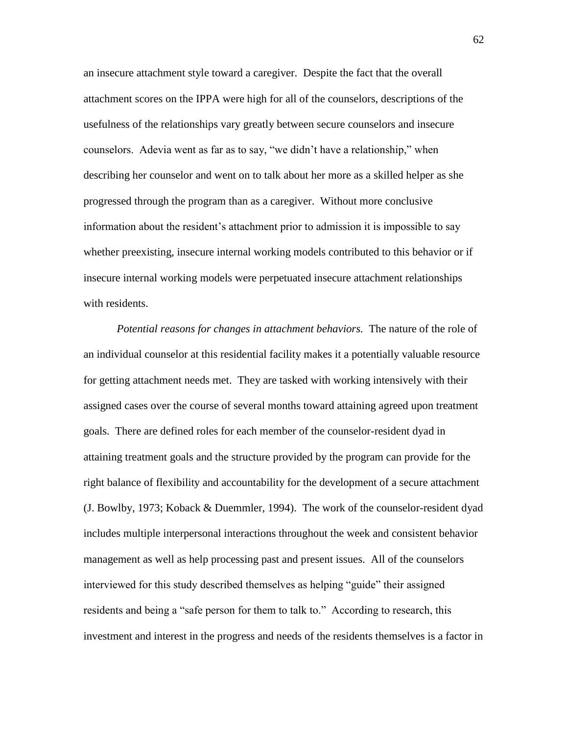an insecure attachment style toward a caregiver. Despite the fact that the overall attachment scores on the IPPA were high for all of the counselors, descriptions of the usefulness of the relationships vary greatly between secure counselors and insecure counselors. Adevia went as far as to say, "we didn't have a relationship," when describing her counselor and went on to talk about her more as a skilled helper as she progressed through the program than as a caregiver. Without more conclusive information about the resident's attachment prior to admission it is impossible to say whether preexisting, insecure internal working models contributed to this behavior or if insecure internal working models were perpetuated insecure attachment relationships with residents.

*Potential reasons for changes in attachment behaviors.* The nature of the role of an individual counselor at this residential facility makes it a potentially valuable resource for getting attachment needs met. They are tasked with working intensively with their assigned cases over the course of several months toward attaining agreed upon treatment goals. There are defined roles for each member of the counselor-resident dyad in attaining treatment goals and the structure provided by the program can provide for the right balance of flexibility and accountability for the development of a secure attachment (J. Bowlby, 1973; Koback & Duemmler, 1994). The work of the counselor-resident dyad includes multiple interpersonal interactions throughout the week and consistent behavior management as well as help processing past and present issues. All of the counselors interviewed for this study described themselves as helping "guide" their assigned residents and being a "safe person for them to talk to." According to research, this investment and interest in the progress and needs of the residents themselves is a factor in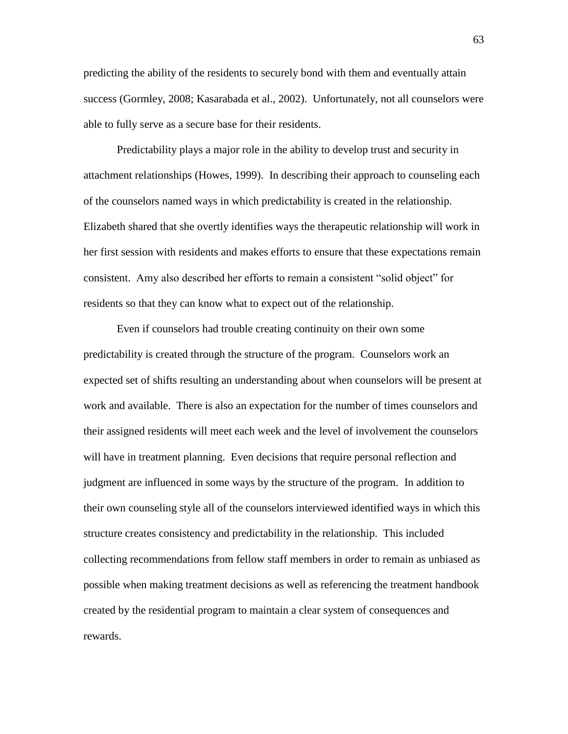predicting the ability of the residents to securely bond with them and eventually attain success (Gormley, 2008; Kasarabada et al., 2002). Unfortunately, not all counselors were able to fully serve as a secure base for their residents.

Predictability plays a major role in the ability to develop trust and security in attachment relationships (Howes, 1999). In describing their approach to counseling each of the counselors named ways in which predictability is created in the relationship. Elizabeth shared that she overtly identifies ways the therapeutic relationship will work in her first session with residents and makes efforts to ensure that these expectations remain consistent. Amy also described her efforts to remain a consistent "solid object" for residents so that they can know what to expect out of the relationship.

Even if counselors had trouble creating continuity on their own some predictability is created through the structure of the program. Counselors work an expected set of shifts resulting an understanding about when counselors will be present at work and available. There is also an expectation for the number of times counselors and their assigned residents will meet each week and the level of involvement the counselors will have in treatment planning. Even decisions that require personal reflection and judgment are influenced in some ways by the structure of the program. In addition to their own counseling style all of the counselors interviewed identified ways in which this structure creates consistency and predictability in the relationship. This included collecting recommendations from fellow staff members in order to remain as unbiased as possible when making treatment decisions as well as referencing the treatment handbook created by the residential program to maintain a clear system of consequences and rewards.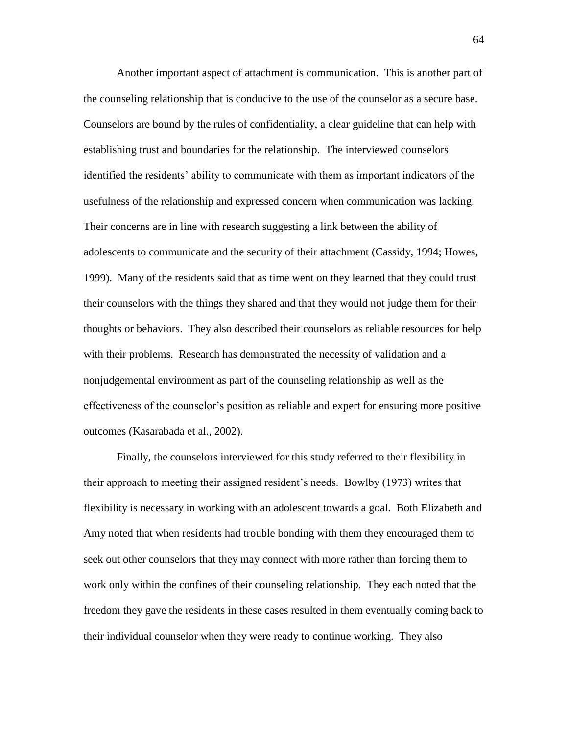Another important aspect of attachment is communication. This is another part of the counseling relationship that is conducive to the use of the counselor as a secure base. Counselors are bound by the rules of confidentiality, a clear guideline that can help with establishing trust and boundaries for the relationship. The interviewed counselors identified the residents' ability to communicate with them as important indicators of the usefulness of the relationship and expressed concern when communication was lacking. Their concerns are in line with research suggesting a link between the ability of adolescents to communicate and the security of their attachment (Cassidy, 1994; Howes, 1999). Many of the residents said that as time went on they learned that they could trust their counselors with the things they shared and that they would not judge them for their thoughts or behaviors. They also described their counselors as reliable resources for help with their problems. Research has demonstrated the necessity of validation and a nonjudgemental environment as part of the counseling relationship as well as the effectiveness of the counselor's position as reliable and expert for ensuring more positive outcomes (Kasarabada et al., 2002).

Finally, the counselors interviewed for this study referred to their flexibility in their approach to meeting their assigned resident's needs. Bowlby (1973) writes that flexibility is necessary in working with an adolescent towards a goal. Both Elizabeth and Amy noted that when residents had trouble bonding with them they encouraged them to seek out other counselors that they may connect with more rather than forcing them to work only within the confines of their counseling relationship. They each noted that the freedom they gave the residents in these cases resulted in them eventually coming back to their individual counselor when they were ready to continue working. They also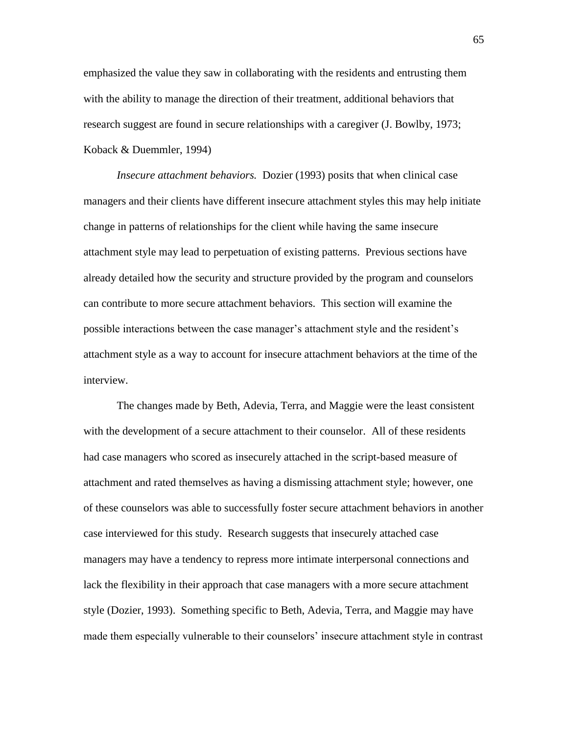emphasized the value they saw in collaborating with the residents and entrusting them with the ability to manage the direction of their treatment, additional behaviors that research suggest are found in secure relationships with a caregiver (J. Bowlby, 1973; Koback & Duemmler, 1994)

*Insecure attachment behaviors.* Dozier (1993) posits that when clinical case managers and their clients have different insecure attachment styles this may help initiate change in patterns of relationships for the client while having the same insecure attachment style may lead to perpetuation of existing patterns. Previous sections have already detailed how the security and structure provided by the program and counselors can contribute to more secure attachment behaviors. This section will examine the possible interactions between the case manager's attachment style and the resident's attachment style as a way to account for insecure attachment behaviors at the time of the interview.

The changes made by Beth, Adevia, Terra, and Maggie were the least consistent with the development of a secure attachment to their counselor. All of these residents had case managers who scored as insecurely attached in the script-based measure of attachment and rated themselves as having a dismissing attachment style; however, one of these counselors was able to successfully foster secure attachment behaviors in another case interviewed for this study. Research suggests that insecurely attached case managers may have a tendency to repress more intimate interpersonal connections and lack the flexibility in their approach that case managers with a more secure attachment style (Dozier, 1993). Something specific to Beth, Adevia, Terra, and Maggie may have made them especially vulnerable to their counselors' insecure attachment style in contrast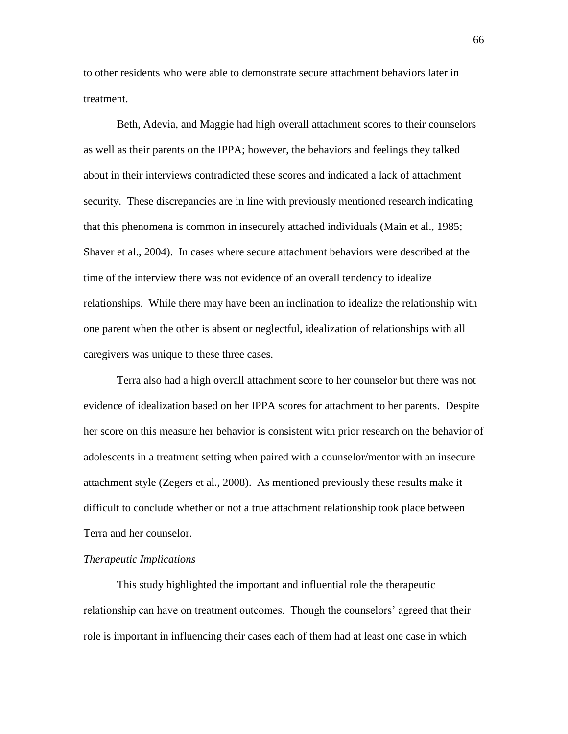to other residents who were able to demonstrate secure attachment behaviors later in treatment.

Beth, Adevia, and Maggie had high overall attachment scores to their counselors as well as their parents on the IPPA; however, the behaviors and feelings they talked about in their interviews contradicted these scores and indicated a lack of attachment security. These discrepancies are in line with previously mentioned research indicating that this phenomena is common in insecurely attached individuals (Main et al., 1985; Shaver et al., 2004). In cases where secure attachment behaviors were described at the time of the interview there was not evidence of an overall tendency to idealize relationships. While there may have been an inclination to idealize the relationship with one parent when the other is absent or neglectful, idealization of relationships with all caregivers was unique to these three cases.

Terra also had a high overall attachment score to her counselor but there was not evidence of idealization based on her IPPA scores for attachment to her parents. Despite her score on this measure her behavior is consistent with prior research on the behavior of adolescents in a treatment setting when paired with a counselor/mentor with an insecure attachment style (Zegers et al., 2008). As mentioned previously these results make it difficult to conclude whether or not a true attachment relationship took place between Terra and her counselor.

### *Therapeutic Implications*

This study highlighted the important and influential role the therapeutic relationship can have on treatment outcomes. Though the counselors' agreed that their role is important in influencing their cases each of them had at least one case in which

66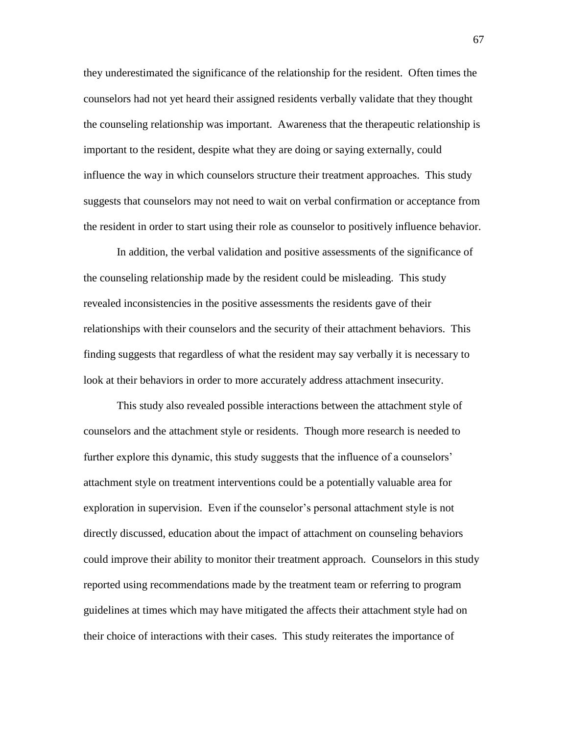they underestimated the significance of the relationship for the resident. Often times the counselors had not yet heard their assigned residents verbally validate that they thought the counseling relationship was important. Awareness that the therapeutic relationship is important to the resident, despite what they are doing or saying externally, could influence the way in which counselors structure their treatment approaches. This study suggests that counselors may not need to wait on verbal confirmation or acceptance from the resident in order to start using their role as counselor to positively influence behavior.

In addition, the verbal validation and positive assessments of the significance of the counseling relationship made by the resident could be misleading. This study revealed inconsistencies in the positive assessments the residents gave of their relationships with their counselors and the security of their attachment behaviors. This finding suggests that regardless of what the resident may say verbally it is necessary to look at their behaviors in order to more accurately address attachment insecurity.

This study also revealed possible interactions between the attachment style of counselors and the attachment style or residents. Though more research is needed to further explore this dynamic, this study suggests that the influence of a counselors' attachment style on treatment interventions could be a potentially valuable area for exploration in supervision. Even if the counselor's personal attachment style is not directly discussed, education about the impact of attachment on counseling behaviors could improve their ability to monitor their treatment approach. Counselors in this study reported using recommendations made by the treatment team or referring to program guidelines at times which may have mitigated the affects their attachment style had on their choice of interactions with their cases. This study reiterates the importance of

67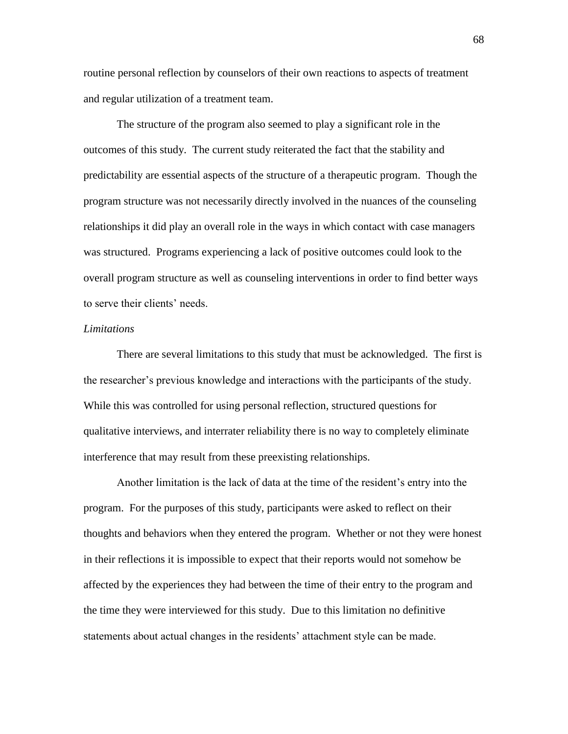routine personal reflection by counselors of their own reactions to aspects of treatment and regular utilization of a treatment team.

The structure of the program also seemed to play a significant role in the outcomes of this study. The current study reiterated the fact that the stability and predictability are essential aspects of the structure of a therapeutic program. Though the program structure was not necessarily directly involved in the nuances of the counseling relationships it did play an overall role in the ways in which contact with case managers was structured. Programs experiencing a lack of positive outcomes could look to the overall program structure as well as counseling interventions in order to find better ways to serve their clients' needs.

#### *Limitations*

There are several limitations to this study that must be acknowledged. The first is the researcher's previous knowledge and interactions with the participants of the study. While this was controlled for using personal reflection, structured questions for qualitative interviews, and interrater reliability there is no way to completely eliminate interference that may result from these preexisting relationships.

Another limitation is the lack of data at the time of the resident's entry into the program. For the purposes of this study, participants were asked to reflect on their thoughts and behaviors when they entered the program. Whether or not they were honest in their reflections it is impossible to expect that their reports would not somehow be affected by the experiences they had between the time of their entry to the program and the time they were interviewed for this study. Due to this limitation no definitive statements about actual changes in the residents' attachment style can be made.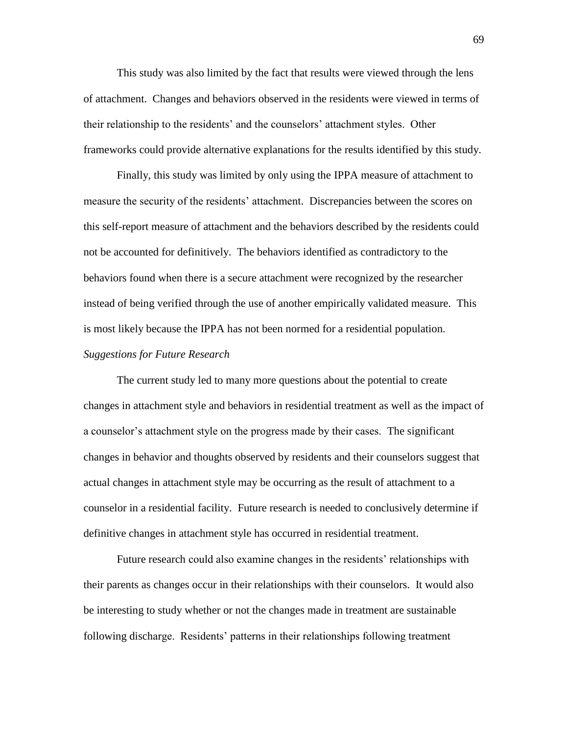This study was also limited by the fact that results were viewed through the lens of attachment. Changes and behaviors observed in the residents were viewed in terms of their relationship to the residents' and the counselors' attachment styles. Other frameworks could provide alternative explanations for the results identified by this study.

Finally, this study was limited by only using the IPPA measure of attachment to measure the security of the residents' attachment. Discrepancies between the scores on this self-report measure of attachment and the behaviors described by the residents could not be accounted for definitively. The behaviors identified as contradictory to the behaviors found when there is a secure attachment were recognized by the researcher instead of being verified through the use of another empirically validated measure. This is most likely because the IPPA has not been normed for a residential population. *Suggestions for Future Research*

The current study led to many more questions about the potential to create changes in attachment style and behaviors in residential treatment as well as the impact of a counselor's attachment style on the progress made by their cases. The significant changes in behavior and thoughts observed by residents and their counselors suggest that actual changes in attachment style may be occurring as the result of attachment to a counselor in a residential facility. Future research is needed to conclusively determine if definitive changes in attachment style has occurred in residential treatment.

Future research could also examine changes in the residents' relationships with their parents as changes occur in their relationships with their counselors. It would also be interesting to study whether or not the changes made in treatment are sustainable following discharge. Residents' patterns in their relationships following treatment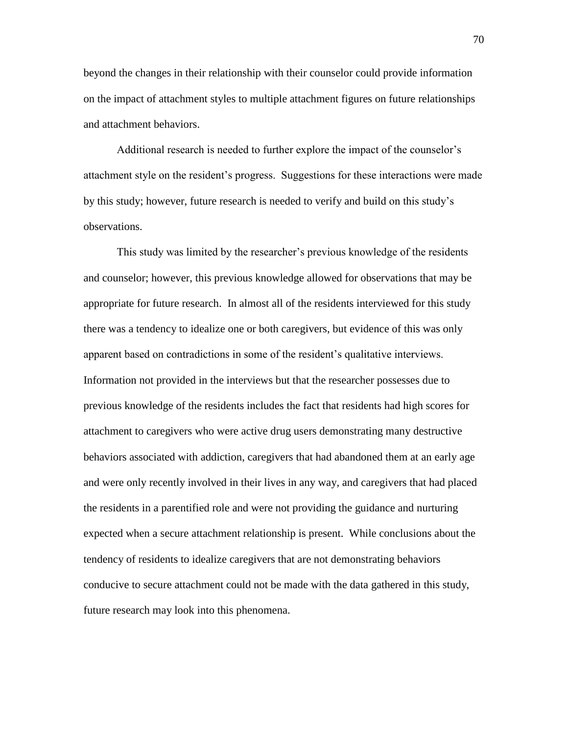beyond the changes in their relationship with their counselor could provide information on the impact of attachment styles to multiple attachment figures on future relationships and attachment behaviors.

Additional research is needed to further explore the impact of the counselor's attachment style on the resident's progress. Suggestions for these interactions were made by this study; however, future research is needed to verify and build on this study's observations.

This study was limited by the researcher's previous knowledge of the residents and counselor; however, this previous knowledge allowed for observations that may be appropriate for future research. In almost all of the residents interviewed for this study there was a tendency to idealize one or both caregivers, but evidence of this was only apparent based on contradictions in some of the resident's qualitative interviews. Information not provided in the interviews but that the researcher possesses due to previous knowledge of the residents includes the fact that residents had high scores for attachment to caregivers who were active drug users demonstrating many destructive behaviors associated with addiction, caregivers that had abandoned them at an early age and were only recently involved in their lives in any way, and caregivers that had placed the residents in a parentified role and were not providing the guidance and nurturing expected when a secure attachment relationship is present. While conclusions about the tendency of residents to idealize caregivers that are not demonstrating behaviors conducive to secure attachment could not be made with the data gathered in this study, future research may look into this phenomena.

70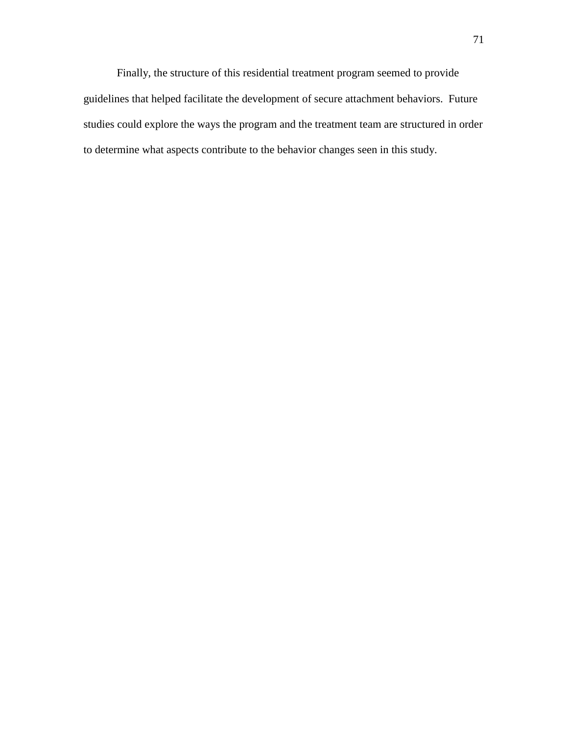Finally, the structure of this residential treatment program seemed to provide guidelines that helped facilitate the development of secure attachment behaviors. Future studies could explore the ways the program and the treatment team are structured in order to determine what aspects contribute to the behavior changes seen in this study.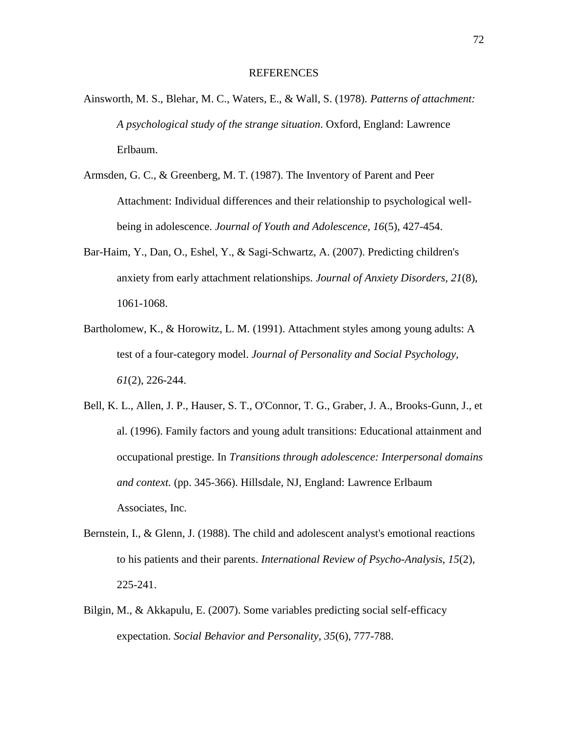#### REFERENCES

- Ainsworth, M. S., Blehar, M. C., Waters, E., & Wall, S. (1978). *Patterns of attachment: A psychological study of the strange situation*. Oxford, England: Lawrence Erlbaum.
- Armsden, G. C., & Greenberg, M. T. (1987). The Inventory of Parent and Peer Attachment: Individual differences and their relationship to psychological wellbeing in adolescence. *Journal of Youth and Adolescence, 16*(5), 427-454.
- Bar-Haim, Y., Dan, O., Eshel, Y., & Sagi-Schwartz, A. (2007). Predicting children's anxiety from early attachment relationships. *Journal of Anxiety Disorders, 21*(8), 1061-1068.
- Bartholomew, K., & Horowitz, L. M. (1991). Attachment styles among young adults: A test of a four-category model. *Journal of Personality and Social Psychology, 61*(2), 226-244.
- Bell, K. L., Allen, J. P., Hauser, S. T., O'Connor, T. G., Graber, J. A., Brooks-Gunn, J., et al. (1996). Family factors and young adult transitions: Educational attainment and occupational prestige. In *Transitions through adolescence: Interpersonal domains and context.* (pp. 345-366). Hillsdale, NJ, England: Lawrence Erlbaum Associates, Inc.
- Bernstein, I., & Glenn, J. (1988). The child and adolescent analyst's emotional reactions to his patients and their parents. *International Review of Psycho-Analysis, 15*(2), 225-241.
- Bilgin, M., & Akkapulu, E. (2007). Some variables predicting social self-efficacy expectation. *Social Behavior and Personality, 35*(6), 777-788.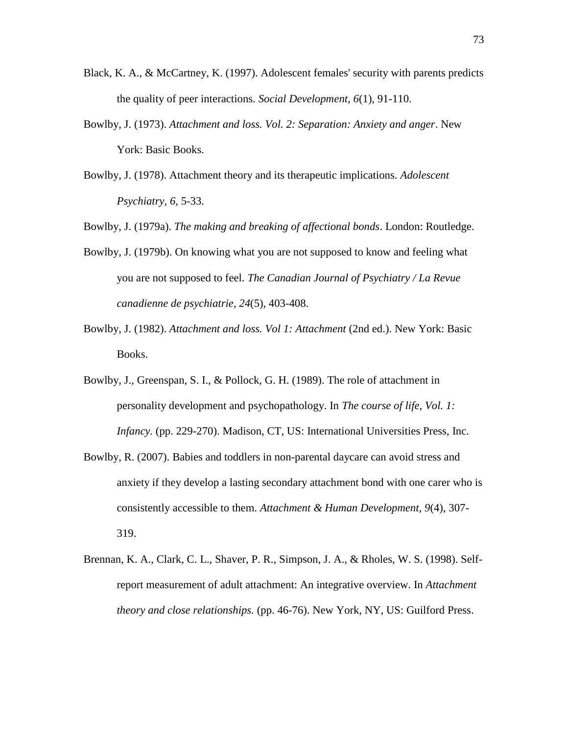- Black, K. A., & McCartney, K. (1997). Adolescent females' security with parents predicts the quality of peer interactions. *Social Development, 6*(1), 91-110.
- Bowlby, J. (1973). *Attachment and loss. Vol. 2: Separation: Anxiety and anger*. New York: Basic Books.
- Bowlby, J. (1978). Attachment theory and its therapeutic implications. *Adolescent Psychiatry, 6*, 5-33.

Bowlby, J. (1979a). *The making and breaking of affectional bonds*. London: Routledge.

- Bowlby, J. (1979b). On knowing what you are not supposed to know and feeling what you are not supposed to feel. *The Canadian Journal of Psychiatry / La Revue canadienne de psychiatrie, 24*(5), 403-408.
- Bowlby, J. (1982). *Attachment and loss. Vol 1: Attachment* (2nd ed.). New York: Basic Books.
- Bowlby, J., Greenspan, S. I., & Pollock, G. H. (1989). The role of attachment in personality development and psychopathology. In *The course of life, Vol. 1: Infancy.* (pp. 229-270). Madison, CT, US: International Universities Press, Inc.
- Bowlby, R. (2007). Babies and toddlers in non-parental daycare can avoid stress and anxiety if they develop a lasting secondary attachment bond with one carer who is consistently accessible to them. *Attachment & Human Development, 9*(4), 307- 319.
- Brennan, K. A., Clark, C. L., Shaver, P. R., Simpson, J. A., & Rholes, W. S. (1998). Selfreport measurement of adult attachment: An integrative overview. In *Attachment theory and close relationships.* (pp. 46-76). New York, NY, US: Guilford Press.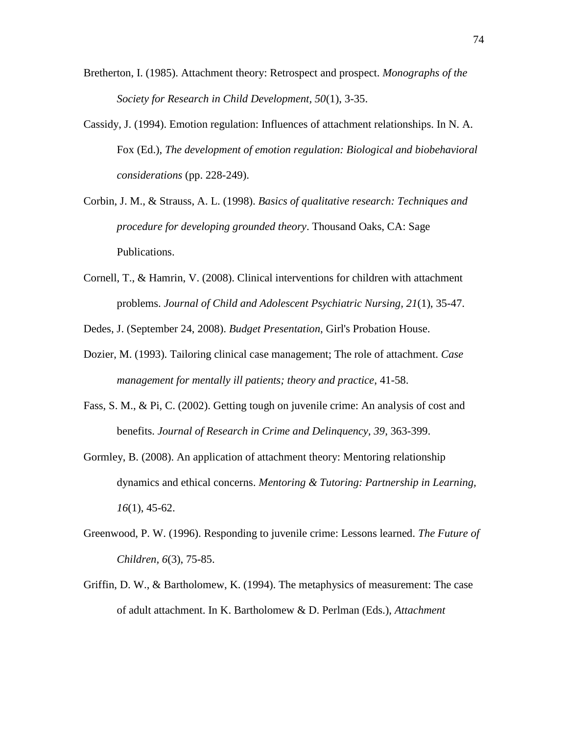- Bretherton, I. (1985). Attachment theory: Retrospect and prospect. *Monographs of the Society for Research in Child Development, 50*(1), 3-35.
- Cassidy, J. (1994). Emotion regulation: Influences of attachment relationships. In N. A. Fox (Ed.), *The development of emotion regulation: Biological and biobehavioral considerations* (pp. 228-249).
- Corbin, J. M., & Strauss, A. L. (1998). *Basics of qualitative research: Techniques and procedure for developing grounded theory*. Thousand Oaks, CA: Sage Publications.
- Cornell, T., & Hamrin, V. (2008). Clinical interventions for children with attachment problems. *Journal of Child and Adolescent Psychiatric Nursing, 21*(1), 35-47.

Dedes, J. (September 24, 2008). *Budget Presentation*, Girl's Probation House.

- Dozier, M. (1993). Tailoring clinical case management; The role of attachment. *Case management for mentally ill patients; theory and practice*, 41-58.
- Fass, S. M., & Pi, C. (2002). Getting tough on juvenile crime: An analysis of cost and benefits. *Journal of Research in Crime and Delinquency, 39*, 363-399.
- Gormley, B. (2008). An application of attachment theory: Mentoring relationship dynamics and ethical concerns. *Mentoring & Tutoring: Partnership in Learning, 16*(1), 45-62.
- Greenwood, P. W. (1996). Responding to juvenile crime: Lessons learned. *The Future of Children, 6*(3), 75-85.
- Griffin, D. W., & Bartholomew, K. (1994). The metaphysics of measurement: The case of adult attachment. In K. Bartholomew & D. Perlman (Eds.), *Attachment*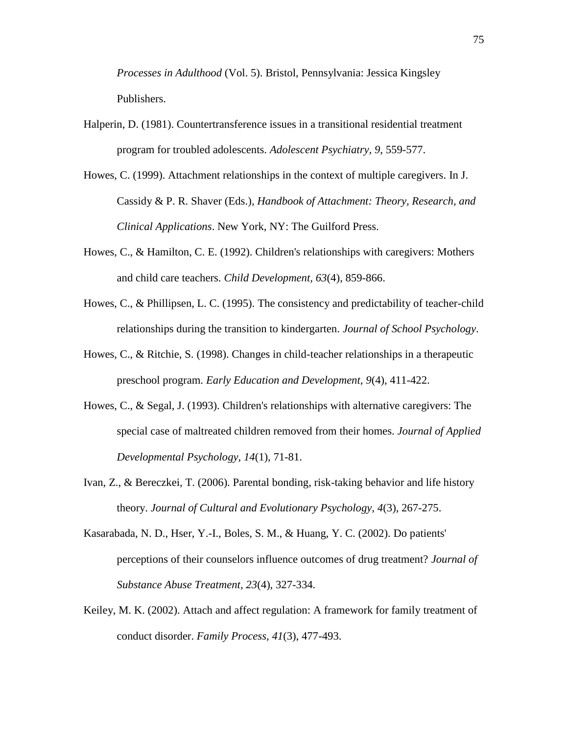*Processes in Adulthood* (Vol. 5). Bristol, Pennsylvania: Jessica Kingsley Publishers.

- Halperin, D. (1981). Countertransference issues in a transitional residential treatment program for troubled adolescents. *Adolescent Psychiatry, 9*, 559-577.
- Howes, C. (1999). Attachment relationships in the context of multiple caregivers. In J. Cassidy & P. R. Shaver (Eds.), *Handbook of Attachment: Theory, Research, and Clinical Applications*. New York, NY: The Guilford Press.
- Howes, C., & Hamilton, C. E. (1992). Children's relationships with caregivers: Mothers and child care teachers. *Child Development, 63*(4), 859-866.
- Howes, C., & Phillipsen, L. C. (1995). The consistency and predictability of teacher-child relationships during the transition to kindergarten. *Journal of School Psychology*.
- Howes, C., & Ritchie, S. (1998). Changes in child-teacher relationships in a therapeutic preschool program. *Early Education and Development, 9*(4), 411-422.
- Howes, C., & Segal, J. (1993). Children's relationships with alternative caregivers: The special case of maltreated children removed from their homes. *Journal of Applied Developmental Psychology, 14*(1), 71-81.
- Ivan, Z., & Bereczkei, T. (2006). Parental bonding, risk-taking behavior and life history theory. *Journal of Cultural and Evolutionary Psychology, 4*(3), 267-275.
- Kasarabada, N. D., Hser, Y.-I., Boles, S. M., & Huang, Y. C. (2002). Do patients' perceptions of their counselors influence outcomes of drug treatment? *Journal of Substance Abuse Treatment, 23*(4), 327-334.
- Keiley, M. K. (2002). Attach and affect regulation: A framework for family treatment of conduct disorder. *Family Process, 41*(3), 477-493.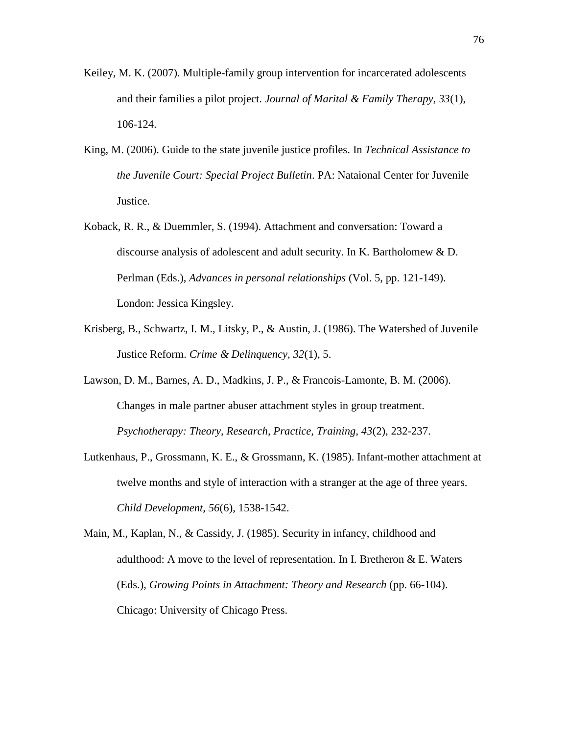- Keiley, M. K. (2007). Multiple-family group intervention for incarcerated adolescents and their families a pilot project. *Journal of Marital & Family Therapy, 33*(1), 106-124.
- King, M. (2006). Guide to the state juvenile justice profiles. In *Technical Assistance to the Juvenile Court: Special Project Bulletin*. PA: Nataional Center for Juvenile Justice.
- Koback, R. R., & Duemmler, S. (1994). Attachment and conversation: Toward a discourse analysis of adolescent and adult security. In K. Bartholomew & D. Perlman (Eds.), *Advances in personal relationships* (Vol. 5, pp. 121-149). London: Jessica Kingsley.
- Krisberg, B., Schwartz, I. M., Litsky, P., & Austin, J. (1986). The Watershed of Juvenile Justice Reform. *Crime & Delinquency, 32*(1), 5.
- Lawson, D. M., Barnes, A. D., Madkins, J. P., & Francois-Lamonte, B. M. (2006). Changes in male partner abuser attachment styles in group treatment. *Psychotherapy: Theory, Research, Practice, Training, 43*(2), 232-237.
- Lutkenhaus, P., Grossmann, K. E., & Grossmann, K. (1985). Infant-mother attachment at twelve months and style of interaction with a stranger at the age of three years. *Child Development, 56*(6), 1538-1542.
- Main, M., Kaplan, N., & Cassidy, J. (1985). Security in infancy, childhood and adulthood: A move to the level of representation. In I. Bretheron  $&E$ . Waters (Eds.), *Growing Points in Attachment: Theory and Research* (pp. 66-104). Chicago: University of Chicago Press.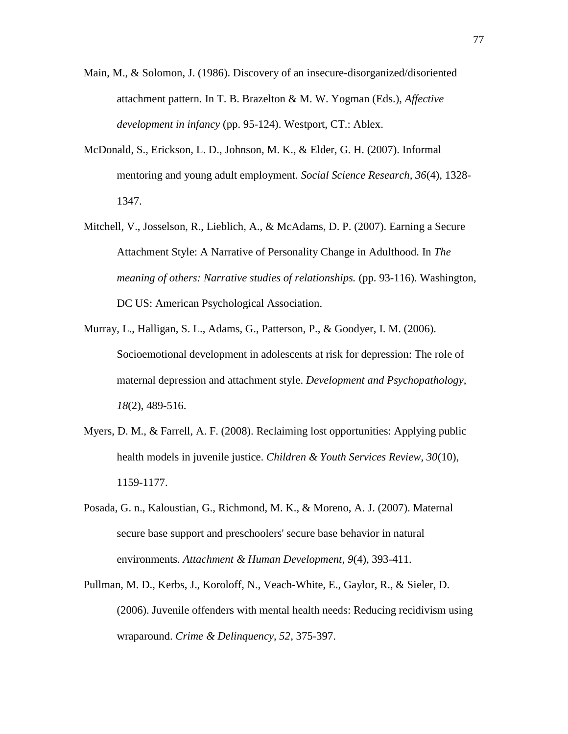- Main, M., & Solomon, J. (1986). Discovery of an insecure-disorganized/disoriented attachment pattern. In T. B. Brazelton & M. W. Yogman (Eds.), *Affective development in infancy* (pp. 95-124). Westport, CT.: Ablex.
- McDonald, S., Erickson, L. D., Johnson, M. K., & Elder, G. H. (2007). Informal mentoring and young adult employment. *Social Science Research, 36*(4), 1328- 1347.
- Mitchell, V., Josselson, R., Lieblich, A., & McAdams, D. P. (2007). Earning a Secure Attachment Style: A Narrative of Personality Change in Adulthood. In *The meaning of others: Narrative studies of relationships.* (pp. 93-116). Washington, DC US: American Psychological Association.
- Murray, L., Halligan, S. L., Adams, G., Patterson, P., & Goodyer, I. M. (2006). Socioemotional development in adolescents at risk for depression: The role of maternal depression and attachment style. *Development and Psychopathology, 18*(2), 489-516.
- Myers, D. M., & Farrell, A. F. (2008). Reclaiming lost opportunities: Applying public health models in juvenile justice. *Children & Youth Services Review, 30*(10), 1159-1177.
- Posada, G. n., Kaloustian, G., Richmond, M. K., & Moreno, A. J. (2007). Maternal secure base support and preschoolers' secure base behavior in natural environments. *Attachment & Human Development, 9*(4), 393-411.
- Pullman, M. D., Kerbs, J., Koroloff, N., Veach-White, E., Gaylor, R., & Sieler, D. (2006). Juvenile offenders with mental health needs: Reducing recidivism using wraparound. *Crime & Delinquency, 52*, 375-397.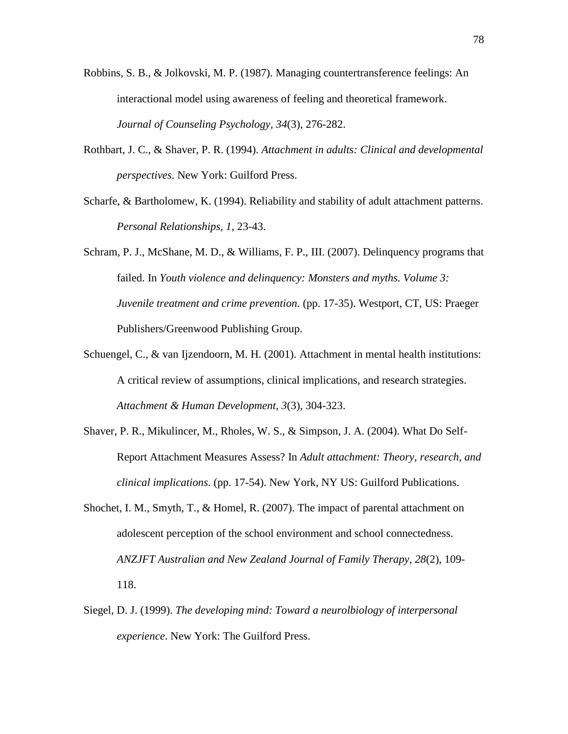- Robbins, S. B., & Jolkovski, M. P. (1987). Managing countertransference feelings: An interactional model using awareness of feeling and theoretical framework. *Journal of Counseling Psychology, 34*(3), 276-282.
- Rothbart, J. C., & Shaver, P. R. (1994). *Attachment in adults: Clinical and developmental perspectives*. New York: Guilford Press.
- Scharfe, & Bartholomew, K. (1994). Reliability and stability of adult attachment patterns. *Personal Relationships, 1*, 23-43.

Schram, P. J., McShane, M. D., & Williams, F. P., III. (2007). Delinquency programs that failed. In *Youth violence and delinquency: Monsters and myths. Volume 3: Juvenile treatment and crime prevention.* (pp. 17-35). Westport, CT, US: Praeger Publishers/Greenwood Publishing Group.

- Schuengel, C., & van Ijzendoorn, M. H. (2001). Attachment in mental health institutions: A critical review of assumptions, clinical implications, and research strategies. *Attachment & Human Development, 3*(3), 304-323.
- Shaver, P. R., Mikulincer, M., Rholes, W. S., & Simpson, J. A. (2004). What Do Self-Report Attachment Measures Assess? In *Adult attachment: Theory, research, and clinical implications.* (pp. 17-54). New York, NY US: Guilford Publications.
- Shochet, I. M., Smyth, T., & Homel, R. (2007). The impact of parental attachment on adolescent perception of the school environment and school connectedness. *ANZJFT Australian and New Zealand Journal of Family Therapy, 28*(2), 109- 118.
- Siegel, D. J. (1999). *The developing mind: Toward a neurolbiology of interpersonal experience*. New York: The Guilford Press.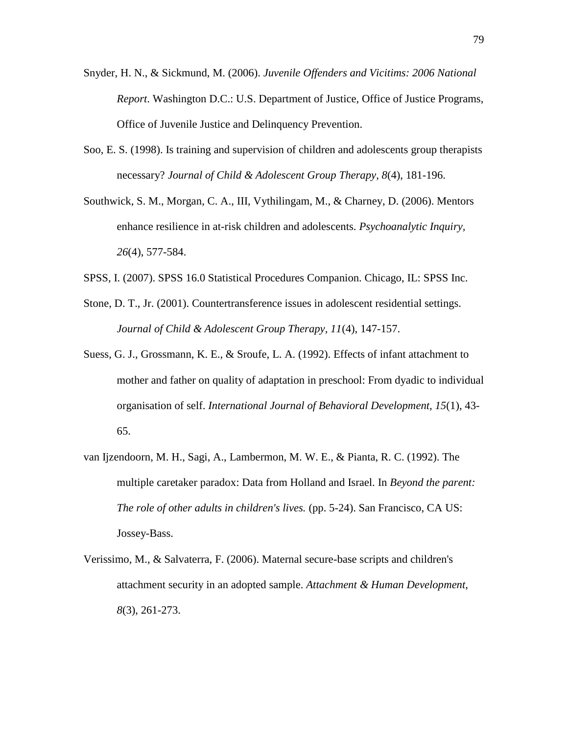- Snyder, H. N., & Sickmund, M. (2006). *Juvenile Offenders and Vicitims: 2006 National Report*. Washington D.C.: U.S. Department of Justice, Office of Justice Programs, Office of Juvenile Justice and Delinquency Prevention.
- Soo, E. S. (1998). Is training and supervision of children and adolescents group therapists necessary? *Journal of Child & Adolescent Group Therapy, 8*(4), 181-196.
- Southwick, S. M., Morgan, C. A., III, Vythilingam, M., & Charney, D. (2006). Mentors enhance resilience in at-risk children and adolescents. *Psychoanalytic Inquiry, 26*(4), 577-584.
- SPSS, I. (2007). SPSS 16.0 Statistical Procedures Companion. Chicago, IL: SPSS Inc.
- Stone, D. T., Jr. (2001). Countertransference issues in adolescent residential settings. *Journal of Child & Adolescent Group Therapy, 11*(4), 147-157.
- Suess, G. J., Grossmann, K. E., & Sroufe, L. A. (1992). Effects of infant attachment to mother and father on quality of adaptation in preschool: From dyadic to individual organisation of self. *International Journal of Behavioral Development, 15*(1), 43- 65.
- van Ijzendoorn, M. H., Sagi, A., Lambermon, M. W. E., & Pianta, R. C. (1992). The multiple caretaker paradox: Data from Holland and Israel. In *Beyond the parent: The role of other adults in children's lives.* (pp. 5-24). San Francisco, CA US: Jossey-Bass.
- Verissimo, M., & Salvaterra, F. (2006). Maternal secure-base scripts and children's attachment security in an adopted sample. *Attachment & Human Development, 8*(3), 261-273.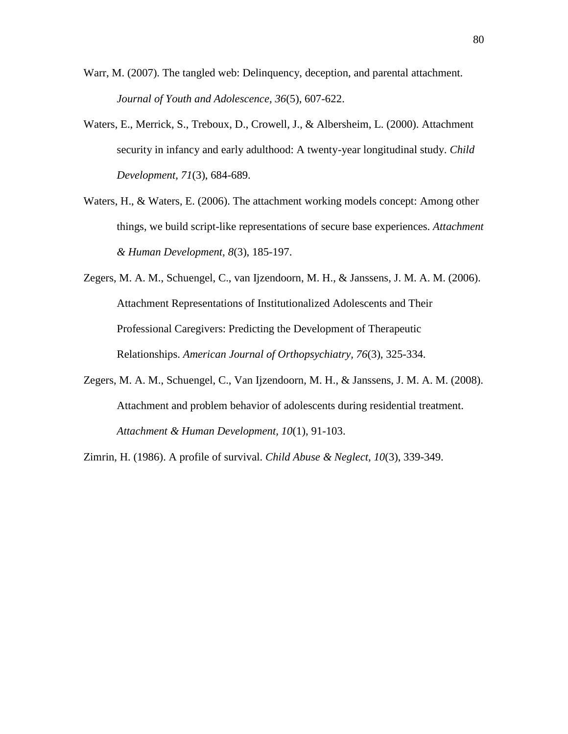- Warr, M. (2007). The tangled web: Delinquency, deception, and parental attachment. *Journal of Youth and Adolescence, 36*(5), 607-622.
- Waters, E., Merrick, S., Treboux, D., Crowell, J., & Albersheim, L. (2000). Attachment security in infancy and early adulthood: A twenty-year longitudinal study. *Child Development, 71*(3), 684-689.
- Waters, H., & Waters, E. (2006). The attachment working models concept: Among other things, we build script-like representations of secure base experiences. *Attachment & Human Development, 8*(3), 185-197.
- Zegers, M. A. M., Schuengel, C., van Ijzendoorn, M. H., & Janssens, J. M. A. M. (2006). Attachment Representations of Institutionalized Adolescents and Their Professional Caregivers: Predicting the Development of Therapeutic Relationships. *American Journal of Orthopsychiatry, 76*(3), 325-334.
- Zegers, M. A. M., Schuengel, C., Van Ijzendoorn, M. H., & Janssens, J. M. A. M. (2008). Attachment and problem behavior of adolescents during residential treatment. *Attachment & Human Development, 10*(1), 91-103.

Zimrin, H. (1986). A profile of survival. *Child Abuse & Neglect, 10*(3), 339-349.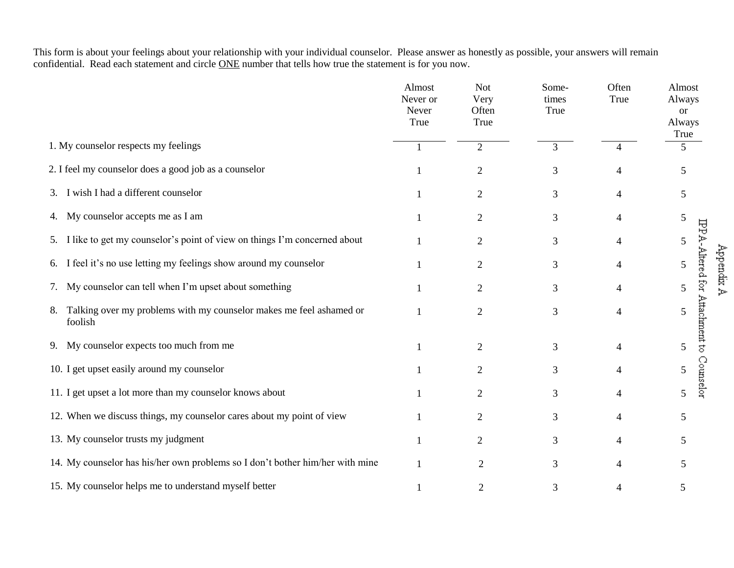This form is about your feelings about your relationship with your individual counselor. Please answer as honestly as possible, your answers will remain confidential. Read each statement and circle ONE number that tells how true the statement is for you now.

|                                                                                      | Almost<br>Never or<br>Never<br>True | <b>Not</b><br>Very<br>Often<br>True | Some-<br>times<br>True | Often<br>True  | Almost<br>Always<br><b>or</b><br>Always<br>True |
|--------------------------------------------------------------------------------------|-------------------------------------|-------------------------------------|------------------------|----------------|-------------------------------------------------|
| 1. My counselor respects my feelings                                                 |                                     | $\overline{2}$                      | 3                      | 4              | 5                                               |
| 2. I feel my counselor does a good job as a counselor                                |                                     | $\mathfrak{2}$                      | 3                      | 4              | 5                                               |
| I wish I had a different counselor<br>3.                                             |                                     | $\overline{2}$                      | 3                      | 4              | 5                                               |
| My counselor accepts me as I am<br>4.                                                |                                     | $\overline{2}$                      | 3                      | 4              | 5                                               |
| I like to get my counselor's point of view on things I'm concerned about<br>5.       |                                     | $\overline{2}$                      | 3                      | 4              | 5                                               |
| I feel it's no use letting my feelings show around my counselor<br>6.                |                                     | 2                                   | 3                      | 4              | 5                                               |
| My counselor can tell when I'm upset about something<br>7.                           |                                     | $\overline{2}$                      | 3                      | 4              | 5                                               |
| Talking over my problems with my counselor makes me feel ashamed or<br>8.<br>foolish |                                     | $\mathfrak{2}$                      | 3                      | 4              | IPPA-Altered for Attachment to<br>5             |
| My counselor expects too much from me<br>9.                                          |                                     | $\overline{2}$                      | 3                      | $\overline{4}$ | 5                                               |
| 10. I get upset easily around my counselor                                           |                                     | $\overline{2}$                      | 3                      | 4              | Counselor<br>5                                  |
| 11. I get upset a lot more than my counselor knows about                             |                                     | $\overline{2}$                      | 3                      | 4              | 5                                               |
| 12. When we discuss things, my counselor cares about my point of view                |                                     | $\overline{2}$                      | 3                      | 4              | 5                                               |
| 13. My counselor trusts my judgment                                                  |                                     | $\overline{2}$                      | 3                      | 4              | 5                                               |
| 14. My counselor has his/her own problems so I don't bother him/her with mine        |                                     | $\overline{2}$                      | 3                      | $\overline{4}$ | 5                                               |
| 15. My counselor helps me to understand myself better                                |                                     | $\overline{2}$                      | 3                      | 4              | 5                                               |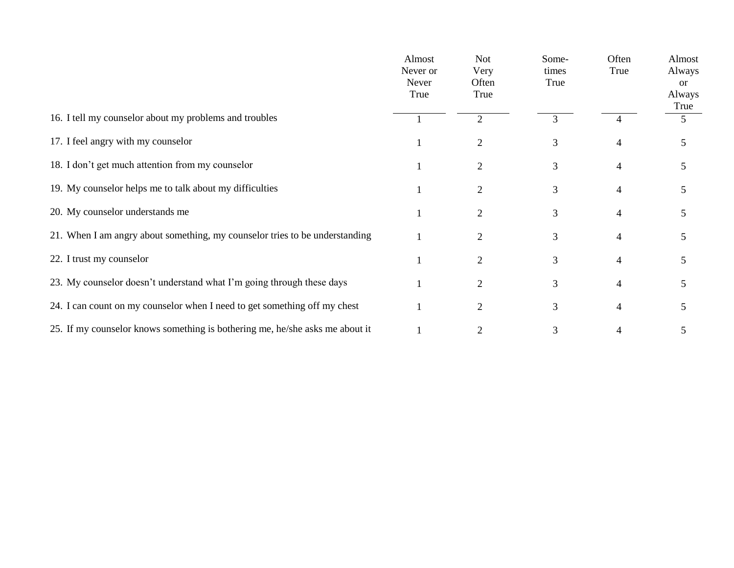|                                                                              | Almost<br>Never or<br>Never<br>True | <b>Not</b><br>Very<br>Often<br>True | Some-<br>times<br>True | Often<br>True  | Almost<br>Always<br><sub>or</sub><br>Always<br>True |
|------------------------------------------------------------------------------|-------------------------------------|-------------------------------------|------------------------|----------------|-----------------------------------------------------|
| 16. I tell my counselor about my problems and troubles                       |                                     | $\overline{2}$                      | 3                      |                | 5                                                   |
| 17. I feel angry with my counselor                                           |                                     | 2                                   | 3                      | 4              | 5                                                   |
| 18. I don't get much attention from my counselor                             |                                     | 2                                   | 3                      | 4              | 5                                                   |
| 19. My counselor helps me to talk about my difficulties                      |                                     | 2                                   | 3                      | 4              | 5                                                   |
| 20. My counselor understands me                                              |                                     | $\overline{2}$                      | 3                      | 4              | 5                                                   |
| 21. When I am angry about something, my counselor tries to be understanding  |                                     | 2                                   | 3                      | $\overline{4}$ | 5                                                   |
| 22. I trust my counselor                                                     |                                     | $\overline{c}$                      | 3                      | 4              | 5                                                   |
| 23. My counselor doesn't understand what I'm going through these days        |                                     | $\overline{2}$                      | 3                      | 4              | 5                                                   |
| 24. I can count on my counselor when I need to get something off my chest    |                                     | $\overline{2}$                      | $\mathfrak{Z}$         | 4              | 5                                                   |
| 25. If my counselor knows something is bothering me, he/she asks me about it |                                     |                                     | 3                      |                | 5                                                   |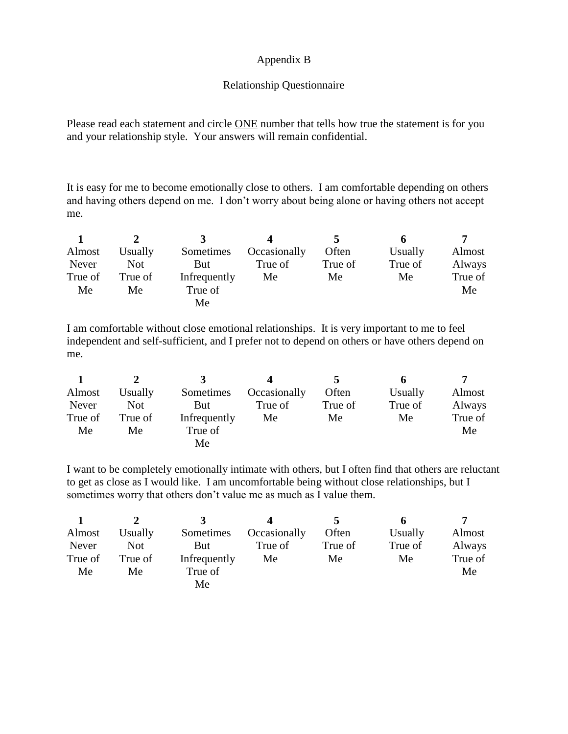### Appendix B

### Relationship Questionnaire

Please read each statement and circle ONE number that tells how true the statement is for you and your relationship style. Your answers will remain confidential.

It is easy for me to become emotionally close to others. I am comfortable depending on others and having others depend on me. I don't worry about being alone or having others not accept me.

|         |            |              |              | $\mathbf{z}$ |         |         |
|---------|------------|--------------|--------------|--------------|---------|---------|
| Almost  | Usually    | Sometimes    | Occasionally | Often        | Usually | Almost  |
| Never   | <b>Not</b> | But          | True of      | True of      | True of | Always  |
| True of | True of    | Infrequently | Me           | Me           | Me      | True of |
| Me      | Me         | True of      |              |              |         | Me      |
|         |            | Me           |              |              |         |         |

I am comfortable without close emotional relationships. It is very important to me to feel independent and self-sufficient, and I prefer not to depend on others or have others depend on me.

|         |            |              |              |         | n       |         |
|---------|------------|--------------|--------------|---------|---------|---------|
| Almost  | Usually    | Sometimes    | Occasionally | Often   | Usually | Almost  |
| Never   | <b>Not</b> | But          | True of      | True of | True of | Always  |
| True of | True of    | Infrequently | Me           | Me      | Me      | True of |
| Me      | Me         | True of      |              |         |         | Me      |
|         |            | Мe           |              |         |         |         |

I want to be completely emotionally intimate with others, but I often find that others are reluctant to get as close as I would like. I am uncomfortable being without close relationships, but I sometimes worry that others don't value me as much as I value them.

|         |         |              |              |         | O       |         |
|---------|---------|--------------|--------------|---------|---------|---------|
| Almost  | Usually | Sometimes    | Occasionally | Often   | Usually | Almost  |
| Never   | Not     | But          | True of      | True of | True of | Always  |
| True of | True of | Infrequently | Me           | Me      | Me      | True of |
| Me      | Me      | True of      |              |         |         | Me      |
|         |         | Me           |              |         |         |         |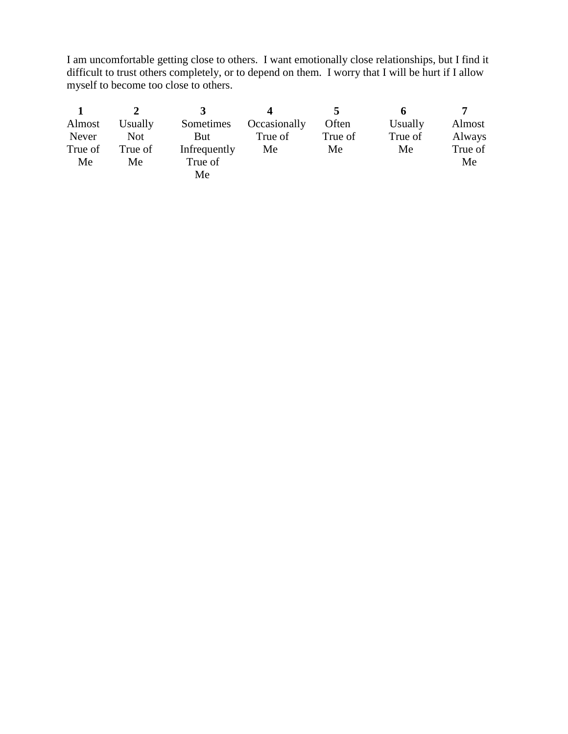I am uncomfortable getting close to others. I want emotionally close relationships, but I find it difficult to trust others completely, or to depend on them. I worry that I will be hurt if I allow myself to become too close to others.

| Almost  | Usually    | Sometimes    | Occasionally | Often   | Usually | Almost  |
|---------|------------|--------------|--------------|---------|---------|---------|
| Never   | <b>Not</b> | But          | True of      | True of | True of | Always  |
| True of | True of    | Infrequently | Me           | Me      | Me      | True of |
| Me      | Me         | True of      |              |         |         | Me      |
|         |            | Me           |              |         |         |         |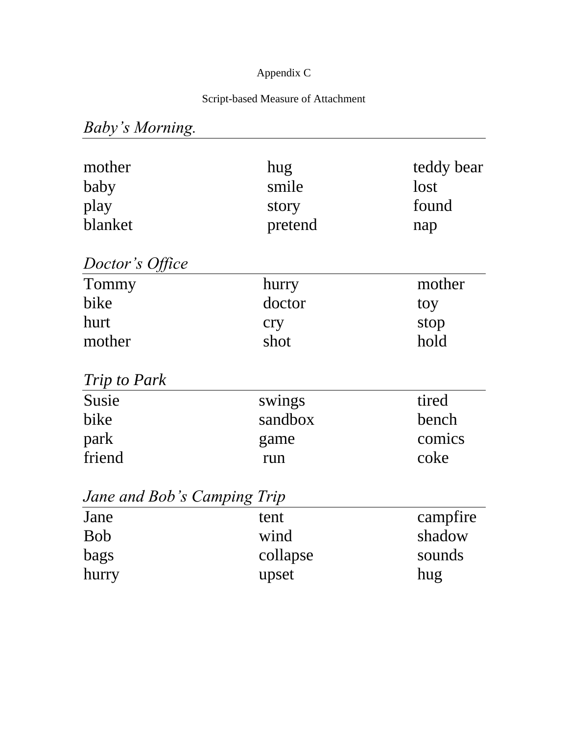# Appendix C

# Script-based Measure of Attachment

# *Baby's Morning.*

| mother<br>baby<br>play<br>blanket | hug<br>smile<br>story<br>pretend | teddy bear<br>lost<br>found<br>nap |
|-----------------------------------|----------------------------------|------------------------------------|
| Doctor's Office                   |                                  |                                    |
| Tommy                             | hurry                            | mother                             |
| bike                              | doctor                           | toy                                |
| hurt                              | cry                              | stop                               |
| mother                            | shot                             | hold                               |
| <i>Trip to Park</i>               |                                  |                                    |
| Susie                             | swings                           | tired                              |
| bike                              | sandbox                          | bench                              |
| park                              | game                             | comics                             |
| friend                            | run                              | coke                               |
| Jane and Bob's Camping Trip       |                                  |                                    |
| Jane                              | tent                             | campfire                           |
| <b>Bob</b>                        | wind                             | shadow                             |
| bags                              | collapse                         | sounds                             |
| hurry                             | upset                            | hug                                |
|                                   |                                  |                                    |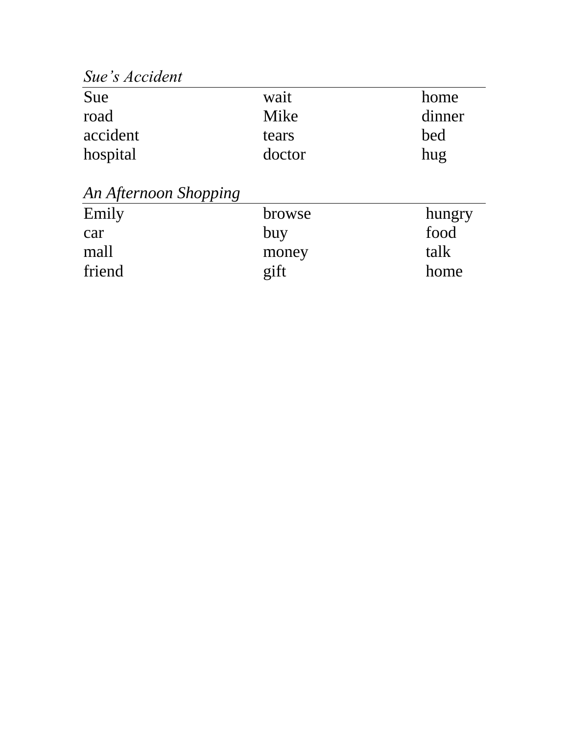*Sue's Accident*

| Sue      | wait   | home   |  |  |
|----------|--------|--------|--|--|
| road     | Mike   | dinner |  |  |
| accident | tears  | bed    |  |  |
| hospital | doctor | hug    |  |  |

*An Afternoon Shopping*

| browse | hungry |
|--------|--------|
| buy    | food   |
| money  | talk   |
| gift   | home   |
|        |        |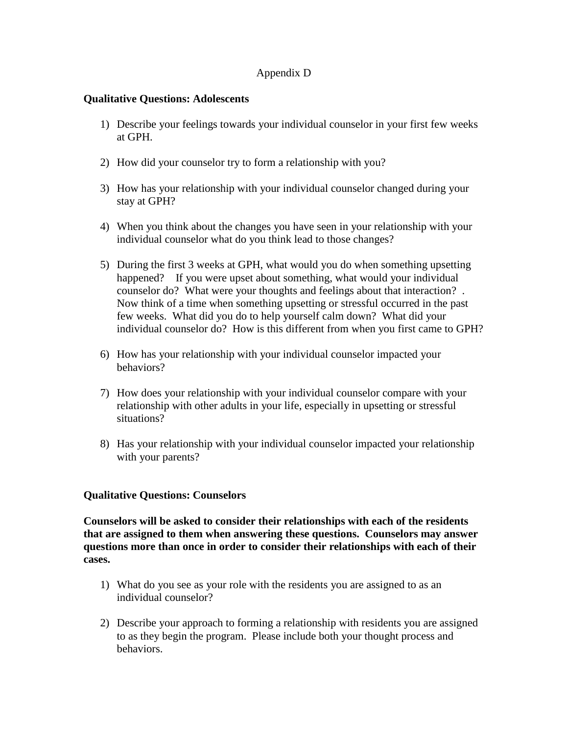### Appendix D

### **Qualitative Questions: Adolescents**

- 1) Describe your feelings towards your individual counselor in your first few weeks at GPH.
- 2) How did your counselor try to form a relationship with you?
- 3) How has your relationship with your individual counselor changed during your stay at GPH?
- 4) When you think about the changes you have seen in your relationship with your individual counselor what do you think lead to those changes?
- 5) During the first 3 weeks at GPH, what would you do when something upsetting happened? If you were upset about something, what would your individual counselor do? What were your thoughts and feelings about that interaction? . Now think of a time when something upsetting or stressful occurred in the past few weeks. What did you do to help yourself calm down? What did your individual counselor do? How is this different from when you first came to GPH?
- 6) How has your relationship with your individual counselor impacted your behaviors?
- 7) How does your relationship with your individual counselor compare with your relationship with other adults in your life, especially in upsetting or stressful situations?
- 8) Has your relationship with your individual counselor impacted your relationship with your parents?

### **Qualitative Questions: Counselors**

**Counselors will be asked to consider their relationships with each of the residents that are assigned to them when answering these questions. Counselors may answer questions more than once in order to consider their relationships with each of their cases.**

- 1) What do you see as your role with the residents you are assigned to as an individual counselor?
- 2) Describe your approach to forming a relationship with residents you are assigned to as they begin the program. Please include both your thought process and behaviors.